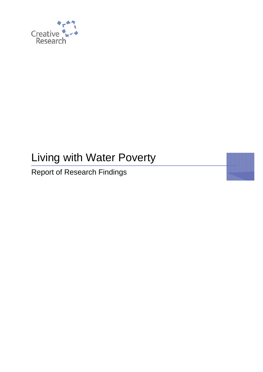

# Living with Water Poverty

Report of Research Findings

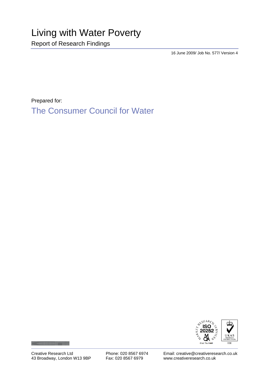16 June 2009/ Job No. 577/ Version 4

Prepared for:

The Consumer Council for Water



Creative Research Ltd 43 Broadway, London W13 9BP Phone: 020 8567 6974 Fax: 020 8567 6979

Email: creative@creativeresearch.co.uk www.creativeresearch.co.uk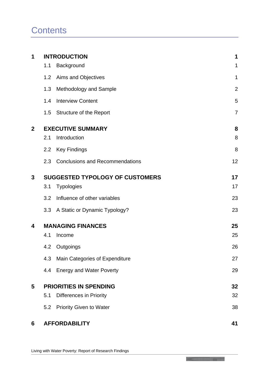| 1              |                                        | <b>INTRODUCTION</b>                    | 1              |
|----------------|----------------------------------------|----------------------------------------|----------------|
|                | 1.1                                    | Background                             | 1              |
|                | 1.2                                    | Aims and Objectives                    | $\mathbf 1$    |
|                | 1.3                                    | Methodology and Sample                 | $\overline{2}$ |
|                | 1.4                                    | <b>Interview Content</b>               | 5              |
|                | 1.5                                    | <b>Structure of the Report</b>         | $\overline{7}$ |
| $\overline{2}$ | <b>EXECUTIVE SUMMARY</b>               |                                        | 8              |
|                | 2.1                                    | Introduction                           | 8              |
|                | 2.2                                    | <b>Key Findings</b>                    | 8              |
|                | 2.3                                    | <b>Conclusions and Recommendations</b> | 12             |
| 3              | <b>SUGGESTED TYPOLOGY OF CUSTOMERS</b> |                                        | 17             |
|                | 3.1                                    | <b>Typologies</b>                      | 17             |
|                | 3.2                                    | Influence of other variables           | 23             |
|                |                                        | 3.3 A Static or Dynamic Typology?      | 23             |
| 4              | <b>MANAGING FINANCES</b>               |                                        | 25             |
|                | 4.1                                    | Income                                 | 25             |
|                | 4.2                                    | Outgoings                              | 26             |
|                | 4.3                                    | Main Categories of Expenditure         | 27             |
|                | 4.4                                    | <b>Energy and Water Poverty</b>        | 29             |
| 5              | <b>PRIORITIES IN SPENDING</b>          |                                        | 32             |
|                | 5.1                                    | <b>Differences in Priority</b>         | 32             |
|                | 5.2                                    | <b>Priority Given to Water</b>         | 38             |
| 6              |                                        | <b>AFFORDABILITY</b>                   | 41             |

**The Contract of the Contract of The Contract of The Contract of The Contract of The Contract of The Contract o**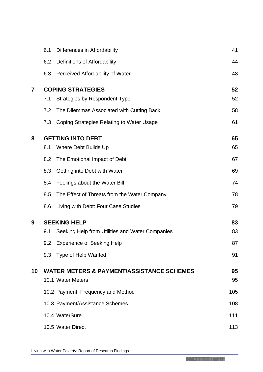|                | 6.1                      | Differences in Affordability                         | 41  |
|----------------|--------------------------|------------------------------------------------------|-----|
|                | 6.2                      | Definitions of Affordability                         | 44  |
|                | 6.3                      | <b>Perceived Affordability of Water</b>              | 48  |
| $\overline{7}$ | <b>COPING STRATEGIES</b> |                                                      |     |
|                | 7.1                      | <b>Strategies by Respondent Type</b>                 | 52  |
|                | 7.2                      | The Dilemmas Associated with Cutting Back            | 58  |
|                | 7.3                      | Coping Strategies Relating to Water Usage            | 61  |
| 8              | <b>GETTING INTO DEBT</b> |                                                      | 65  |
|                | 8.1                      | Where Debt Builds Up                                 | 65  |
|                | 8.2                      | The Emotional Impact of Debt                         | 67  |
|                | 8.3                      | Getting into Debt with Water                         | 69  |
|                | 8.4                      | Feelings about the Water Bill                        | 74  |
|                | 8.5                      | The Effect of Threats from the Water Company         | 78  |
|                | 8.6                      | Living with Debt: Four Case Studies                  | 79  |
| 9              | <b>SEEKING HELP</b>      |                                                      |     |
|                | 9.1                      | Seeking Help from Utilities and Water Companies      | 83  |
|                | 9.2                      | <b>Experience of Seeking Help</b>                    | 87  |
|                |                          | 9.3 Type of Help Wanted                              | 91  |
| 10             |                          | <b>WATER METERS &amp; PAYMENT/ASSISTANCE SCHEMES</b> | 95  |
|                |                          | 10.1 Water Meters                                    | 95  |
|                |                          | 10.2 Payment: Frequency and Method                   | 105 |
|                |                          | 10.3 Payment/Assistance Schemes                      | 108 |
|                |                          | 10.4 WaterSure                                       | 111 |
|                |                          | 10.5 Water Direct                                    | 113 |

Living with Water Poverty: Report of Research Findings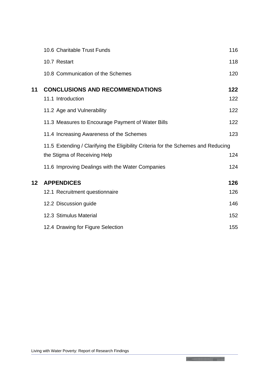|                   | 10.6 Charitable Trust Funds                                                       | 116        |
|-------------------|-----------------------------------------------------------------------------------|------------|
|                   | 10.7 Restart                                                                      | 118        |
|                   | 10.8 Communication of the Schemes                                                 | 120        |
| 11                | <b>CONCLUSIONS AND RECOMMENDATIONS</b><br>11.1 Introduction                       | 122<br>122 |
|                   | 11.2 Age and Vulnerability                                                        | 122        |
|                   | 11.3 Measures to Encourage Payment of Water Bills                                 | 122        |
|                   | 11.4 Increasing Awareness of the Schemes                                          | 123        |
|                   | 11.5 Extending / Clarifying the Eligibility Criteria for the Schemes and Reducing |            |
|                   | the Stigma of Receiving Help                                                      | 124        |
|                   | 11.6 Improving Dealings with the Water Companies                                  | 124        |
| $12 \ \mathsf{ }$ | <b>APPENDICES</b>                                                                 | 126        |
|                   | 12.1 Recruitment questionnaire                                                    | 126        |
|                   | 12.2 Discussion guide                                                             | 146        |
|                   | 12.3 Stimulus Material                                                            | 152        |
|                   | 12.4 Drawing for Figure Selection                                                 | 155        |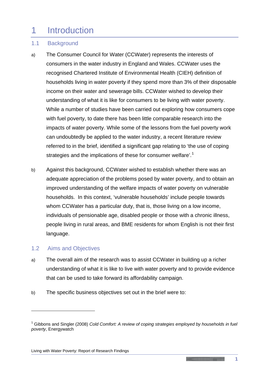## <span id="page-5-0"></span>1 Introduction

## <span id="page-5-1"></span>1.1 Background

- a) The Consumer Council for Water (CCWater) represents the interests of consumers in the water industry in England and Wales. CCWater uses the recognised Chartered Institute of Environmental Health (CIEH) definition of households living in water poverty if they spend more than 3% of their disposable income on their water and sewerage bills. CCWater wished to develop their understanding of what it is like for consumers to be living with water poverty. While a number of studies have been carried out exploring how consumers cope with fuel poverty, to date there has been little comparable research into the impacts of water poverty. While some of the lessons from the fuel poverty work can undoubtedly be applied to the water industry, a recent literature review referred to in the brief, identified a significant gap relating to 'the use of coping strategies and the implications of these for consumer welfare'.<sup>[1](#page-5-3)</sup>
- b) Against this background, CCWater wished to establish whether there was an adequate appreciation of the problems posed by water poverty, and to obtain an improved understanding of the welfare impacts of water poverty on vulnerable households. In this context, 'vulnerable households' include people towards whom CCWater has a particular duty, that is, those living on a low income, individuals of pensionable age, disabled people or those with a chronic illness, people living in rural areas, and BME residents for whom English is not their first language.

## <span id="page-5-2"></span>1.2 Aims and Objectives

<u>.</u>

- a) The overall aim of the research was to assist CCWater in building up a richer understanding of what it is like to live with water poverty and to provide evidence that can be used to take forward its affordability campaign.
- b) The specific business objectives set out in the brief were to:

#### Living with Water Poverty: Report of Research Findings

<u>and the second contract of the second contract of the second contract of the second contract of the second contract of the second contract of the second contract of the second contract of the second contract of the second</u>

**1**

<span id="page-5-3"></span><sup>&</sup>lt;sup>1</sup> Gibbons and Singler (2008) *Cold Comfort: A review of coping strategies employed by households in fuel poverty*, Energywatch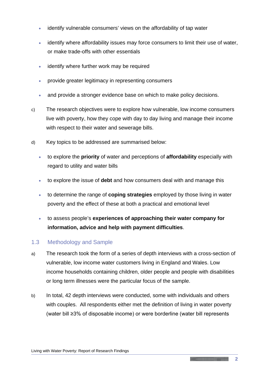- identify vulnerable consumers' views on the affordability of tap water
- identify where affordability issues may force consumers to limit their use of water, or make trade-offs with other essentials
- identify where further work may be required
- provide greater legitimacy in representing consumers
- and provide a stronger evidence base on which to make policy decisions.
- c) The research objectives were to explore how vulnerable, low income consumers live with poverty, how they cope with day to day living and manage their income with respect to their water and sewerage bills.
- d) Key topics to be addressed are summarised below:
	- to explore the **priority** of water and perceptions of **affordability** especially with regard to utility and water bills
	- to explore the issue of **debt** and how consumers deal with and manage this
	- to determine the range of **coping strategies** employed by those living in water poverty and the effect of these at both a practical and emotional level
	- to assess people's **experiences of approaching their water company for information, advice and help with payment difficulties**.

## <span id="page-6-0"></span>1.3 Methodology and Sample

- a) The research took the form of a series of depth interviews with a cross-section of vulnerable, low income water customers living in England and Wales. Low income households containing children, older people and people with disabilities or long term illnesses were the particular focus of the sample.
- b) In total, 42 depth interviews were conducted, some with individuals and others with couples. All respondents either met the definition of living in water poverty (water bill ≥3% of disposable income) or were borderline (water bill represents

**Communication**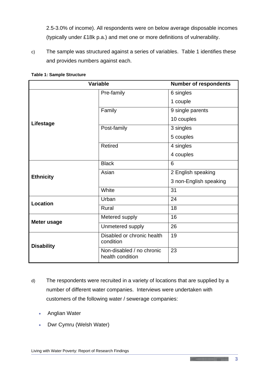2.5-3.0% of income). All respondents were on below average disposable incomes (typically under £18k p.a.) and met one or more definitions of vulnerability.

c) The sample was structured against a series of variables. Table 1 identifies these and provides numbers against each.

| <b>Variable</b>    |                                               | <b>Number of respondents</b> |
|--------------------|-----------------------------------------------|------------------------------|
|                    | Pre-family                                    | 6 singles                    |
|                    |                                               | 1 couple                     |
|                    | Family                                        | 9 single parents             |
| Lifestage          |                                               | 10 couples                   |
|                    | Post-family                                   | 3 singles                    |
|                    |                                               | 5 couples                    |
|                    | <b>Retired</b>                                | 4 singles                    |
|                    |                                               | 4 couples                    |
|                    | <b>Black</b>                                  | 6                            |
| <b>Ethnicity</b>   | Asian                                         | 2 English speaking           |
|                    |                                               | 3 non-English speaking       |
|                    | White                                         | 31                           |
| <b>Location</b>    | Urban                                         | 24                           |
|                    | Rural                                         | 18                           |
| <b>Meter usage</b> | Metered supply                                | 16                           |
|                    | Unmetered supply                              | 26                           |
| <b>Disability</b>  | Disabled or chronic health<br>condition       | 19                           |
|                    | Non-disabled / no chronic<br>health condition | 23                           |

#### **Table 1: Sample Structure**

- d) The respondents were recruited in a variety of locations that are supplied by a number of different water companies. Interviews were undertaken with customers of the following water / sewerage companies:
	- Anglian Water
	- Dwr Cymru (Welsh Water)

**The South Company of the Company of the Company of the Company of the Company**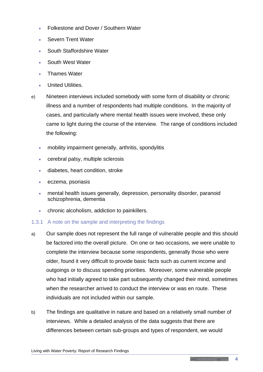- Folkestone and Dover / Southern Water
- Severn Trent Water
- South Staffordshire Water
- South West Water
- Thames Water
- United Utilities.
- e) Nineteen interviews included somebody with some form of disability or chronic illness and a number of respondents had multiple conditions. In the majority of cases, and particularly where mental health issues were involved, these only came to light during the course of the interview. The range of conditions included the following:
	- mobility impairment generally, arthritis, spondylitis
	- cerebral palsy, multiple sclerosis
	- diabetes, heart condition, stroke
	- eczema, psoriasis
	- mental health issues generally, depression, personality disorder, paranoid schizophrenia, dementia
	- chronic alcoholism, addiction to painkillers.

## 1.3.1 A note on the sample and interpreting the findings

- a) Our sample does not represent the full range of vulnerable people and this should be factored into the overall picture. On one or two occasions, we were unable to complete the interview because some respondents, generally those who were older, found it very difficult to provide basic facts such as current income and outgoings or to discuss spending priorities. Moreover, some vulnerable people who had initially agreed to take part subsequently changed their mind, sometimes when the researcher arrived to conduct the interview or was en route. These individuals are not included within our sample.
- b) The findings are qualitative in nature and based on a relatively small number of interviews. While a detailed analysis of the data suggests that there are differences between certain sub-groups and types of respondent, we would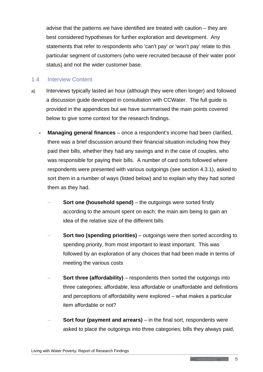advise that the patterns we have identified are treated with caution – they are best considered hypotheses for further exploration and development. Any statements that refer to respondents who 'can't pay' or 'won't pay' relate to this particular segment of customers (who were recruited because of their water poor status) and not the wider customer base.

### <span id="page-9-0"></span>1.4 Interview Content

- a) Interviews typically lasted an hour (although they were often longer) and followed a discussion guide developed in consultation with CCWater. The full guide is provided in the appendices but we have summarised the main points covered below to give some context for the research findings.
	- **Managing general finances** once a respondent's income had been clarified, there was a brief discussion around their financial situation including how they paid their bills, whether they had any savings and in the case of couples, who was responsible for paying their bills. A number of card sorts followed where respondents were presented with various outgoings (see section 4.3.1), asked to sort them in a number of ways (listed below) and to explain why they had sorted them as they had.
		- **Sort one (household spend)** the outgoings were sorted firstly according to the amount spent on each; the main aim being to gain an idea of the relative size of the different bills
		- **Sort two (spending priorities)** outgoings were then sorted according to spending priority, from most important to least important. This was followed by an exploration of any choices that had been made in terms of meeting the various costs
		- **Sort three (affordability)** respondents then sorted the outgoings into three categories; affordable, less affordable or unaffordable and definitions and perceptions of affordability were explored – what makes a particular item affordable or not?
		- **Sort four (payment and arrears)** in the final sort, respondents were asked to place the outgoings into three categories; bills they always paid,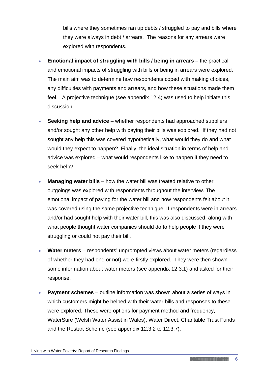bills where they sometimes ran up debts / struggled to pay and bills where they were always in debt / arrears. The reasons for any arrears were explored with respondents.

- **Emotional impact of struggling with bills / being in arrears** the practical and emotional impacts of struggling with bills or being in arrears were explored. The main aim was to determine how respondents coped with making choices, any difficulties with payments and arrears, and how these situations made them feel. A projective technique (see appendix 12.4) was used to help initiate this discussion.
- **Seeking help and advice** whether respondents had approached suppliers and/or sought any other help with paying their bills was explored. If they had not sought any help this was covered hypothetically, what would they do and what would they expect to happen? Finally, the ideal situation in terms of help and advice was explored – what would respondents like to happen if they need to seek help?
- Managing water bills how the water bill was treated relative to other outgoings was explored with respondents throughout the interview. The emotional impact of paying for the water bill and how respondents felt about it was covered using the same projective technique. If respondents were in arrears and/or had sought help with their water bill, this was also discussed, along with what people thought water companies should do to help people if they were struggling or could not pay their bill.
- **Water meters**  respondents' unprompted views about water meters (regardless of whether they had one or not) were firstly explored. They were then shown some information about water meters (see appendix 12.3.1) and asked for their response.
- **Payment schemes**  outline information was shown about a series of ways in which customers might be helped with their water bills and responses to these were explored. These were options for payment method and frequency, WaterSure (Welsh Water Assist in Wales), Water Direct, Charitable Trust Funds and the Restart Scheme (see appendix 12.3.2 to 12.3.7).

**Communication**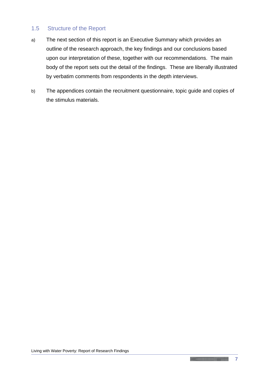## <span id="page-11-0"></span>1.5 Structure of the Report

- a) The next section of this report is an Executive Summary which provides an outline of the research approach, the key findings and our conclusions based upon our interpretation of these, together with our recommendations. The main body of the report sets out the detail of the findings. These are liberally illustrated by verbatim comments from respondents in the depth interviews.
- b) The appendices contain the recruitment questionnaire, topic guide and copies of the stimulus materials.

**Constitution of the Constitution of the Constitution of the Constitution of the Constitution**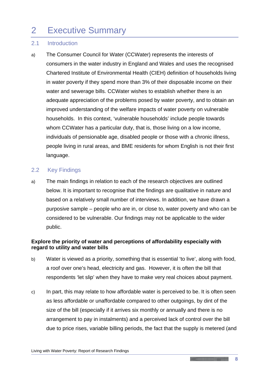## <span id="page-12-0"></span>2 Executive Summary

## <span id="page-12-1"></span>2.1 Introduction

a) The Consumer Council for Water (CCWater) represents the interests of consumers in the water industry in England and Wales and uses the recognised Chartered Institute of Environmental Health (CIEH) definition of households living in water poverty if they spend more than 3% of their disposable income on their water and sewerage bills. CCWater wishes to establish whether there is an adequate appreciation of the problems posed by water poverty, and to obtain an improved understanding of the welfare impacts of water poverty on vulnerable households. In this context, 'vulnerable households' include people towards whom CCWater has a particular duty, that is, those living on a low income, individuals of pensionable age, disabled people or those with a chronic illness, people living in rural areas, and BME residents for whom English is not their first language.

#### <span id="page-12-2"></span>2.2 Key Findings

a) The main findings in relation to each of the research objectives are outlined below. It is important to recognise that the findings are qualitative in nature and based on a relatively small number of interviews. In addition, we have drawn a purposive sample – people who are in, or close to, water poverty and who can be considered to be vulnerable. Our findings may not be applicable to the wider public.

## **Explore the priority of water and perceptions of affordability especially with regard to utility and water bills**

- b) Water is viewed as a priority, something that is essential 'to live', along with food, a roof over one's head, electricity and gas. However, it is often the bill that respondents 'let slip' when they have to make very real choices about payment.
- c) In part, this may relate to how affordable water is perceived to be. It is often seen as less affordable or unaffordable compared to other outgoings, by dint of the size of the bill (especially if it arrives six monthly or annually and there is no arrangement to pay in instalments) and a perceived lack of control over the bill due to price rises, variable billing periods, the fact that the supply is metered (and

**Communication**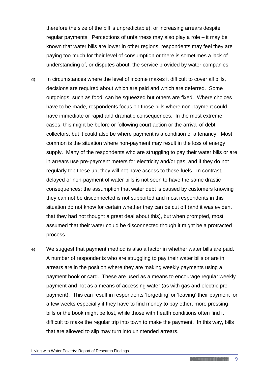therefore the size of the bill is unpredictable), or increasing arrears despite regular payments. Perceptions of unfairness may also play a role – it may be known that water bills are lower in other regions, respondents may feel they are paying too much for their level of consumption or there is sometimes a lack of understanding of, or disputes about, the service provided by water companies.

- d) In circumstances where the level of income makes it difficult to cover all bills, decisions are required about which are paid and which are deferred. Some outgoings, such as food, can be squeezed but others are fixed. Where choices have to be made, respondents focus on those bills where non-payment could have immediate or rapid and dramatic consequences. In the most extreme cases, this might be before or following court action or the arrival of debt collectors, but it could also be where payment is a condition of a tenancy. Most common is the situation where non-payment may result in the loss of energy supply. Many of the respondents who are struggling to pay their water bills or are in arrears use pre-payment meters for electricity and/or gas, and if they do not regularly top these up, they will not have access to these fuels. In contrast, delayed or non-payment of water bills is not seen to have the same drastic consequences; the assumption that water debt is caused by customers knowing they can not be disconnected is not supported and most respondents in this situation do not know for certain whether they can be cut off (and it was evident that they had not thought a great deal about this), but when prompted, most assumed that their water could be disconnected though it might be a protracted process.
- e) We suggest that payment method is also a factor in whether water bills are paid. A number of respondents who are struggling to pay their water bills or are in arrears are in the position where they are making weekly payments using a payment book or card. These are used as a means to encourage regular weekly payment and not as a means of accessing water (as with gas and electric prepayment). This can result in respondents 'forgetting' or 'leaving' their payment for a few weeks especially if they have to find money to pay other, more pressing bills or the book might be lost, while those with health conditions often find it difficult to make the regular trip into town to make the payment. In this way, bills that are allowed to slip may turn into unintended arrears.

**Communication**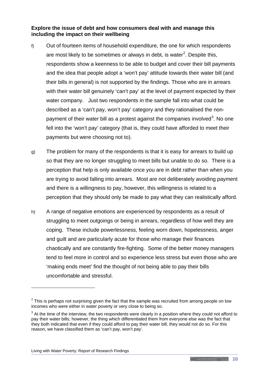**Explore the issue of debt and how consumers deal with and manage this including the impact on their wellbeing**

- f) Out of fourteen items of household expenditure, the one for which respondents are most likely to be sometimes or always in debt, is water<sup>[2](#page-14-0)</sup>. Despite this, respondents show a keenness to be able to budget and cover their bill payments and the idea that people adopt a 'won't pay' attitude towards their water bill (and their bills in general) is not supported by the findings. Those who are in arrears with their water bill genuinely 'can't pay' at the level of payment expected by their water company. Just two respondents in the sample fall into what could be described as a 'can't pay, won't pay' category and they rationalised the non-payment of their water bill as a protest against the companies involved<sup>[3](#page-14-1)</sup>. No one fell into the 'won't pay' category (that is, they could have afforded to meet their payments but were choosing not to).
- g) The problem for many of the respondents is that it is easy for arrears to build up so that they are no longer struggling to meet bills but unable to do so. There is a perception that help is only available once you are in debt rather than when you are trying to avoid falling into arrears. Most are not deliberately avoiding payment and there is a willingness to pay, however, this willingness is related to a perception that they should only be made to pay what they can realistically afford.
- h) A range of negative emotions are experienced by respondents as a result of struggling to meet outgoings or being in arrears, regardless of how well they are coping. These include powerlessness, feeling worn down, hopelessness, anger and guilt and are particularly acute for those who manage their finances chaotically and are constantly fire-fighting. Some of the better money managers tend to feel more in control and so experience less stress but even those who are 'making ends meet' find the thought of not being able to pay their bills uncomfortable and stressful.

-

<span id="page-14-0"></span> $2$  This is perhaps not surprising given the fact that the sample was recruited from among people on low incomes who were either in water poverty or very close to being so.

<span id="page-14-1"></span> $3$  At the time of the interview, the two respondents were clearly in a position where they could not afford to pay their water bills; however, the thing which differentiated them from everyone else was the fact that they both indicated that even if they could afford to pay their water bill, they would not do so. For this reason, we have classified them as 'can't pay, won't pay'.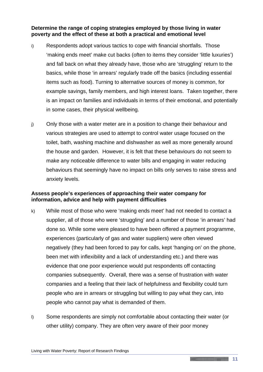**Determine the range of coping strategies employed by those living in water poverty and the effect of these at both a practical and emotional level**

- i) Respondents adopt various tactics to cope with financial shortfalls. Those 'making ends meet' make cut backs (often to items they consider 'little luxuries') and fall back on what they already have, those who are 'struggling' return to the basics, while those 'in arrears' regularly trade off the basics (including essential items such as food). Turning to alternative sources of money is common, for example savings, family members, and high interest loans. Taken together, there is an impact on families and individuals in terms of their emotional, and potentially in some cases, their physical wellbeing.
- j) Only those with a water meter are in a position to change their behaviour and various strategies are used to attempt to control water usage focused on the toilet, bath, washing machine and dishwasher as well as more generally around the house and garden. However, it is felt that these behaviours do not seem to make any noticeable difference to water bills and engaging in water reducing behaviours that seemingly have no impact on bills only serves to raise stress and anxiety levels.

#### **Assess people's experiences of approaching their water company for information, advice and help with payment difficulties**

- k) While most of those who were 'making ends meet' had not needed to contact a supplier, all of those who were 'struggling' and a number of those 'in arrears' had done so. While some were pleased to have been offered a payment programme, experiences (particularly of gas and water suppliers) were often viewed negatively (they had been forced to pay for calls, kept 'hanging on' on the phone, been met with inflexibility and a lack of understanding etc.) and there was evidence that one poor experience would put respondents off contacting companies subsequently. Overall, there was a sense of frustration with water companies and a feeling that their lack of helpfulness and flexibility could turn people who are in arrears or struggling but willing to pay what they can, into people who cannot pay what is demanded of them.
- l) Some respondents are simply not comfortable about contacting their water (or other utility) company. They are often very aware of their poor money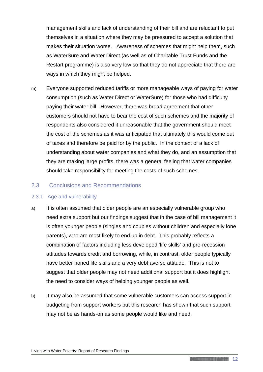management skills and lack of understanding of their bill and are reluctant to put themselves in a situation where they may be pressured to accept a solution that makes their situation worse. Awareness of schemes that might help them, such as WaterSure and Water Direct (as well as of Charitable Trust Funds and the Restart programme) is also very low so that they do not appreciate that there are ways in which they might be helped.

m) Everyone supported reduced tariffs or more manageable ways of paying for water consumption (such as Water Direct or WaterSure) for those who had difficulty paying their water bill. However, there was broad agreement that other customers should not have to bear the cost of such schemes and the majority of respondents also considered it unreasonable that the government should meet the cost of the schemes as it was anticipated that ultimately this would come out of taxes and therefore be paid for by the public. In the context of a lack of understanding about water companies and what they do, and an assumption that they are making large profits, there was a general feeling that water companies should take responsibility for meeting the costs of such schemes.

#### <span id="page-16-0"></span>2.3 Conclusions and Recommendations

#### 2.3.1 Age and vulnerability

- a) It is often assumed that older people are an especially vulnerable group who need extra support but our findings suggest that in the case of bill management it is often younger people (singles and couples without children and especially lone parents), who are most likely to end up in debt. This probably reflects a combination of factors including less developed 'life skills' and pre-recession attitudes towards credit and borrowing, while, in contrast, older people typically have better honed life skills and a very debt averse attitude. This is not to suggest that older people may not need additional support but it does highlight the need to consider ways of helping younger people as well.
- b) It may also be assumed that some vulnerable customers can access support in budgeting from support workers but this research has shown that such support may not be as hands-on as some people would like and need.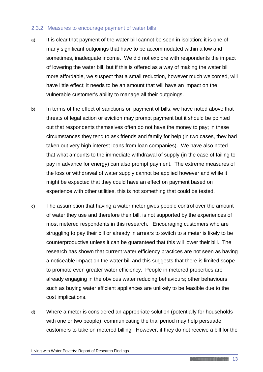#### 2.3.2 Measures to encourage payment of water bills

- a) It is clear that payment of the water bill cannot be seen in isolation; it is one of many significant outgoings that have to be accommodated within a low and sometimes, inadequate income. We did not explore with respondents the impact of lowering the water bill, but if this is offered as a way of making the water bill more affordable, we suspect that a small reduction, however much welcomed, will have little effect; it needs to be an amount that will have an impact on the vulnerable customer's ability to manage all their outgoings.
- b) In terms of the effect of sanctions on payment of bills, we have noted above that threats of legal action or eviction may prompt payment but it should be pointed out that respondents themselves often do not have the money to pay; in these circumstances they tend to ask friends and family for help (in two cases, they had taken out very high interest loans from loan companies). We have also noted that what amounts to the immediate withdrawal of supply (in the case of failing to pay in advance for energy) can also prompt payment. The extreme measures of the loss or withdrawal of water supply cannot be applied however and while it might be expected that they could have an effect on payment based on experience with other utilities, this is not something that could be tested.
- c) The assumption that having a water meter gives people control over the amount of water they use and therefore their bill, is not supported by the experiences of most metered respondents in this research. Encouraging customers who are struggling to pay their bill or already in arrears to switch to a meter is likely to be counterproductive unless it can be guaranteed that this will lower their bill. The research has shown that current water efficiency practices are not seen as having a noticeable impact on the water bill and this suggests that there is limited scope to promote even greater water efficiency. People in metered properties are already engaging in the obvious water reducing behaviours; other behaviours such as buying water efficient appliances are unlikely to be feasible due to the cost implications.
- d) Where a meter is considered an appropriate solution (potentially for households with one or two people), communicating the trial period may help persuade customers to take on metered billing. However, if they do not receive a bill for the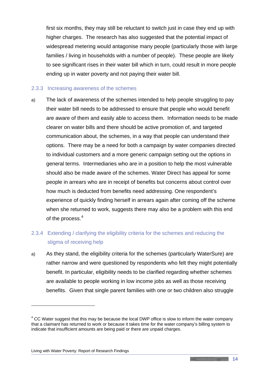first six months, they may still be reluctant to switch just in case they end up with higher charges. The research has also suggested that the potential impact of widespread metering would antagonise many people (particularly those with large families / living in households with a number of people). These people are likely to see significant rises in their water bill which in turn, could result in more people ending up in water poverty and not paying their water bill.

#### 2.3.3 Increasing awareness of the schemes

a) The lack of awareness of the schemes intended to help people struggling to pay their water bill needs to be addressed to ensure that people who would benefit are aware of them and easily able to access them. Information needs to be made clearer on water bills and there should be active promotion of, and targeted communication about, the schemes, in a way that people can understand their options. There may be a need for both a campaign by water companies directed to individual customers and a more generic campaign setting out the options in general terms. Intermediaries who are in a position to help the most vulnerable should also be made aware of the schemes. Water Direct has appeal for some people in arrears who are in receipt of benefits but concerns about control over how much is deducted from benefits need addressing. One respondent's experience of quickly finding herself in arrears again after coming off the scheme when she returned to work, suggests there may also be a problem with this end of the process.<sup>[4](#page-18-0)</sup>

## 2.3.4 Extending / clarifying the eligibility criteria for the schemes and reducing the stigma of receiving help

a) As they stand, the eligibility criteria for the schemes (particularly WaterSure) are rather narrow and were questioned by respondents who felt they might potentially benefit. In particular, eligibility needs to be clarified regarding whether schemes are available to people working in low income jobs as well as those receiving benefits. Given that single parent families with one or two children also struggle

-

<span id="page-18-0"></span> $4$  CC Water suggest that this may be because the local DWP office is slow to inform the water company that a claimant has returned to work or because it takes time for the water company's billing system to indicate that insufficient amounts are being paid or there are unpaid charges.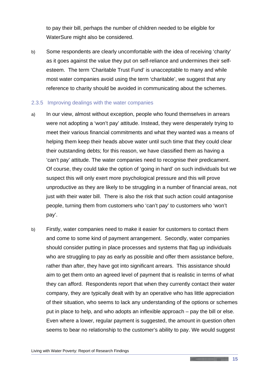to pay their bill, perhaps the number of children needed to be eligible for WaterSure might also be considered.

b) Some respondents are clearly uncomfortable with the idea of receiving 'charity' as it goes against the value they put on self-reliance and undermines their selfesteem. The term 'Charitable Trust Fund' is unacceptable to many and while most water companies avoid using the term 'charitable', we suggest that any reference to charity should be avoided in communicating about the schemes.

#### 2.3.5 Improving dealings with the water companies

- a) In our view, almost without exception, people who found themselves in arrears were not adopting a 'won't pay' attitude. Instead, they were desperately trying to meet their various financial commitments and what they wanted was a means of helping them keep their heads above water until such time that they could clear their outstanding debts; for this reason, we have classified them as having a 'can't pay' attitude. The water companies need to recognise their predicament. Of course, they could take the option of 'going in hard' on such individuals but we suspect this will only exert more psychological pressure and this will prove unproductive as they are likely to be struggling in a number of financial areas, not just with their water bill. There is also the risk that such action could antagonise people, turning them from customers who 'can't pay' to customers who 'won't pay'.
- b) Firstly, water companies need to make it easier for customers to contact them and come to some kind of payment arrangement. Secondly, water companies should consider putting in place processes and systems that flag up individuals who are struggling to pay as early as possible and offer them assistance before, rather than after, they have got into significant arrears. This assistance should aim to get them onto an agreed level of payment that is realistic in terms of what they can afford. Respondents report that when they currently contact their water company, they are typically dealt with by an operative who has little appreciation of their situation, who seems to lack any understanding of the options or schemes put in place to help, and who adopts an inflexible approach – pay the bill or else. Even where a lower, regular payment is suggested, the amount in question often seems to bear no relationship to the customer's ability to pay. We would suggest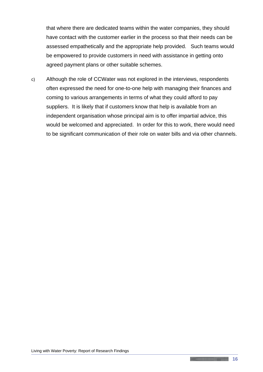that where there are dedicated teams within the water companies, they should have contact with the customer earlier in the process so that their needs can be assessed empathetically and the appropriate help provided. Such teams would be empowered to provide customers in need with assistance in getting onto agreed payment plans or other suitable schemes.

c) Although the role of CCWater was not explored in the interviews, respondents often expressed the need for one-to-one help with managing their finances and coming to various arrangements in terms of what they could afford to pay suppliers. It is likely that if customers know that help is available from an independent organisation whose principal aim is to offer impartial advice, this would be welcomed and appreciated. In order for this to work, there would need to be significant communication of their role on water bills and via other channels.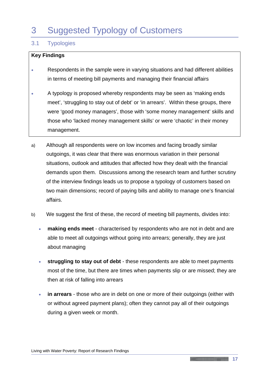## <span id="page-21-0"></span>3 Suggested Typology of Customers

## <span id="page-21-1"></span>3.1 Typologies

### **Key Findings**

- Respondents in the sample were in varying situations and had different abilities in terms of meeting bill payments and managing their financial affairs
- A typology is proposed whereby respondents may be seen as 'making ends meet', 'struggling to stay out of debt' or 'in arrears'. Within these groups, there were 'good money managers', those with 'some money management' skills and those who 'lacked money management skills' or were 'chaotic' in their money management.
- a) Although all respondents were on low incomes and facing broadly similar outgoings, it was clear that there was enormous variation in their personal situations, outlook and attitudes that affected how they dealt with the financial demands upon them. Discussions among the research team and further scrutiny of the interview findings leads us to propose a typology of customers based on two main dimensions; record of paying bills and ability to manage one's financial affairs.
- b) We suggest the first of these, the record of meeting bill payments, divides into:
	- **making ends meet**  characterised by respondents who are not in debt and are able to meet all outgoings without going into arrears; generally, they are just about managing
	- **struggling to stay out of debt**  these respondents are able to meet payments most of the time, but there are times when payments slip or are missed; they are then at risk of falling into arrears
	- **in arrears** those who are in debt on one or more of their outgoings (either with or without agreed payment plans); often they cannot pay all of their outgoings during a given week or month.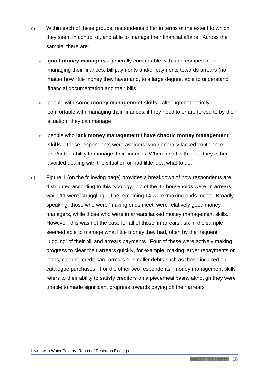- c) Within each of these groups, respondents differ in terms of the extent to which they seem in control of, and able to manage their financial affairs. Across the sample, there are:
	- **good money managers**  generally comfortable with, and competent in managing their finances, bill payments and/or payments towards arrears (no matter how little money they have) and, to a large degree, able to understand financial documentation and their bills
	- people with **some money management skills** although not entirely comfortable with managing their finances, if they need to or are forced to by their situation, they can manage
	- people who **lack money management / have chaotic money management skills** - these respondents were avoiders who generally lacked confidence and/or the ability to manage their finances. When faced with debt, they either avoided dealing with the situation or had little idea what to do.
- d) Figure 1 (on the following page) provides a breakdown of how respondents are distributed according to this typology. 17 of the 42 households were 'in arrears', while 11 were 'struggling'. The remaining 14 were 'making ends meet'. Broadly speaking, those who were 'making ends meet' were relatively good money managers, while those who were in arrears lacked money management skills. However, this was not the case for all of those 'in arrears'; six in the sample seemed able to manage what little money they had, often by the frequent 'juggling' of their bill and arrears payments. Four of these were actively making progress to clear their arrears quickly, for example, making larger repayments on loans, clearing credit card arrears or smaller debts such as those incurred on catalogue purchases. For the other two respondents, 'money management skills' refers to their ability to satisfy creditors on a piecemeal basis, although they were unable to made significant progress towards paying off their arrears.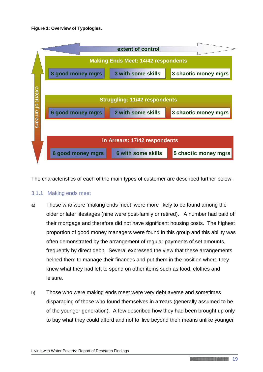#### **Figure 1: Overview of Typologies**.



The characteristics of each of the main types of customer are described further below.

#### 3.1.1 Making ends meet

- a) Those who were 'making ends meet' were more likely to be found among the older or later lifestages (nine were post-family or retired). A number had paid off their mortgage and therefore did not have significant housing costs. The highest proportion of good money managers were found in this group and this ability was often demonstrated by the arrangement of regular payments of set amounts, frequently by direct debit. Several expressed the view that these arrangements helped them to manage their finances and put them in the position where they knew what they had left to spend on other items such as food, clothes and leisure.
- b) Those who were making ends meet were very debt averse and sometimes disparaging of those who found themselves in arrears (generally assumed to be of the younger generation). A few described how they had been brought up only to buy what they could afford and not to 'live beyond their means unlike younger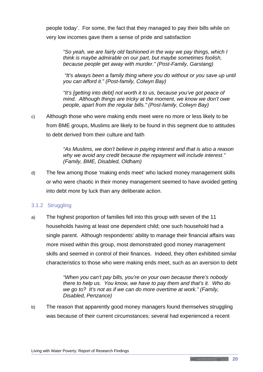people today'. For some, the fact that they managed to pay their bills while on very low incomes gave them a sense of pride and satisfaction

*"So yeah, we are fairly old fashioned in the way we pay things, which I think is maybe admirable on our part, but maybe sometimes foolish, because people get away with murder." (Post-Family, Garstang)*

*"It's always been a family thing where you do without or you save up until you can afford it." (Post-family, Colwyn Bay)*

*"It's [getting into debt] not worth it to us, because you've got peace of mind. Although things are tricky at the moment, we know we don't owe people, apart from the regular bills." (Post-family, Colwyn Bay)*

c) Although those who were making ends meet were no more or less likely to be from BME groups, Muslims are likely to be found in this segment due to attitudes to debt derived from their culture and faith

> *"As Muslims, we don't believe in paying interest and that is also a reason why we avoid any credit because the repayment will include interest." (Family, BME, Disabled, Oldham)*

d) The few among those 'making ends meet' who lacked money management skills or who were chaotic in their money management seemed to have avoided getting into debt more by luck than any deliberate action.

## 3.1.2 Struggling

a) The highest proportion of families fell into this group with seven of the 11 households having at least one dependent child; one such household had a single parent. Although respondents' ability to manage their financial affairs was more mixed within this group, most demonstrated good money management skills and seemed in control of their finances. Indeed, they often exhibited similar characteristics to those who were making ends meet, such as an aversion to debt

> *"When you can't pay bills, you're on your own because there's nobody there to help us. You know, we have to pay them and that's it. Who do we go to? It's not as if we can do more overtime at work." (Family, Disabled, Penzance)*

b) The reason that apparently good money managers found themselves struggling was because of their current circumstances; several had experienced a recent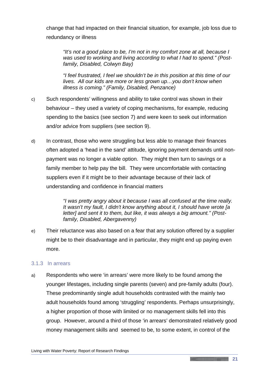change that had impacted on their financial situation, for example, job loss due to redundancy or illness

*"It's not a good place to be, I'm not in my comfort zone at all, because I was used to working and living according to what I had to spend." (Postfamily, Disabled, Colwyn Bay)*

*"I feel frustrated, I feel we shouldn't be in this position at this time of our lives. All our kids are more or less grown up…you don't know when illness is coming." (Family, Disabled, Penzance)*

- c) Such respondents' willingness and ability to take control was shown in their behaviour – they used a variety of coping mechanisms, for example, reducing spending to the basics (see section 7) and were keen to seek out information and/or advice from suppliers (see section 9).
- d) In contrast, those who were struggling but less able to manage their finances often adopted a 'head in the sand' attitude, ignoring payment demands until nonpayment was no longer a viable option. They might then turn to savings or a family member to help pay the bill. They were uncomfortable with contacting suppliers even if it might be to their advantage because of their lack of understanding and confidence in financial matters

*"I was pretty angry about it because I was all confused at the time really. It wasn't my fault, I didn't know anything about it, I should have wrote [a letter] and sent it to them, but like, it was always a big amount." (Postfamily, Disabled, Abergavenny)*

e) Their reluctance was also based on a fear that any solution offered by a supplier might be to their disadvantage and in particular, they might end up paying even more.

#### 3.1.3 In arrears

a) Respondents who were 'in arrears' were more likely to be found among the younger lifestages, including single parents (seven) and pre-family adults (four). These predominantly single adult households contrasted with the mainly two adult households found among 'struggling' respondents. Perhaps unsurprisingly, a higher proportion of those with limited or no management skills fell into this group. However, around a third of those 'in arrears' demonstrated relatively good money management skills and seemed to be, to some extent, in control of the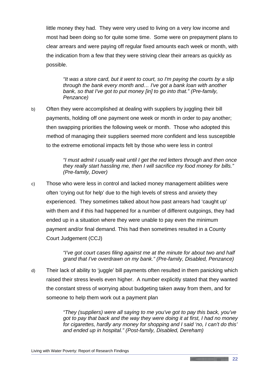little money they had. They were very used to living on a very low income and most had been doing so for quite some time. Some were on prepayment plans to clear arrears and were paying off regular fixed amounts each week or month, with the indication from a few that they were striving clear their arrears as quickly as possible.

*"It was a store card, but it went to court, so I'm paying the courts by a slip through the bank every month and… I've got a bank loan with another bank, so that I've got to put money [in] to go into that." (Pre-family, Penzance)*

b) Often they were accomplished at dealing with suppliers by juggling their bill payments, holding off one payment one week or month in order to pay another; then swapping priorities the following week or month. Those who adopted this method of managing their suppliers seemed more confident and less susceptible to the extreme emotional impacts felt by those who were less in control

> *"I must admit I usually wait until I get the red letters through and then once they really start hassling me, then I will sacrifice my food money for bills." (Pre-family, Dover)*

c) Those who were less in control and lacked money management abilities were often 'crying out for help' due to the high levels of stress and anxiety they experienced. They sometimes talked about how past arrears had 'caught up' with them and if this had happened for a number of different outgoings, they had ended up in a situation where they were unable to pay even the minimum payment and/or final demand. This had then sometimes resulted in a County Court Judgement (CCJ)

> *"I've got court cases filing against me at the minute for about two and half grand that I've overdrawn on my bank." (Pre-family, Disabled, Penzance)*

d) Their lack of ability to 'juggle' bill payments often resulted in them panicking which raised their stress levels even higher. A number explicitly stated that they wanted the constant stress of worrying about budgeting taken away from them, and for someone to help them work out a payment plan

> *"They (suppliers) were all saying to me you've got to pay this back, you've got to pay that back and the way they were doing it at first, I had no money for cigarettes, hardly any money for shopping and I said 'no, I can't do this' and ended up in hospital." (Post-family, Disabled, Dereham)*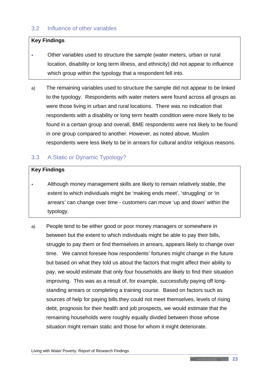## <span id="page-27-0"></span>3.2 Influence of other variables

#### **Key Findings**

- Other variables used to structure the sample (water meters, urban or rural location, disability or long term illness, and ethnicity) did not appear to influence which group within the typology that a respondent fell into.
- a) The remaining variables used to structure the sample did not appear to be linked to the typology. Respondents with water meters were found across all groups as were those living in urban and rural locations. There was no indication that respondents with a disability or long term health condition were more likely to be found in a certain group and overall, BME respondents were not likely to be found in one group compared to another. However, as noted above, Muslim respondents were less likely to be in arrears for cultural and/or religious reasons.

## <span id="page-27-1"></span>3.3 A Static or Dynamic Typology?

#### **Key Findings**

- Although money management skills are likely to remain relatively stable, the extent to which individuals might be 'making ends meet', 'struggling' or 'in arrears' can change over time - customers can move 'up and down' within the typology.
- a) People tend to be either good or poor money managers or somewhere in between but the extent to which individuals might be able to pay their bills, struggle to pay them or find themselves in arrears, appears likely to change over time. We cannot foresee how respondents' fortunes might change in the future but based on what they told us about the factors that might affect their ability to pay, we would estimate that only four households are likely to find their situation improving. This was as a result of, for example, successfully paying off longstanding arrears or completing a training course. Based on factors such as sources of help for paying bills they could not meet themselves, levels of rising debt, prognosis for their health and job prospects, we would estimate that the remaining households were roughly equally divided between those whose situation might remain static and those for whom it might deteriorate.

<u> 1989 - Andrea State Andrea State Andrea State Andrea Sta</u>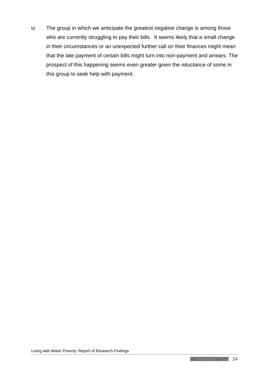b) The group in which we anticipate the greatest negative change is among those who are currently struggling to pay their bills. It seems likely that a small change in their circumstances or an unexpected further call on their finances might mean that the late payment of certain bills might turn into non-payment and arrears. The prospect of this happening seems even greater given the reluctance of some in this group to seek help with payment.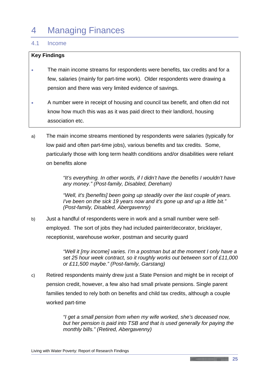## <span id="page-29-0"></span>4 Managing Finances

### <span id="page-29-1"></span>4.1 Income

#### **Key Findings**

- The main income streams for respondents were benefits, tax credits and for a few, salaries (mainly for part-time work). Older respondents were drawing a pension and there was very limited evidence of savings.
- A number were in receipt of housing and council tax benefit, and often did not know how much this was as it was paid direct to their landlord, housing association etc.
- a) The main income streams mentioned by respondents were salaries (typically for low paid and often part-time jobs), various benefits and tax credits. Some, particularly those with long term health conditions and/or disabilities were reliant on benefits alone

*"It's everything. In other words, if I didn't have the benefits I wouldn't have any money." (Post-family, Disabled, Dereham)* 

*"Well, it's [benefits] been going up steadily over the last couple of years. I've been on the sick 19 years now and it's gone up and up a little bit." (Post-family, Disabled, Abergavenny)*

b) Just a handful of respondents were in work and a small number were selfemployed. The sort of jobs they had included painter/decorator, bricklayer, receptionist, warehouse worker, postman and security guard

> *"Well it [my income] varies. I'm a postman but at the moment I only have a set 25 hour week contract, so it roughly works out between sort of £11,000 or £11,500 maybe." (Post-family, Garstang)*

c) Retired respondents mainly drew just a State Pension and might be in receipt of pension credit, however, a few also had small private pensions. Single parent families tended to rely both on benefits and child tax credits, although a couple worked part-time

> *"I get a small pension from when my wife worked, she's deceased now, but her pension is paid into TSB and that is used generally for paying the monthly bills." (Retired, Abergavenny)*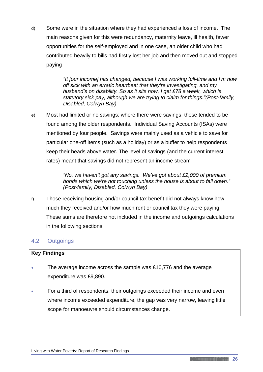d) Some were in the situation where they had experienced a loss of income. The main reasons given for this were redundancy, maternity leave, ill health, fewer opportunities for the self-employed and in one case, an older child who had contributed heavily to bills had firstly lost her job and then moved out and stopped paying

> *"It [our income] has changed, because I was working full-time and I'm now off sick with an erratic heartbeat that they're investigating, and my husband's on disability. So as it sits now, I get £78 a week, which is statutory sick pay, although we are trying to claim for things."(Post-family, Disabled, Colwyn Bay)*

e) Most had limited or no savings; where there were savings, these tended to be found among the older respondents. Individual Saving Accounts (ISAs) were mentioned by four people. Savings were mainly used as a vehicle to save for particular one-off items (such as a holiday) or as a buffer to help respondents keep their heads above water. The level of savings (and the current interest rates) meant that savings did not represent an income stream

> *"No, we haven't got any savings. We've got about £2,000 of premium bonds which we're not touching unless the house is about to fall down." (Post-family, Disabled, Colwyn Bay)*

f) Those receiving housing and/or council tax benefit did not always know how much they received and/or how much rent or council tax they were paying. These sums are therefore not included in the income and outgoings calculations in the following sections.

## <span id="page-30-0"></span>4.2 Outgoings

## **Key Findings**

- The average income across the sample was £10,776 and the average expenditure was £9,890.
- For a third of respondents, their outgoings exceeded their income and even where income exceeded expenditure, the gap was very narrow, leaving little scope for manoeuvre should circumstances change.

**Communication**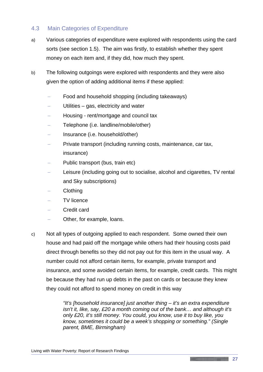## <span id="page-31-0"></span>4.3 Main Categories of Expenditure

- a) Various categories of expenditure were explored with respondents using the card sorts (see section 1.5). The aim was firstly, to establish whether they spent money on each item and, if they did, how much they spent.
- b) The following outgoings were explored with respondents and they were also given the option of adding additional items if these applied:
	- Food and household shopping (including takeaways)
	- Utilities gas, electricity and water
	- − Housing rent/mortgage and council tax
	- − Telephone (i.e. landline/mobile/other)
	- − Insurance (i.e. household/other)
	- − Private transport (including running costs, maintenance, car tax, insurance)
	- − Public transport (bus, train etc)
	- Leisure (including going out to socialise, alcohol and cigarettes, TV rental and Sky subscriptions)
	- − Clothing
	- − TV licence
	- − Credit card
	- Other, for example, loans.
- c) Not all types of outgoing applied to each respondent. Some owned their own house and had paid off the mortgage while others had their housing costs paid direct through benefits so they did not pay out for this item in the usual way. A number could not afford certain items, for example, private transport and insurance, and some avoided certain items, for example, credit cards. This might be because they had run up debts in the past on cards or because they knew they could not afford to spend money on credit in this way

*"It's [household insurance] just another thing – it's an extra expenditure isn't it, like, say, £20 a month coming out of the bank… and although it's only £20, it's still money. You could, you know, use it to buy like, you know, sometimes it could be a week's shopping or something." (Single parent, BME, Birmingham)*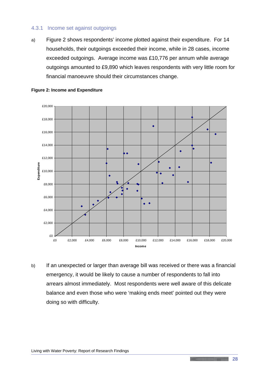#### 4.3.1 Income set against outgoings

a) Figure 2 shows respondents' income plotted against their expenditure. For 14 households, their outgoings exceeded their income, while in 28 cases, income exceeded outgoings. Average income was £10,776 per annum while average outgoings amounted to £9,890 which leaves respondents with very little room for financial manoeuvre should their circumstances change.



#### **Figure 2: Income and Expenditure**

b) If an unexpected or larger than average bill was received or there was a financial emergency, it would be likely to cause a number of respondents to fall into arrears almost immediately. Most respondents were well aware of this delicate balance and even those who were 'making ends meet' pointed out they were doing so with difficulty.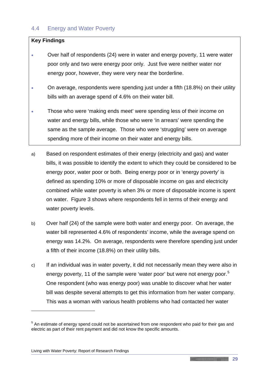## <span id="page-33-0"></span>4.4 Energy and Water Poverty

#### **Key Findings**

- Over half of respondents (24) were in water and energy poverty, 11 were water poor only and two were energy poor only. Just five were neither water nor energy poor, however, they were very near the borderline.
- On average, respondents were spending just under a fifth (18.8%) on their utility bills with an average spend of 4.6% on their water bill.
- Those who were 'making ends meet' were spending less of their income on water and energy bills, while those who were 'in arrears' were spending the same as the sample average. Those who were 'struggling' were on average spending more of their income on their water and energy bills.
- a) Based on respondent estimates of their energy (electricity and gas) and water bills, it was possible to identify the extent to which they could be considered to be energy poor, water poor or both. Being energy poor or in 'energy poverty' is defined as spending 10% or more of disposable income on gas and electricity combined while water poverty is when 3% or more of disposable income is spent on water. Figure 3 shows where respondents fell in terms of their energy and water poverty levels.
- b) Over half (24) of the sample were both water and energy poor. On average, the water bill represented 4.6% of respondents' income, while the average spend on energy was 14.2%. On average, respondents were therefore spending just under a fifth of their income (18.8%) on their utility bills.
- c) If an individual was in water poverty, it did not necessarily mean they were also in energy poverty, 11 of the sample were 'water poor' but were not energy poor.<sup>[5](#page-33-1)</sup> One respondent (who was energy poor) was unable to discover what her water bill was despite several attempts to get this information from her water company. This was a woman with various health problems who had contacted her water

<u>.</u>

<span id="page-33-1"></span> $5$  An estimate of energy spend could not be ascertained from one respondent who paid for their gas and electric as part of their rent payment and did not know the specific amounts.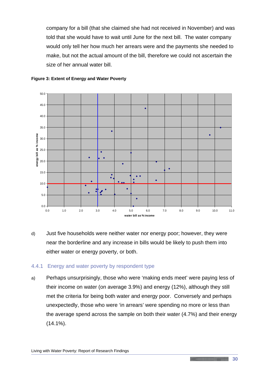company for a bill (that she claimed she had not received in November) and was told that she would have to wait until June for the next bill. The water company would only tell her how much her arrears were and the payments she needed to make, but not the actual amount of the bill, therefore we could not ascertain the size of her annual water bill.





d) Just five households were neither water nor energy poor; however, they were near the borderline and any increase in bills would be likely to push them into either water or energy poverty, or both.

#### 4.4.1 Energy and water poverty by respondent type

a) Perhaps unsurprisingly, those who were 'making ends meet' were paying less of their income on water (on average 3.9%) and energy (12%), although they still met the criteria for being both water and energy poor. Conversely and perhaps unexpectedly, those who were 'in arrears' were spending no more or less than the average spend across the sample on both their water (4.7%) and their energy  $(14.1\%)$ .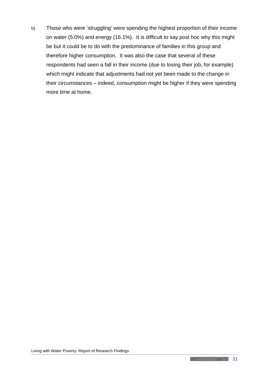b) Those who were 'struggling' were spending the highest proportion of their income on water (5.0%) and energy (16.1%). It is difficult to say post hoc why this might be but it could be to do with the predominance of families in this group and therefore higher consumption. It was also the case that several of these respondents had seen a fall in their income (due to losing their job, for example) which might indicate that adjustments had not yet been made to the change in their circumstances – indeed, consumption might be higher if they were spending more time at home.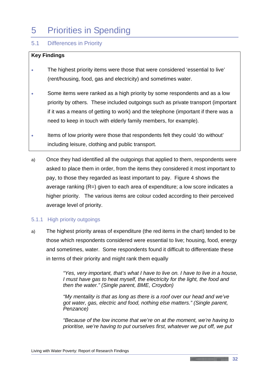# 5 Priorities in Spending

## 5.1 Differences in Priority

#### **Key Findings**

- The highest priority items were those that were considered 'essential to live' (rent/housing, food, gas and electricity) and sometimes water.
- Some items were ranked as a high priority by some respondents and as a low priority by others. These included outgoings such as private transport (important if it was a means of getting to work) and the telephone (important if there was a need to keep in touch with elderly family members, for example).
- Items of low priority were those that respondents felt they could 'do without' including leisure, clothing and public transport.
- a) Once they had identified all the outgoings that applied to them, respondents were asked to place them in order, from the items they considered it most important to pay, to those they regarded as least important to pay. Figure 4 shows the average ranking (R=) given to each area of expenditure; a low score indicates a higher priority. The various items are colour coded according to their perceived average level of priority.

#### 5.1.1 High priority outgoings

a) The highest priority areas of expenditure (the red items in the chart) tended to be those which respondents considered were essential to live; housing, food, energy and sometimes, water. Some respondents found it difficult to differentiate these in terms of their priority and might rank them equally

> *"Yes, very important, that's what I have to live on. I have to live in a house, I must have gas to heat myself, the electricity for the light, the food and then the water." (Single parent, BME, Croydon)*

*"My mentality is that as long as there is a roof over our head and we've got water, gas, electric and food, nothing else matters." (Single parent, Penzance)*

*"Because of the low income that we're on at the moment, we're having to prioritise, we're having to put ourselves first, whatever we put off, we put*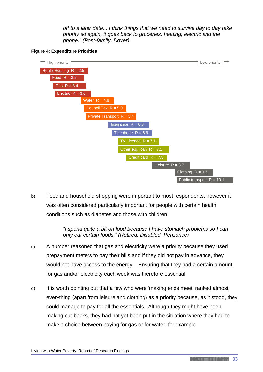*off to a later date... I think things that we need to survive day to day take priority so again, it goes back to groceries, heating, electric and the phone." (Post-family, Dover)*





b) Food and household shopping were important to most respondents, however it was often considered particularly important for people with certain health conditions such as diabetes and those with children

> *"I spend quite a bit on food because I have stomach problems so I can only eat certain foods." (Retired, Disabled, Penzance)*

- c) A number reasoned that gas and electricity were a priority because they used prepayment meters to pay their bills and if they did not pay in advance, they would not have access to the energy. Ensuring that they had a certain amount for gas and/or electricity each week was therefore essential.
- d) It is worth pointing out that a few who were 'making ends meet' ranked almost everything (apart from leisure and clothing) as a priority because, as it stood, they could manage to pay for all the essentials. Although they might have been making cut-backs, they had not yet been put in the situation where they had to make a choice between paying for gas or for water, for example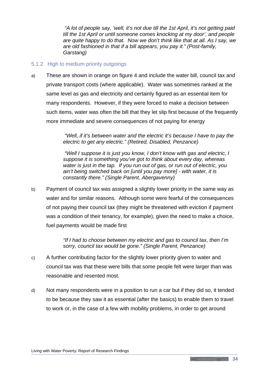*"A lot of people say, 'well, it's not due till the 1st April, it's not getting paid till the 1st April or until someone comes knocking at my door', and people are quite happy to do that. Now we don't think like that at all. As I say, we are old fashioned in that if a bill appears, you pay it." (Post-family, Garstang)*

#### 5.1.2 High to medium priority outgoings

a) These are shown in orange on figure 4 and include the water bill, council tax and private transport costs (where applicable). Water was sometimes ranked at the same level as gas and electricity and certainly figured as an essential item for many respondents. However, if they were forced to make a decision between such items, water was often the bill that they let slip first because of the frequently more immediate and severe consequences of not paying for energy

> *"Well, if it's between water and the electric it's because I have to pay the electric to get any electric." (Retired, Disabled, Penzance)*

*"Well I suppose it is just you know, I don't know with gas and electric, I suppose it is something you've got to think about every day, whereas water is just in the tap. If you run out of gas, or run out of electric, you ain't being switched back on [until you pay more] - with water, it is constantly there." (Single Parent, Abergavenny)*

b) Payment of council tax was assigned a slightly lower priority in the same way as water and for similar reasons. Although some were fearful of the consequences of not paying their council tax (they might be threatened with eviction if payment was a condition of their tenancy, for example), given the need to make a choice, fuel payments would be made first

> *"If I had to choose between my electric and gas to council tax, then I'm sorry, council tax would be gone." (Single Parent, Penzance)*

- c) A further contributing factor for the slightly lower priority given to water and council tax was that these were bills that some people felt were larger than was reasonable and resented most.
- d) Not many respondents were in a position to run a car but if they did so, it tended to be because they saw it as essential (after the basics) to enable them to travel to work or, in the case of a few with mobility problems, in order to get around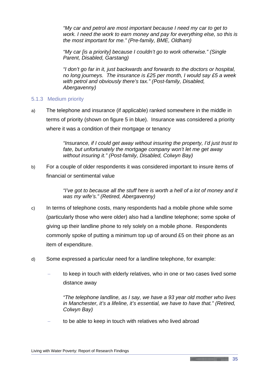*"My car and petrol are most important because I need my car to get to work. I need the work to earn money and pay for everything else, so this is the most important for me." (Pre-family, BME, Oldham)*

*"My car [is a priority] because I couldn't go to work otherwise." (Single Parent, Disabled, Garstang)*

*"I don't go far in it, just backwards and forwards to the doctors or hospital, no long journeys. The insurance is £25 per month, I would say £5 a week with petrol and obviously there's tax." (Post-family, Disabled, Abergavenny)*

#### 5.1.3 Medium priority

a) The telephone and insurance (if applicable) ranked somewhere in the middle in terms of priority (shown on figure 5 in blue). Insurance was considered a priority where it was a condition of their mortgage or tenancy

> *"Insurance, if I could get away without insuring the property, I'd just trust to fate, but unfortunately the mortgage company won't let me get away without insuring it." (Post-family, Disabled, Colwyn Bay)*

b) For a couple of older respondents it was considered important to insure items of financial or sentimental value

> *"I've got to because all the stuff here is worth a hell of a lot of money and it was my wife's." (Retired, Abergavenny)*

- c) In terms of telephone costs, many respondents had a mobile phone while some (particularly those who were older) also had a landline telephone; some spoke of giving up their landline phone to rely solely on a mobile phone. Respondents commonly spoke of putting a minimum top up of around £5 on their phone as an item of expenditure.
- d) Some expressed a particular need for a landline telephone, for example:
	- to keep in touch with elderly relatives, who in one or two cases lived some distance away

*"The telephone landline, as I say, we have a 93 year old mother who lives in Manchester, it's a lifeline, it's essential, we have to have that." (Retired, Colwyn Bay)*

to be able to keep in touch with relatives who lived abroad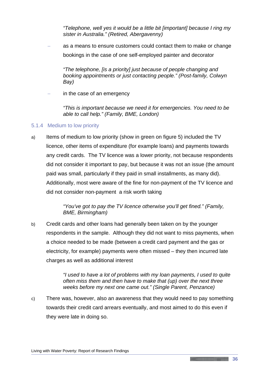*"Telephone, well yes it would be a little bit [important] because I ring my sister in Australia." (Retired, Abergavenny)*

as a means to ensure customers could contact them to make or change bookings in the case of one self-employed painter and decorator

*"The telephone, [is a priority] just because of people changing and booking appointments or just contacting people." (Post-family, Colwyn Bay)*

in the case of an emergency

*"This is important because we need it for emergencies. You need to be able to call help." (Family, BME, London)*

#### 5.1.4 Medium to low priority

a) Items of medium to low priority (show in green on figure 5) included the TV licence, other items of expenditure (for example loans) and payments towards any credit cards. The TV licence was a lower priority, not because respondents did not consider it important to pay, but because it was not an issue (the amount paid was small, particularly if they paid in small installments, as many did). Additionally, most were aware of the fine for non-payment of the TV licence and did not consider non-payment a risk worth taking

> *"You've got to pay the TV licence otherwise you'll get fined." (Family, BME, Birmingham)*

b) Credit cards and other loans had generally been taken on by the younger respondents in the sample. Although they did not want to miss payments, when a choice needed to be made (between a credit card payment and the gas or electricity, for example) payments were often missed – they then incurred late charges as well as additional interest

> *"I used to have a lot of problems with my loan payments, I used to quite often miss them and then have to make that (up) over the next three weeks before my next one came out." (Single Parent, Penzance)*

c) There was, however, also an awareness that they would need to pay something towards their credit card arrears eventually, and most aimed to do this even if they were late in doing so.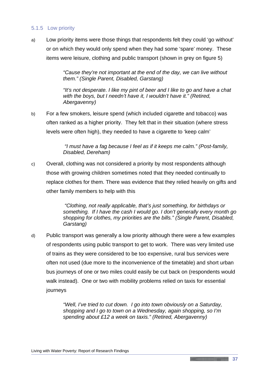#### 5.1.5 Low priority

a) Low priority items were those things that respondents felt they could 'go without' or on which they would only spend when they had some 'spare' money. These items were leisure, clothing and public transport (shown in grey on figure 5)

> *"Cause they're not important at the end of the day, we can live without them." (Single Parent, Disabled, Garstang)*

*"It's not desperate. I like my pint of beer and I like to go and have a chat with the boys, but I needn't have it, I wouldn't have it." (Retired, Abergavenny)*

b) For a few smokers, leisure spend (which included cigarette and tobacco) was often ranked as a higher priority. They felt that in their situation (where stress levels were often high), they needed to have a cigarette to 'keep calm'

> *"I must have a fag because I feel as if it keeps me calm." (Post-family, Disabled, Dereham)*

c) Overall, clothing was not considered a priority by most respondents although those with growing children sometimes noted that they needed continually to replace clothes for them. There was evidence that they relied heavily on gifts and other family members to help with this

> *"Clothing, not really applicable, that's just something, for birthdays or something. If I have the cash I would go. I don't generally every month go shopping for clothes, my priorities are the bills." (Single Parent, Disabled, Garstang)*

d) Public transport was generally a low priority although there were a few examples of respondents using public transport to get to work. There was very limited use of trains as they were considered to be too expensive, rural bus services were often not used (due more to the inconvenience of the timetable) and short urban bus journeys of one or two miles could easily be cut back on (respondents would walk instead). One or two with mobility problems relied on taxis for essential journeys

> *"Well, I've tried to cut down. I go into town obviously on a Saturday, shopping and I go to town on a Wednesday, again shopping, so I'm spending about £12 a week on taxis." (Retired, Abergavenny)*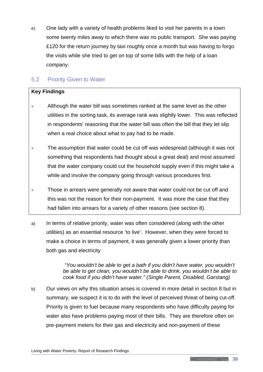e) One lady with a variety of health problems liked to visit her parents in a town some twenty miles away to which there was no public transport. She was paying £120 for the return journey by taxi roughly once a month but was having to forgo the visits while she tried to get on top of some bills with the help of a loan company.

## 5.2 Priority Given to Water

#### **Key Findings**

- Although the water bill was sometimes ranked at the same level as the other utilities in the sorting task, its average rank was slightly lower. This was reflected in respondents' reasoning that the water bill was often the bill that they let slip when a real choice about what to pay had to be made.
- The assumption that water could be cut off was widespread (although it was not something that respondents had thought about a great deal) and most assumed that the water company could cut the household supply even if this might take a while and involve the company going through various procedures first.
- Those in arrears were generally not aware that water could not be cut off and this was not the reason for their non-payment. It was more the case that they had fallen into arrears for a variety of other reasons (see section 8).
- a) In terms of relative priority, water was often considered (along with the other utilities) as an essential resource 'to live'. However, when they were forced to make a choice in terms of payment, it was generally given a lower priority than both gas and electricity

*"You wouldn't be able to get a bath if you didn't have water, you wouldn't be able to get clean, you wouldn't be able to drink, you wouldn't be able to cook food if you didn't have water." (Single Parent, Disabled, Garstang)*

b) Our views on why this situation arises is covered in more detail in section 8 but in summary, we suspect it is to do with the level of perceived threat of being cut-off. Priority is given to fuel because many respondents who have difficulty paying for water also have problems paying most of their bills. They are therefore often on pre-payment meters for their gas and electricity and non-payment of these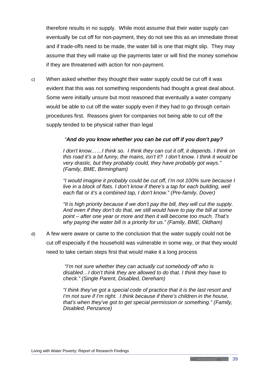therefore results in no supply. While most assume that their water supply can eventually be cut off for non-payment, they do not see this as an immediate threat and if trade-offs need to be made, the water bill is one that might slip. They may assume that they will make up the payments later or will find the money somehow if they are threatened with action for non-payment.

c) When asked whether they thought their water supply could be cut off it was evident that this was not something respondents had thought a great deal about. Some were initially unsure but most reasoned that eventually a water company would be able to cut off the water supply even if they had to go through certain procedures first. Reasons given for companies not being able to cut off the supply tended to be physical rather than legal

#### *"And do you know whether you can be cut off if you don't pay?*

*I* don't know......I think so. I think they can cut it off, it depends. I think on *this road it's a bit funny, the mains, isn't it? I don't know. I think it would be very drastic, but they probably could, they have probably got ways." (Family, BME, Birmingham)*

*"I would imagine it probably could be cut off, I'm not 100% sure because I live in a block of flats. I don't know if there's a tap for each building, well each flat or it's a combined tap, I don't know." (Pre-family, Dover)*

*"It is high priority because if we don't pay the bill, they will cut the supply. And even if they don't do that, we still would have to pay the bill at some point – after one year or more and then it will become too much. That's why paying the water bill is a priority for us." (Family, BME, Oldham)*

d) A few were aware or came to the conclusion that the water supply could not be cut off especially if the household was vulnerable in some way, or that they would need to take certain steps first that would make it a long process

> *"I'm not sure whether they can actually cut somebody off who is disabled…I don't think they are allowed to do that. I think they have to check." (Single Parent, Disabled, Dereham)*

*"I think they've got a special code of practice that it is the last resort and I'm not sure if I'm right. I think because if there's children in the house, that's when they've got to get special permission or something." (Family, Disabled, Penzance)*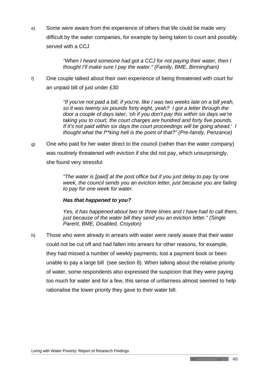e) Some were aware from the experience of others that life could be made very difficult by the water companies, for example by being taken to court and possibly served with a CCJ

> *"When I heard someone had got a CCJ for not paying their water, then I thought I'll make sure I pay the water." (Family, BME, Birmingham)*

f) One couple talked about their own experience of being threatened with court for an unpaid bill of just under £30

> *"If you've not paid a bill, if you're, like I was two weeks late on a bill yeah, so it was twenty six pounds forty eight, yeah? I got a letter through the door a couple of days later, 'oh if you don't pay this within six days we're taking you to court, the court charges are hundred and forty five pounds. If it's not paid within six days the court proceedings will be going ahead.' I thought what the f\*\*king hell is the point of that?" (Pre-family, Penzance)*

g) One who paid for her water direct to the council (rather than the water company) was routinely threatened with eviction if she did not pay, which unsurprisingly, she found very stressful

> *"The water is [paid] at the post office but if you just delay to pay by one week, the council sends you an eviction letter, just because you are failing to pay for one week for water.*

#### *Has that happened to you?*

*Yes, it has happened about two or three times and I have had to call them, just because of the water bill they send you an eviction letter." (Single Parent, BME, Disabled, Croydon)*

h) Those who were already in arrears with water were rarely aware that their water could not be cut off and had fallen into arrears for other reasons, for example, they had missed a number of weekly payments, lost a payment book or been unable to pay a large bill (see section 8). When talking about the relative priority of water, some respondents also expressed the suspicion that they were paying too much for water and for a few, this sense of unfairness almost seemed to help rationalise the lower priority they gave to their water bill.

<u> 1989 - Jan Albert Stein, fransk konge og det for de formanne</u>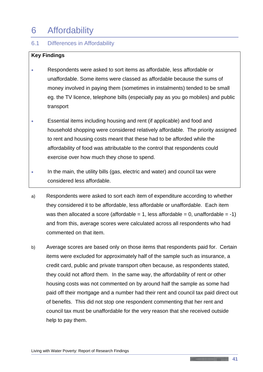## 6 Affordability

## 6.1 Differences in Affordability

#### **Key Findings**

- Respondents were asked to sort items as affordable, less affordable or unaffordable. Some items were classed as affordable because the sums of money involved in paying them (sometimes in instalments) tended to be small eg. the TV licence, telephone bills (especially pay as you go mobiles) and public transport
- Essential items including housing and rent (if applicable) and food and household shopping were considered relatively affordable. The priority assigned to rent and housing costs meant that these had to be afforded while the affordability of food was attributable to the control that respondents could exercise over how much they chose to spend.
- In the main, the utility bills (gas, electric and water) and council tax were considered less affordable.
- a) Respondents were asked to sort each item of expenditure according to whether they considered it to be affordable, less affordable or unaffordable. Each item was then allocated a score (affordable = 1, less affordable = 0, unaffordable = -1) and from this, average scores were calculated across all respondents who had commented on that item.
- b) Average scores are based only on those items that respondents paid for. Certain items were excluded for approximately half of the sample such as insurance, a credit card, public and private transport often because, as respondents stated, they could not afford them. In the same way, the affordability of rent or other housing costs was not commented on by around half the sample as some had paid off their mortgage and a number had their rent and council tax paid direct out of benefits. This did not stop one respondent commenting that her rent and council tax must be unaffordable for the very reason that she received outside help to pay them.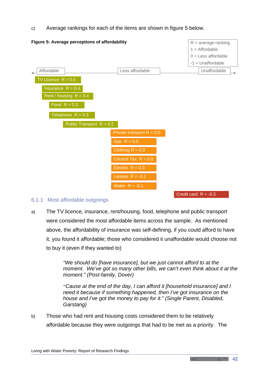c) Average rankings for each of the items are shown in figure 5 below.



#### 6.1.1 Most affordable outgoings

a) The TV licence, insurance, rent/housing, food, telephone and public transport were considered the most affordable items across the sample. As mentioned above, the affordability of insurance was self-defining, if you could afford to have it, you found it affordable; those who considered it unaffordable would choose not to buy it (even if they wanted to)

> *"We should do [have insurance], but we just cannot afford to at the moment. We've got so many other bills, we can't even think about it at the moment." (Post-family, Dover)*

*"'Cause at the end of the day, I can afford it [household insurance] and I need it because if something happened, then I've got insurance on the house and I've got the money to pay for it." (Single Parent, Disabled, Garstang)*

b) Those who had rent and housing costs considered them to be relatively affordable because they were outgoings that had to be met as a priority. The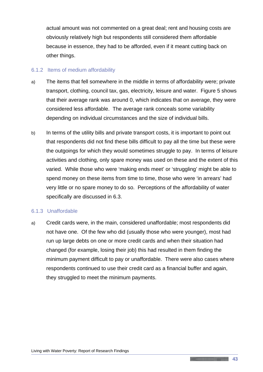actual amount was not commented on a great deal; rent and housing costs are obviously relatively high but respondents still considered them affordable because in essence, they had to be afforded, even if it meant cutting back on other things.

#### 6.1.2 Items of medium affordability

- a) The items that fell somewhere in the middle in terms of affordability were; private transport, clothing, council tax, gas, electricity, leisure and water. Figure 5 shows that their average rank was around 0, which indicates that on average, they were considered less affordable. The average rank conceals some variability depending on individual circumstances and the size of individual bills.
- b) In terms of the utility bills and private transport costs, it is important to point out that respondents did not find these bills difficult to pay all the time but these were the outgoings for which they would sometimes struggle to pay. In terms of leisure activities and clothing, only spare money was used on these and the extent of this varied. While those who were 'making ends meet' or 'struggling' might be able to spend money on these items from time to time, those who were 'in arrears' had very little or no spare money to do so. Perceptions of the affordability of water specifically are discussed in 6.3.

#### 6.1.3 Unaffordable

a) Credit cards were, in the main, considered unaffordable; most respondents did not have one. Of the few who did (usually those who were younger), most had run up large debts on one or more credit cards and when their situation had changed (for example, losing their job) this had resulted in them finding the minimum payment difficult to pay or unaffordable. There were also cases where respondents continued to use their credit card as a financial buffer and again, they struggled to meet the minimum payments.

<u> 1989 - Andrea Station Andrew Maria (1989), prins and the contract of the contract of the contract of the contract of the contract of the contract of the contract of the contract of the contract of the contract of the con</u>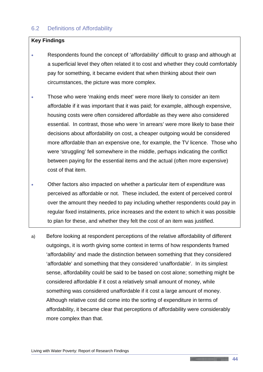## 6.2 Definitions of Affordability

#### **Key Findings**

- Respondents found the concept of 'affordability' difficult to grasp and although at a superficial level they often related it to cost and whether they could comfortably pay for something, it became evident that when thinking about their own circumstances, the picture was more complex.
- Those who were 'making ends meet' were more likely to consider an item affordable if it was important that it was paid; for example, although expensive, housing costs were often considered affordable as they were also considered essential. In contrast, those who were 'in arrears' were more likely to base their decisions about affordability on cost, a cheaper outgoing would be considered more affordable than an expensive one, for example, the TV licence. Those who were 'struggling' fell somewhere in the middle, perhaps indicating the conflict between paying for the essential items and the actual (often more expensive) cost of that item.
- Other factors also impacted on whether a particular item of expenditure was perceived as affordable or not. These included, the extent of perceived control over the amount they needed to pay including whether respondents could pay in regular fixed instalments, price increases and the extent to which it was possible to plan for these, and whether they felt the cost of an item was justified.
- a) Before looking at respondent perceptions of the relative affordability of different outgoings, it is worth giving some context in terms of how respondents framed 'affordability' and made the distinction between something that they considered 'affordable' and something that they considered 'unaffordable'. In its simplest sense, affordability could be said to be based on cost alone; something might be considered affordable if it cost a relatively small amount of money, while something was considered unaffordable if it cost a large amount of money. Although relative cost did come into the sorting of expenditure in terms of affordability, it became clear that perceptions of affordability were considerably more complex than that.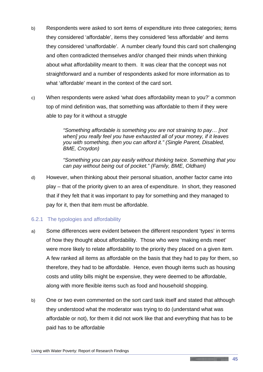- b) Respondents were asked to sort items of expenditure into three categories; items they considered 'affordable', items they considered 'less affordable' and items they considered 'unaffordable'. A number clearly found this card sort challenging and often contradicted themselves and/or changed their minds when thinking about what affordability meant to them. It was clear that the concept was not straightforward and a number of respondents asked for more information as to what 'affordable' meant in the context of the card sort.
- c) When respondents were asked 'what does affordability mean to you?' a common top of mind definition was, that something was affordable to them if they were able to pay for it without a struggle

*"Something affordable is something you are not straining to pay… [not when] you really feel you have exhausted all of your money, if it leaves you with something, then you can afford it." (Single Parent, Disabled, BME, Croydon)*

*"Something you can pay easily without thinking twice. Something that you can pay without being out of pocket." (Family, BME, Oldham)*

d) However, when thinking about their personal situation, another factor came into play – that of the priority given to an area of expenditure. In short, they reasoned that if they felt that it was important to pay for something and they managed to pay for it, then that item must be affordable.

#### 6.2.1 The typologies and affordability

- a) Some differences were evident between the different respondent 'types' in terms of how they thought about affordability. Those who were 'making ends meet' were more likely to relate affordability to the priority they placed on a given item. A few ranked all items as affordable on the basis that they had to pay for them, so therefore, they had to be affordable. Hence, even though items such as housing costs and utility bills might be expensive, they were deemed to be affordable, along with more flexible items such as food and household shopping.
- b) One or two even commented on the sort card task itself and stated that although they understood what the moderator was trying to do (understand what was affordable or not), for them it did not work like that and everything that has to be paid has to be affordable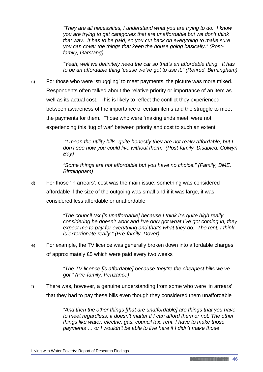*"They are all necessities, I understand what you are trying to do. I know you are trying to get categories that are unaffordable but we don't think that way. It has to be paid, so you cut back on everything to make sure you can cover the things that keep the house going basically." (Postfamily, Garstang)*

*"Yeah, well we definitely need the car so that's an affordable thing. It has to be an affordable thing 'cause we've got to use it." (Retired, Birmingham)*

c) For those who were 'struggling' to meet payments, the picture was more mixed. Respondents often talked about the relative priority or importance of an item as well as its actual cost. This is likely to reflect the conflict they experienced between awareness of the importance of certain items and the struggle to meet the payments for them. Those who were 'making ends meet' were not experiencing this 'tug of war' between priority and cost to such an extent

> *"I mean the utility bills, quite honestly they are not really affordable, but I don't see how you could live without them." (Post-family, Disabled, Colwyn Bay)*

*"Some things are not affordable but you have no choice." (Family, BME, Birmingham)*

d) For those 'in arrears', cost was the main issue; something was considered affordable if the size of the outgoing was small and if it was large, it was considered less affordable or unaffordable

> *"The council tax [is unaffordable] because I think it's quite high really considering he doesn't work and I've only got what I've got coming in, they expect me to pay for everything and that's what they do. The rent, I think is extortionate really." (Pre-family, Dover)*

e) For example, the TV licence was generally broken down into affordable charges of approximately £5 which were paid every two weeks

> *"The TV licence [is affordable] because they're the cheapest bills we've got." (Pre-family, Penzance)*

f) There was, however, a genuine understanding from some who were 'in arrears' that they had to pay these bills even though they considered them unaffordable

> *"And then the other things [that are unaffordable] are things that you have to meet regardless, it doesn't matter if I can afford them or not. The other things like water, electric, gas, council tax, rent, I have to make those payments … or I wouldn't be able to live here if I didn't make those*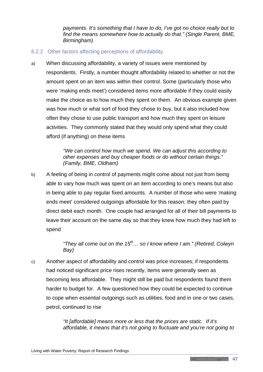*payments. It's something that I have to do, I've got no choice really but to find the means somewhere how to actually do that." (Single Parent, BME, Birmingham)*

#### 6.2.2 Other factors affecting perceptions of affordability

a) When discussing affordability, a variety of issues were mentioned by respondents. Firstly, a number thought affordability related to whether or not the amount spent on an item was within their control. Some (particularly those who were 'making ends meet') considered items more affordable if they could easily make the choice as to how much they spent on them. An obvious example given was how much or what sort of food they chose to buy, but it also included how often they chose to use public transport and how much they spent on leisure activities. They commonly stated that they would only spend what they could afford (if anything) on these items

> *"We can control how much we spend. We can adjust this according to other expenses and buy cheaper foods or do without certain things." (Family, BME, Oldham)*

b) A feeling of being in control of payments might come about not just from being able to vary how much was spent on an item according to one's means but also in being able to pay regular fixed amounts. A number of those who were 'making ends meet' considered outgoings affordable for this reason; they often paid by direct debit each month. One couple had arranged for all of their bill payments to leave their account on the same day so that they knew how much they had left to spend

> *"They all come out on the 15th… so I know where I am." (Retired, Colwyn Bay)*

c) Another aspect of affordability and control was price increases; if respondents had noticed significant price rises recently, items were generally seen as becoming less affordable. They might still be paid but respondents found them harder to budget for. A few questioned how they could be expected to continue to cope when essential outgoings such as utilities, food and in one or two cases, petrol, continued to rise

> *"It [affordable] means more or less that the prices are static. If it's affordable, it means that it's not going to fluctuate and you're not going to*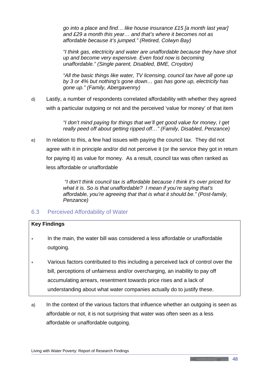*go into a place and find… like house insurance £15 [a month last year] and £29 a month this year… and that's where it becomes not as affordable because it's jumped." (Retired, Colwyn Bay)*

*"I think gas, electricity and water are unaffordable because they have shot up and become very expensive. Even food now is becoming unaffordable." (Single parent, Disabled, BME, Croydon)*

*"All the basic things like water, TV licensing, council tax have all gone up by 3 or 4% but nothing's gone down… gas has gone up, electricity has gone up." (Family, Abergavenny)*

d) Lastly, a number of respondents correlated affordability with whether they agreed with a particular outgoing or not and the perceived 'value for money' of that item

> *"I don't mind paying for things that we'll get good value for money, I get really peed off about getting ripped off…" (Family, Disabled, Penzance)*

e) In relation to this, a few had issues with paying the council tax. They did not agree with it in principle and/or did not perceive it (or the service they got in return for paying it) as value for money. As a result, council tax was often ranked as less affordable or unaffordable

> *"I don't think council tax is affordable because I think it's over priced for what it is. So is that unaffordable? I mean if you're saying that's affordable, you're agreeing that that is what it should be." (Post-family, Penzance)*

## 6.3 Perceived Affordability of Water

#### **Key Findings**

- In the main, the water bill was considered a less affordable or unaffordable outgoing.
- Various factors contributed to this including a perceived lack of control over the bill, perceptions of unfairness and/or overcharging, an inability to pay off accumulating arrears, resentment towards price rises and a lack of understanding about what water companies actually do to justify these.
- a) In the context of the various factors that influence whether an outgoing is seen as affordable or not, it is not surprising that water was often seen as a less affordable or unaffordable outgoing.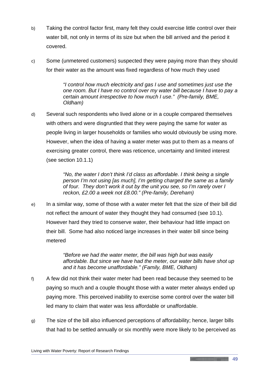- b) Taking the control factor first, many felt they could exercise little control over their water bill, not only in terms of its size but when the bill arrived and the period it covered.
- c) Some (unmetered customers) suspected they were paying more than they should for their water as the amount was fixed regardless of how much they used

*"I control how much electricity and gas I use and sometimes just use the one room. But I have no control over my water bill because I have to pay a certain amount irrespective to how much I use." (Pre-family, BME, Oldham)*

d) Several such respondents who lived alone or in a couple compared themselves with others and were disgruntled that they were paying the same for water as people living in larger households or families who would obviously be using more. However, when the idea of having a water meter was put to them as a means of exercising greater control, there was reticence, uncertainty and limited interest (see section 10.1.1)

> *"No, the water I don't think I'd class as affordable. I think being a single person I'm not using [as much], I'm getting charged the same as a family of four. They don't work it out by the unit you see, so I'm rarely over I reckon, £2.00 a week not £8.00." (Pre-family, Dereham)*

e) In a similar way, some of those with a water meter felt that the size of their bill did not reflect the amount of water they thought they had consumed (see 10.1). However hard they tried to conserve water, their behaviour had little impact on their bill. Some had also noticed large increases in their water bill since being metered

> *"Before we had the water meter, the bill was high but was easily affordable. But since we have had the meter, our water bills have shot up and it has become unaffordable." (Family, BME, Oldham)*

- f) A few did not think their water meter had been read because they seemed to be paying so much and a couple thought those with a water meter always ended up paying more. This perceived inability to exercise some control over the water bill led many to claim that water was less affordable or unaffordable.
- g) The size of the bill also influenced perceptions of affordability; hence, larger bills that had to be settled annually or six monthly were more likely to be perceived as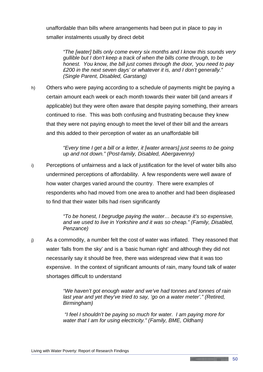unaffordable than bills where arrangements had been put in place to pay in smaller instalments usually by direct debit

*"The [water] bills only come every six months and I know this sounds very gullible but I don't keep a track of when the bills come through, to be honest. You know, the bill just comes through the door, 'you need to pay £200 in the next seven days' or whatever it is, and I don't generally." (Single Parent, Disabled, Garstang)*

h) Others who were paying according to a schedule of payments might be paying a certain amount each week or each month towards their water bill (and arrears if applicable) but they were often aware that despite paying something, their arrears continued to rise. This was both confusing and frustrating because they knew that they were not paying enough to meet the level of their bill and the arrears and this added to their perception of water as an unaffordable bill

> *"Every time I get a bill or a letter, it [water arrears] just seems to be going up and not down." (Post-family, Disabled, Abergavenny)*

i) Perceptions of unfairness and a lack of justification for the level of water bills also undermined perceptions of affordability. A few respondents were well aware of how water charges varied around the country. There were examples of respondents who had moved from one area to another and had been displeased to find that their water bills had risen significantly

> *"To be honest, I begrudge paying the water… because it's so expensive, and we used to live in Yorkshire and it was so cheap." (Family, Disabled, Penzance)*

j) As a commodity, a number felt the cost of water was inflated. They reasoned that water 'falls from the sky' and is a 'basic human right' and although they did not necessarily say it should be free, there was widespread view that it was too expensive. In the context of significant amounts of rain, many found talk of water shortages difficult to understand

> *"We haven't got enough water and we've had tonnes and tonnes of rain last year and yet they've tried to say, 'go on a water meter'." (Retired, Birmingham)*

*"I feel I shouldn't be paying so much for water. I am paying more for water that I am for using electricity." (Family, BME, Oldham)*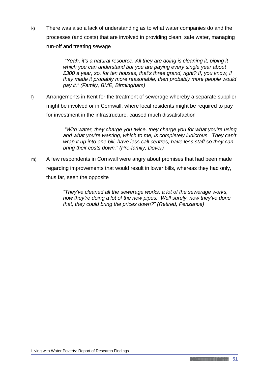k) There was also a lack of understanding as to what water companies do and the processes (and costs) that are involved in providing clean, safe water, managing run-off and treating sewage

> *"Yeah, it's a natural resource. All they are doing is cleaning it, piping it which you can understand but you are paying every single year about £300 a year, so, for ten houses, that's three grand, right? If, you know, if they made it probably more reasonable, then probably more people would pay it." (Family, BME, Birmingham)*

l) Arrangements in Kent for the treatment of sewerage whereby a separate supplier might be involved or in Cornwall, where local residents might be required to pay for investment in the infrastructure, caused much dissatisfaction

> *"With water, they charge you twice, they charge you for what you're using and what you're wasting, which to me, is completely ludicrous. They can't wrap it up into one bill, have less call centres, have less staff so they can bring their costs down." (Pre-family, Dover)*

m) A few respondents in Cornwall were angry about promises that had been made regarding improvements that would result in lower bills, whereas they had only, thus far, seen the opposite

> *"They've cleaned all the sewerage works, a lot of the sewerage works, now they're doing a lot of the new pipes. Well surely, now they've done that, they could bring the prices down?" (Retired, Penzance)*

<u> 1989 - Jan Albert Stein, fransk konge og det for de formanne</u>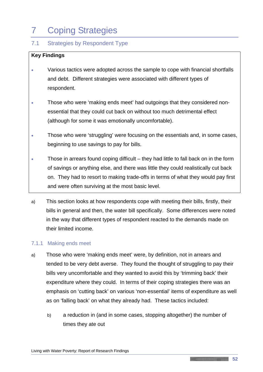# 7 Coping Strategies

## 7.1 Strategies by Respondent Type

### **Key Findings**

- Various tactics were adopted across the sample to cope with financial shortfalls and debt. Different strategies were associated with different types of respondent.
- Those who were 'making ends meet' had outgoings that they considered nonessential that they could cut back on without too much detrimental effect (although for some it was emotionally uncomfortable).
- Those who were 'struggling' were focusing on the essentials and, in some cases, beginning to use savings to pay for bills.
- Those in arrears found coping difficult they had little to fall back on in the form of savings or anything else, and there was little they could realistically cut back on. They had to resort to making trade-offs in terms of what they would pay first and were often surviving at the most basic level.
- a) This section looks at how respondents cope with meeting their bills, firstly, their bills in general and then, the water bill specifically. Some differences were noted in the way that different types of respondent reacted to the demands made on their limited income.

#### 7.1.1 Making ends meet

- a) Those who were 'making ends meet' were, by definition, not in arrears and tended to be very debt averse. They found the thought of struggling to pay their bills very uncomfortable and they wanted to avoid this by 'trimming back' their expenditure where they could. In terms of their coping strategies there was an emphasis on 'cutting back' on various 'non-essential' items of expenditure as well as on 'falling back' on what they already had. These tactics included:
	- b) a reduction in (and in some cases, stopping altogether) the number of times they ate out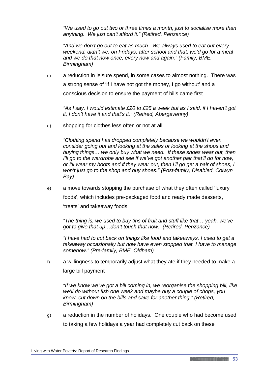*"We used to go out two or three times a month, just to socialise more than anything. We just can't afford it." (Retired, Penzance)*

*"And we don't go out to eat as much. We always used to eat out every weekend, didn't we, on Fridays, after school and that, we'd go for a meal and we do that now once, every now and again." (Family, BME, Birmingham)*

c) a reduction in leisure spend, in some cases to almost nothing. There was a strong sense of 'if I have not got the money, I go without' and a conscious decision to ensure the payment of bills came first

*"As I say, I would estimate £20 to £25 a week but as I said, if I haven't got it, I don't have it and that's it." (Retired, Abergavenny)*

d) shopping for clothes less often or not at all

*"Clothing spend has dropped completely because we wouldn't even consider going out and looking at the sales or looking at the shops and buying things… we only buy what we need. If these shoes wear out, then I'll go to the wardrobe and see if we've got another pair that'll do for now. or I'll wear my boots and if they wear out, then I'll go get a pair of shoes, I won't just go to the shop and buy shoes." (Post-family, Disabled, Colwyn Bay)*

e) a move towards stopping the purchase of what they often called 'luxury foods', which includes pre-packaged food and ready made desserts, 'treats' and takeaway foods

*"The thing is, we used to buy tins of fruit and stuff like that… yeah, we've got to give that up…don't touch that now." (Retired, Penzance)*

*"I have had to cut back on things like food and takeaways. I used to get a takeaway occasionally but now have even stopped that. I have to manage somehow." (Pre-family, BME, Oldham)*

f) a willingness to temporarily adjust what they ate if they needed to make a large bill payment

*"If we know we've got a bill coming in, we reorganise the shopping bill, like we'll do without fish one week and maybe buy a couple of chops, you know, cut down on the bills and save for another thing." (Retired, Birmingham)*

g) a reduction in the number of holidays. One couple who had become used to taking a few holidays a year had completely cut back on these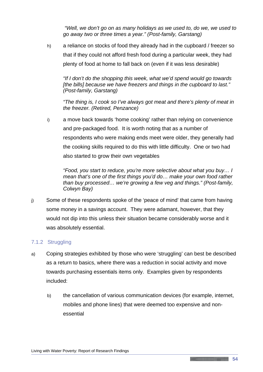*"Well, we don't go on as many holidays as we used to, do we, we used to go away two or three times a year." (Post-family, Garstang)*

h) a reliance on stocks of food they already had in the cupboard / freezer so that if they could not afford fresh food during a particular week, they had plenty of food at home to fall back on (even if it was less desirable)

*"If I don't do the shopping this week, what we'd spend would go towards [the bills] because we have freezers and things in the cupboard to last." (Post-family, Garstang)*

*"The thing is, I cook so I've always got meat and there's plenty of meat in the freezer. (Retired, Penzance)*

i) a move back towards 'home cooking' rather than relying on convenience and pre-packaged food. It is worth noting that as a number of respondents who were making ends meet were older, they generally had the cooking skills required to do this with little difficulty. One or two had also started to grow their own vegetables

*"Food, you start to reduce, you're more selective about what you buy… I mean that's one of the first things you'd do… make your own food rather than buy processed… we're growing a few veg and things." (Post-family, Colwyn Bay)*

j) Some of these respondents spoke of the 'peace of mind' that came from having some money in a savings account. They were adamant, however, that they would not dip into this unless their situation became considerably worse and it was absolutely essential.

#### 7.1.2 Struggling

- a) Coping strategies exhibited by those who were 'struggling' can best be described as a return to basics, where there was a reduction in social activity and move towards purchasing essentials items only. Examples given by respondents included:
	- b) the cancellation of various communication devices (for example, internet, mobiles and phone lines) that were deemed too expensive and nonessential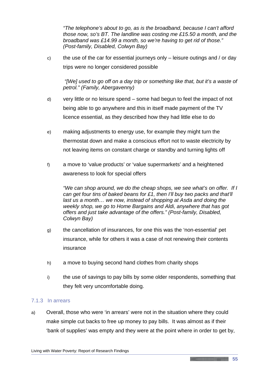*"The telephone's about to go, as is the broadband, because I can't afford those now, so's BT. The landline was costing me £15.50 a month, and the broadband was £14.99 a month, so we're having to get rid of those." (Post-family, Disabled, Colwyn Bay)*

c) the use of the car for essential journeys only  $-$  leisure outings and / or day trips were no longer considered possible

*"[We] used to go off on a day trip or something like that, but it's a waste of petrol." (Family, Abergavenny)*

- d) very little or no leisure spend some had begun to feel the impact of not being able to go anywhere and this in itself made payment of the TV licence essential, as they described how they had little else to do
- e) making adjustments to energy use, for example they might turn the thermostat down and make a conscious effort not to waste electricity by not leaving items on constant charge or standby and turning lights off
- f) a move to 'value products' or 'value supermarkets' and a heightened awareness to look for special offers

*"We can shop around, we do the cheap shops, we see what's on offer. If I can get four tins of baked beans for £1, then I'll buy two packs and that'll last us a month… we now, instead of shopping at Asda and doing the weekly shop, we go to Home Bargains and Aldi, anywhere that has got offers and just take advantage of the offers." (Post-family, Disabled, Colwyn Bay)*

- g) the cancellation of insurances, for one this was the 'non-essential' pet insurance, while for others it was a case of not renewing their contents insurance
- h) a move to buying second hand clothes from charity shops
- i) the use of savings to pay bills by some older respondents, something that they felt very uncomfortable doing.

#### 7.1.3 In arrears

a) Overall, those who were 'in arrears' were not in the situation where they could make simple cut backs to free up money to pay bills. It was almost as if their 'bank of supplies' was empty and they were at the point where in order to get by,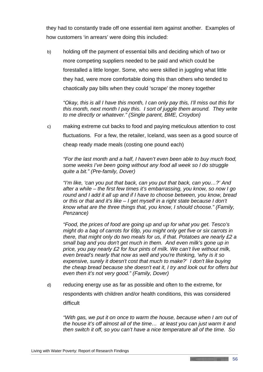they had to constantly trade off one essential item against another. Examples of how customers 'in arrears' were doing this included:

b) holding off the payment of essential bills and deciding which of two or more competing suppliers needed to be paid and which could be forestalled a little longer. Some, who were skilled in juggling what little they had, were more comfortable doing this than others who tended to chaotically pay bills when they could 'scrape' the money together

*"Okay, this is all I have this month, I can only pay this, I'll miss out this for this month, next month I pay this. I sort of juggle them around. They write to me directly or whatever." (Single parent, BME, Croydon)*

c) making extreme cut backs to food and paying meticulous attention to cost fluctuations. For a few, the retailer, Iceland, was seen as a good source of cheap ready made meals (costing one pound each)

*"For the last month and a half, I haven't even been able to buy much food, some weeks I've been going without any food all week so I do struggle quite a bit." (Pre-family, Dover)*

*"I'm like, 'can you put that back, can you put that back, can you…?' And after a while – the first few times it's embarrassing, you know, so now I go round and I add it all up and if I have to choose between, you know, bread or this or that and it's like – I get myself in a right state because I don't know what are the three things that, you know, I should choose." (Family, Penzance)*

*"Food, the prices of food are going up and up for what you get. Tesco's might do a bag of carrots for 69p, you might only get five or six carrots in there, that might only do two meals for us, if that. Potatoes are nearly £2 a small bag and you don't get much in them. And even milk's gone up in price, you pay nearly £2 for four pints of milk. We can't live without milk, even bread's nearly that now as well and you're thinking, 'why is it so expensive, surely it doesn't cost that much to make?' I don't like buying the cheap bread because she doesn't eat it, I try and look out for offers but even then it's not very good." (Family, Dover)* 

d) reducing energy use as far as possible and often to the extreme, for respondents with children and/or health conditions, this was considered difficult

*"With gas, we put it on once to warm the house, because when I am out of the house it's off almost all of the time… at least you can just warm it and then switch it off, so you can't have a nice temperature all of the time. So*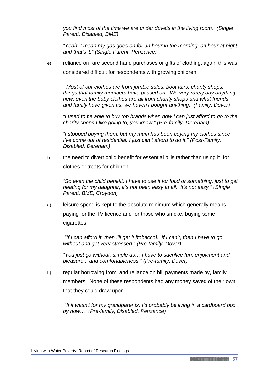*you find most of the time we are under duvets in the living room." (Single Parent, Disabled, BME)*

*"Yeah, I mean my gas goes on for an hour in the morning, an hour at night and that's it." (Single Parent, Penzance)*

e) reliance on rare second hand purchases or gifts of clothing; again this was considered difficult for respondents with growing children

*"Most of our clothes are from jumble sales, boot fairs, charity shops, things that family members have passed on. We very rarely buy anything new, even the baby clothes are all from charity shops and what friends and family have given us, we haven't bought anything." (Family, Dover)*

*"I used to be able to buy top brands when now I can just afford to go to the charity shops I like going to, you know." (Pre-family, Dereham)*

*"I stopped buying them, but my mum has been buying my clothes since I've come out of residential. I just can't afford to do it." (Post-Family, Disabled, Dereham)* 

f) the need to divert child benefit for essential bills rather than using it for clothes or treats for children

*"So even the child benefit, I have to use it for food or something, just to get heating for my daughter, it's not been easy at all. It's not easy." (Single Parent, BME, Croydon)*

g) leisure spend is kept to the absolute minimum which generally means paying for the TV licence and for those who smoke, buying some cigarettes

*"If I can afford it, then I'll get it [tobacco]. If I can't, then I have to go without and get very stressed." (Pre-family, Dover)* 

*"You just go without, simple as… I have to sacrifice fun, enjoyment and pleasure... and comfortableness." (Pre-family, Dover)*

h) regular borrowing from, and reliance on bill payments made by, family members. None of these respondents had any money saved of their own that they could draw upon

*"If it wasn't for my grandparents, I'd probably be living in a cardboard box by now…" (Pre-family, Disabled, Penzance)*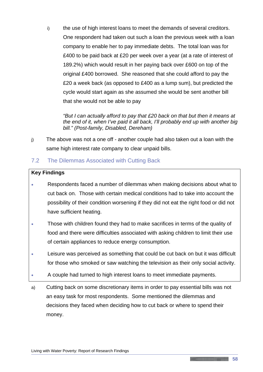i) the use of high interest loans to meet the demands of several creditors. One respondent had taken out such a loan the previous week with a loan company to enable her to pay immediate debts. The total loan was for £400 to be paid back at £20 per week over a year (at a rate of interest of 189.2%) which would result in her paying back over £600 on top of the original £400 borrowed. She reasoned that she could afford to pay the £20 a week back (as opposed to £400 as a lump sum), but predicted the cycle would start again as she assumed she would be sent another bill that she would not be able to pay

*"But I can actually afford to pay that £20 back on that but then it means at the end of it, when I've paid it all back, I'll probably end up with another big bill." (Post-family, Disabled, Dereham)*

j) The above was not a one off - another couple had also taken out a loan with the same high interest rate company to clear unpaid bills.

## 7.2 The Dilemmas Associated with Cutting Back

#### **Key Findings**

- Respondents faced a number of dilemmas when making decisions about what to cut back on. Those with certain medical conditions had to take into account the possibility of their condition worsening if they did not eat the right food or did not have sufficient heating.
- Those with children found they had to make sacrifices in terms of the quality of food and there were difficulties associated with asking children to limit their use of certain appliances to reduce energy consumption.
- Leisure was perceived as something that could be cut back on but it was difficult for those who smoked or saw watching the television as their only social activity.
- A couple had turned to high interest loans to meet immediate payments.
- a) Cutting back on some discretionary items in order to pay essential bills was not an easy task for most respondents. Some mentioned the dilemmas and decisions they faced when deciding how to cut back or where to spend their money.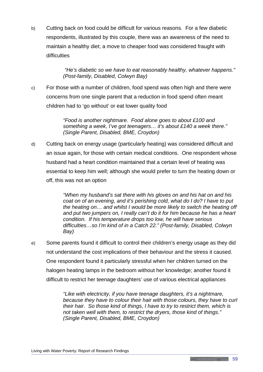b) Cutting back on food could be difficult for various reasons. For a few diabetic respondents, illustrated by this couple, there was an awareness of the need to maintain a healthy diet; a move to cheaper food was considered fraught with difficulties

> *"He's diabetic so we have to eat reasonably healthy, whatever happens." (Post-family, Disabled, Colwyn Bay)*

c) For those with a number of children, food spend was often high and there were concerns from one single parent that a reduction in food spend often meant children had to 'go without' or eat lower quality food

> *"Food is another nightmare. Food alone goes to about £100 and something a week, I've got teenagers… it's about £140 a week there." (Single Parent, Disabled, BME, Croydon)*

d) Cutting back on energy usage (particularly heating) was considered difficult and an issue again, for those with certain medical conditions. One respondent whose husband had a heart condition maintained that a certain level of heating was essential to keep him well; although she would prefer to turn the heating down or off, this was not an option

> *"When my husband's sat there with his gloves on and his hat on and his coat on of an evening, and it's perishing cold, what do I do? I have to put the heating on… and whilst I would be more likely to switch the heating off and put two jumpers on, I really can't do it for him because he has a heart condition. If his temperature drops too low, he will have serious difficulties…so I'm kind of in a Catch 22." (Post-family, Disabled, Colwyn Bay)*

e) Some parents found it difficult to control their children's energy usage as they did not understand the cost implications of their behaviour and the stress it caused. One respondent found it particularly stressful when her children turned on the halogen heating lamps in the bedroom without her knowledge; another found it difficult to restrict her teenage daughters' use of various electrical appliances

> *"Like with electricity, if you have teenage daughters, it's a nightmare, because they have to colour their hair with those colours, they have to curl their hair. So those kind of things, I have to try to restrict them, which is not taken well with them, to restrict the dryers, those kind of things." (Single Parent, Disabled, BME, Croydon)*

<u> 1989 - Jan Albert Stein, fransk konge og det for de formanne</u>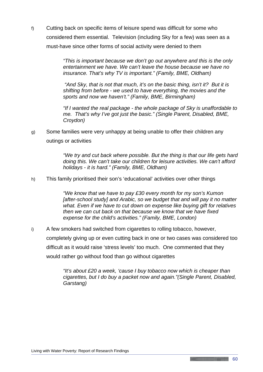f) Cutting back on specific items of leisure spend was difficult for some who considered them essential. Television (including Sky for a few) was seen as a must-have since other forms of social activity were denied to them

> *"This is important because we don't go out anywhere and this is the only entertainment we have. We can't leave the house because we have no insurance. That's why TV is important." (Family, BME, Oldham)*

*"And Sky, that is not that much, it's on the basic thing, isn't it? But it is shifting from before - we used to have everything, the movies and the sports and now we haven't." (Family, BME, Birmingham)*

*"If I wanted the real package - the whole package of Sky is unaffordable to me. That's why I've got just the basic." (Single Parent, Disabled, BME, Croydon)*

g) Some families were very unhappy at being unable to offer their children any outings or activities

> *"We try and cut back where possible. But the thing is that our life gets hard doing this. We can't take our children for leisure activities. We can't afford holidays - it is hard." (Family, BME, Oldham)*

h) This family prioritised their son's 'educational' activities over other things

*"We know that we have to pay £30 every month for my son's Kumon [after-school study] and Arabic, so we budget that and will pay it no matter what. Even if we have to cut down on expense like buying gift for relatives then we can cut back on that because we know that we have fixed expense for the child's activities." (Family, BME, London)*

i) A few smokers had switched from cigarettes to rolling tobacco, however, completely giving up or even cutting back in one or two cases was considered too difficult as it would raise 'stress levels' too much. One commented that they would rather go without food than go without cigarettes

> *"It's about £20 a week, 'cause I buy tobacco now which is cheaper than cigarettes, but I do buy a packet now and again."(Single Parent, Disabled, Garstang)*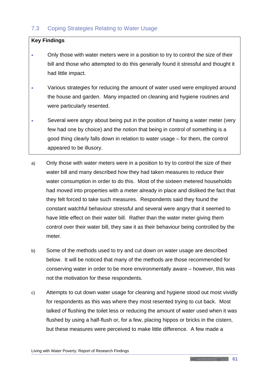## 7.3 Coping Strategies Relating to Water Usage

#### **Key Findings**

- Only those with water meters were in a position to try to control the size of their bill and those who attempted to do this generally found it stressful and thought it had little impact.
- Various strategies for reducing the amount of water used were employed around the house and garden. Many impacted on cleaning and hygiene routines and were particularly resented.
- Several were angry about being put in the position of having a water meter (very few had one by choice) and the notion that being in control of something is a good thing clearly falls down in relation to water usage – for them, the control appeared to be illusory.
- a) Only those with water meters were in a position to try to control the size of their water bill and many described how they had taken measures to reduce their water consumption in order to do this. Most of the sixteen metered households had moved into properties with a meter already in place and disliked the fact that they felt forced to take such measures. Respondents said they found the constant watchful behaviour stressful and several were angry that it seemed to have little effect on their water bill. Rather than the water meter giving them control over their water bill, they saw it as their behaviour being controlled by the meter.
- b) Some of the methods used to try and cut down on water usage are described below. It will be noticed that many of the methods are those recommended for conserving water in order to be more environmentally aware – however, this was not the motivation for these respondents.
- c) Attempts to cut down water usage for cleaning and hygiene stood out most vividly for respondents as this was where they most resented trying to cut back. Most talked of flushing the toilet less or reducing the amount of water used when it was flushed by using a half-flush or, for a few, placing hippos or bricks in the cistern, but these measures were perceived to make little difference. A few made a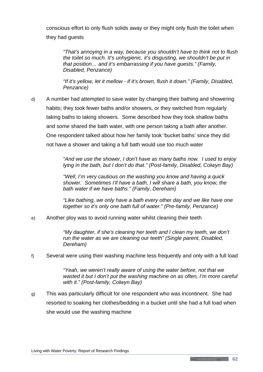conscious effort to only flush solids away or they might only flush the toilet when they had guests

*"That's annoying in a way, because you shouldn't have to think not to flush the toilet so much. It's unhygienic, it's disgusting, we shouldn't be put in that position… and it's embarrassing if you have guests." (Family, Disabled, Penzance)*

*"If it's yellow, let it mellow - if it's brown, flush it down." (Family, Disabled, Penzance)*

d) A number had attempted to save water by changing their bathing and showering habits; they took fewer baths and/or showers, or they switched from regularly taking baths to taking showers. Some described how they took shallow baths and some shared the bath water, with one person taking a bath after another. One respondent talked about how her family took 'bucket baths' since they did not have a shower and taking a full bath would use too much water

> *"And we use the shower, I don't have as many baths now. I used to enjoy lying in the bath, but I don't do that." (Post-family, Disabled, Colwyn Bay)*

*"Well, I'm very cautious on the washing you know and having a quick shower. Sometimes I'll have a bath, I will share a bath, you know, the bath water if we have baths." (Family, Dereham)*

*"Like bathing, we only have a bath every other day and we like have one together so it's only one bath full of water." (Pre-family, Penzance)*

e) Another ploy was to avoid running water whilst cleaning their teeth

*"My daughter, if she's cleaning her teeth and I clean my teeth, we don't run the water as we are cleaning our teeth" (Single parent, Disabled, Dereham)*

f) Several were using their washing machine less frequently and only with a full load

*"Yeah, we weren't really aware of using the water before, not that we wasted it but I don't put the washing machine on as often, I'm more careful with it." (Post-family, Colwyn Bay)*

g) This was particularly difficult for one respondent who was incontinent. She had resorted to soaking her clothes/bedding in a bucket until she had a full load when she would use the washing machine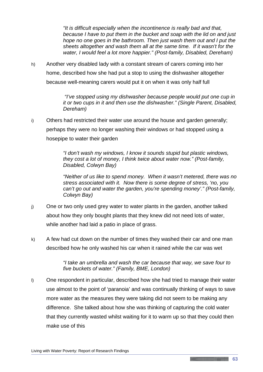*"It is difficult especially when the incontinence is really bad and that, because I have to put them in the bucket and soap with the lid on and just hope no one goes in the bathroom. Then just wash them out and I put the sheets altogether and wash them all at the same time. If it wasn't for the water, I would feel a lot more happier." (Post-family, Disabled, Dereham)*

h) Another very disabled lady with a constant stream of carers coming into her home, described how she had put a stop to using the dishwasher altogether because well-meaning carers would put it on when it was only half full

> *"I've stopped using my dishwasher because people would put one cup in it or two cups in it and then use the dishwasher." (Single Parent, Disabled, Dereham)*

i) Others had restricted their water use around the house and garden generally; perhaps they were no longer washing their windows or had stopped using a hosepipe to water their garden

> *"I don't wash my windows, I know it sounds stupid but plastic windows, they cost a lot of money, I think twice about water now." (Post-family, Disabled, Colwyn Bay)*

*"Neither of us like to spend money. When it wasn't metered, there was no stress associated with it. Now there is some degree of stress, 'no, you can't go out and water the garden, you're spending money'." (Post-family, Colwyn Bay)*

- j) One or two only used grey water to water plants in the garden, another talked about how they only bought plants that they knew did not need lots of water, while another had laid a patio in place of grass.
- k) A few had cut down on the number of times they washed their car and one man described how he only washed his car when it rained while the car was wet

*"I take an umbrella and wash the car because that way, we save four to five buckets of water." (Family, BME, London)*

l) One respondent in particular, described how she had tried to manage their water use almost to the point of 'paranoia' and was continually thinking of ways to save more water as the measures they were taking did not seem to be making any difference. She talked about how she was thinking of capturing the cold water that they currently wasted whilst waiting for it to warm up so that they could then make use of this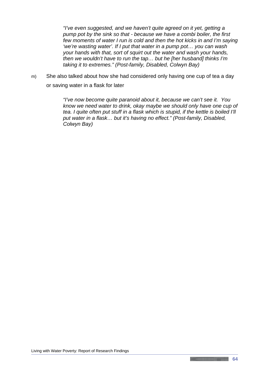*"I've even suggested, and we haven't quite agreed on it yet, getting a pump pot by the sink so that - because we have a combi boiler, the first few moments of water I run is cold and then the hot kicks in and I'm saying 'we're wasting water'. If I put that water in a pump pot… you can wash your hands with that, sort of squirt out the water and wash your hands, then we wouldn't have to run the tap… but he [her husband] thinks I'm taking it to extremes." (Post-family, Disabled, Colwyn Bay)*

m) She also talked about how she had considered only having one cup of tea a day or saving water in a flask for later

> *"I've now become quite paranoid about it, because we can't see it. You know we need water to drink, okay maybe we should only have one cup of tea. I quite often put stuff in a flask which is stupid, if the kettle is boiled I'll put water in a flask… but it's having no effect." (Post-family, Disabled, Colwyn Bay)*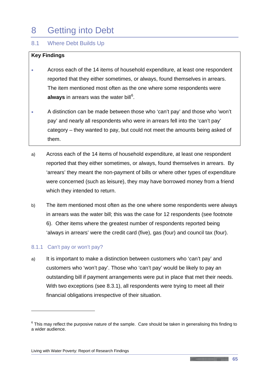# 8 Getting into Debt

## 8.1 Where Debt Builds Up

#### **Key Findings**

- Across each of the 14 items of household expenditure, at least one respondent reported that they either sometimes, or always, found themselves in arrears. The item mentioned most often as the one where some respondents were **always** in arrears was the water bill<sup>[6](#page-69-0)</sup>.
- A distinction can be made between those who 'can't pay' and those who 'won't pay' and nearly all respondents who were in arrears fell into the 'can't pay' category – they wanted to pay, but could not meet the amounts being asked of them.
- a) Across each of the 14 items of household expenditure, at least one respondent reported that they either sometimes, or always, found themselves in arrears. By 'arrears' they meant the non-payment of bills or where other types of expenditure were concerned (such as leisure), they may have borrowed money from a friend which they intended to return.
- b) The item mentioned most often as the one where some respondents were always in arrears was the water bill; this was the case for 12 respondents (see footnote 6). Other items where the greatest number of respondents reported being 'always in arrears' were the credit card (five), gas (four) and council tax (four).

#### 8.1.1 Can't pay or won't pay?

<u>.</u>

a) It is important to make a distinction between customers who 'can't pay' and customers who 'won't pay'. Those who 'can't pay' would be likely to pay an outstanding bill if payment arrangements were put in place that met their needs. With two exceptions (see 8.3.1), all respondents were trying to meet all their financial obligations irrespective of their situation.

<span id="page-69-0"></span> $6$  This may reflect the purposive nature of the sample. Care should be taken in generalising this finding to a wider audience.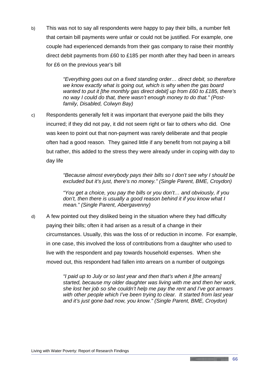b) This was not to say all respondents were happy to pay their bills, a number felt that certain bill payments were unfair or could not be justified. For example, one couple had experienced demands from their gas company to raise their monthly direct debit payments from £60 to £185 per month after they had been in arrears for £6 on the previous year's bill

> *"Everything goes out on a fixed standing order… direct debit, so therefore we know exactly what is going out, which is why when the gas board wanted to put it [the monthly gas direct debit] up from £60 to £185, there's no way I could do that, there wasn't enough money to do that." (Postfamily, Disabled, Colwyn Bay)*

c) Respondents generally felt it was important that everyone paid the bills they incurred; if they did not pay, it did not seem right or fair to others who did. One was keen to point out that non-payment was rarely deliberate and that people often had a good reason. They gained little if any benefit from not paying a bill but rather, this added to the stress they were already under in coping with day to day life

> *"Because almost everybody pays their bills so I don't see why I should be excluded but it's just, there's no money." (Single Parent, BME, Croydon)*

*"You get a choice, you pay the bills or you don't… and obviously, if you don't, then there is usually a good reason behind it if you know what I mean." (Single Parent, Abergavenny)*

d) A few pointed out they disliked being in the situation where they had difficulty paying their bills; often it had arisen as a result of a change in their circumstances. Usually, this was the loss of or reduction in income. For example, in one case, this involved the loss of contributions from a daughter who used to live with the respondent and pay towards household expenses. When she moved out, this respondent had fallen into arrears on a number of outgoings

> *"I paid up to July or so last year and then that's when it [the arrears] started, because my older daughter was living with me and then her work, she lost her job so she couldn't help me pay the rent and I've got arrears with other people which I've been trying to clear. It started from last year and it's just gone bad now, you know." (Single Parent, BME, Croydon)*

**66**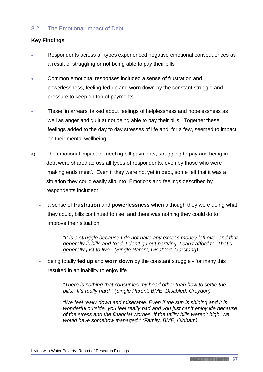## 8.2 The Emotional Impact of Debt

#### **Key Findings**

- Respondents across all types experienced negative emotional consequences as a result of struggling or not being able to pay their bills.
- Common emotional responses included a sense of frustration and powerlessness, feeling fed up and worn down by the constant struggle and pressure to keep on top of payments.
- Those 'in arrears' talked about feelings of helplessness and hopelessness as well as anger and guilt at not being able to pay their bills. Together these feelings added to the day to day stresses of life and, for a few, seemed to impact on their mental wellbeing.
- a) The emotional impact of meeting bill payments, struggling to pay and being in debt were shared across all types of respondents, even by those who were 'making ends meet'. Even if they were not yet in debt, some felt that it was a situation they could easily slip into. Emotions and feelings described by respondents included:
	- a sense of **frustration** and **powerlessness** when although they were doing what they could, bills continued to rise, and there was nothing they could do to improve their situation

*"It is a struggle because I do not have any excess money left over and that generally is bills and food. I don't go out partying, I can't afford to. That's generally just to live." (Single Parent, Disabled, Garstang)*

• being totally **fed up** and **worn down** by the constant struggle - for many this resulted in an inability to enjoy life

> *"There is nothing that consumes my head other than how to settle the bills. It's really hard." (Single Parent, BME, Disabled, Croydon)*

*"We feel really down and miserable. Even if the sun is shining and it is wonderful outside, you feel really bad and you just can't enjoy life because of the stress and the financial worries. If the utility bills weren't high, we would have somehow managed." (Family, BME, Oldham)*

**Communication**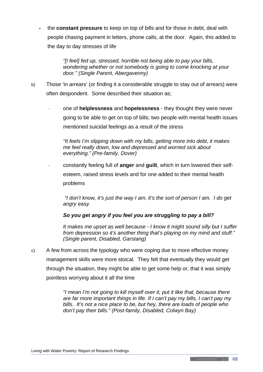• the **constant pressure** to keep on top of bills and for those in debt, deal with people chasing payment in letters, phone calls, at the door. Again, this added to the day to day stresses of life

> *"[I feel] fed up, stressed, horrible not being able to pay your bills, wondering whether or not somebody is going to come knocking at your door." (Single Parent, Abergavenny)*

- b) Those 'in arrears' (or finding it a considerable struggle to stay out of arrears) were often despondent. Some described their situation as;
	- − one of **helplessness** and **hopelessness** they thought they were never going to be able to get on top of bills; two people with mental health issues mentioned suicidal feelings as a result of the stress

*"It feels I'm slipping down with my bills, getting more into debt, it makes me feel really down, low and depressed and worried sick about everything." (Pre-family, Dover)*

− constantly feeling full of **anger** and **guilt**, which in turn lowered their selfesteem, raised stress levels and for one added to their mental health problems

*"I don't know, it's just the way I am, it's the sort of person I am. I do get angry easy.*

# *So you get angry if you feel you are struggling to pay a bill?*

*It makes me upset as well because - I know it might sound silly but I suffer from depression so it's another thing that's playing on my mind and stuff." (Single parent, Disabled, Garstang)*

c) A few from across the typology who were coping due to more effective money management skills were more stoical. They felt that eventually they would get through the situation, they might be able to get some help or, that it was simply pointless worrying about it all the time

> *"I mean I'm not going to kill myself over it, put it like that, because there are far more important things in life. If I can't pay my bills, I can't pay my bills. It's not a nice place to be, but hey, there are loads of people who don't pay their bills." (Post-family, Disabled, Colwyn Bay)*

Living with Water Poverty: Report of Research Findings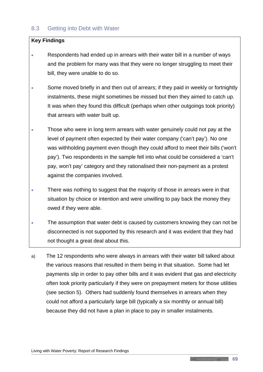# 8.3 Getting into Debt with Water

#### **Key Findings**

- Respondents had ended up in arrears with their water bill in a number of ways and the problem for many was that they were no longer struggling to meet their bill, they were unable to do so.
- Some moved briefly in and then out of arrears; if they paid in weekly or fortnightly instalments, these might sometimes be missed but then they aimed to catch up. It was when they found this difficult (perhaps when other outgoings took priority) that arrears with water built up.
- Those who were in long term arrears with water genuinely could not pay at the level of payment often expected by their water company ('can't pay'). No one was withholding payment even though they could afford to meet their bills ('won't pay'). Two respondents in the sample fell into what could be considered a 'can't pay, won't pay' category and they rationalised their non-payment as a protest against the companies involved.
- There was nothing to suggest that the majority of those in arrears were in that situation by choice or intention and were unwilling to pay back the money they owed if they were able.
- The assumption that water debt is caused by customers knowing they can not be disconnected is not supported by this research and it was evident that they had not thought a great deal about this.
- a) The 12 respondents who were always in arrears with their water bill talked about the various reasons that resulted in them being in that situation. Some had let payments slip in order to pay other bills and it was evident that gas and electricity often took priority particularly if they were on prepayment meters for those utilities (see section 5). Others had suddenly found themselves in arrears when they could not afford a particularly large bill (typically a six monthly or annual bill) because they did not have a plan in place to pay in smaller instalments.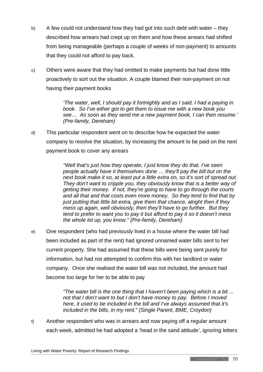- b) A few could not understand how they had got into such debt with water they described how arrears had crept up on them and how these arrears had shifted from being manageable (perhaps a couple of weeks of non-payment) to amounts that they could not afford to pay back.
- c) Others were aware that they had omitted to make payments but had done little proactively to sort out the situation. A couple blamed their non-payment on not having their payment books

*'The water, well, I should pay it fortnightly and as I said, I had a paying in book. So I've either got to get them to issue me with a new book you see… As soon as they send me a new payment book, I can then resume.' (Pre-family, Dereham)* 

d) This particular respondent went on to describe how he expected the water company to resolve the situation, by increasing the amount to be paid on the next payment book to cover any arrears

> *"Well that's just how they operate, I just know they do that. I've seen people actually have it themselves done … they'll pay the bill but on the next book make it so, at least put a little extra on, so it's sort of spread out. They don't want to cripple you, they obviously know that is a better way of getting their money. If not, they're going to have to go through the courts and all that and that costs even more money. So they tend to find that by just putting that little bit extra, give them that chance, alright then if they mess up again, well obviously, then they'll have to go further. But they tend to prefer to want you to pay it but afford to pay it so it doesn't mess the whole lot up, you know." (Pre-family, Dereham)*

e) One respondent (who had previously lived in a house where the water bill had been included as part of the rent) had ignored unnamed water bills sent to her current property. She had assumed that these bills were being sent purely for information, but had not attempted to confirm this with her landlord or water company. Once she realised the water bill was not included, the amount had become too large for her to be able to pay

> *"The water bill is the one thing that I haven't been paying which is a bit ... not that I don't want to but I don't have money to pay. Before I moved here, it used to be included in the bill and I've always assumed that it's included in the bills, in my rent." (Single Parent, BME, Croydon)*

f) Another respondent who was in arrears and now paying off a regular amount each week, admitted he had adopted a 'head in the sand attitude', ignoring letters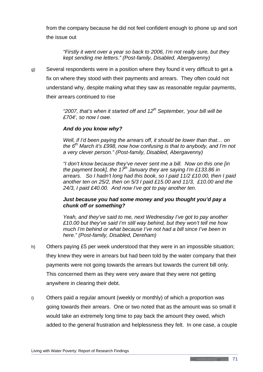from the company because he did not feel confident enough to phone up and sort the issue out

*"Firstly it went over a year so back to 2006, I'm not really sure, but they kept sending me letters." (Post-family, Disabled, Abergavenny)*

g) Several respondents were in a position where they found it very difficult to get a fix on where they stood with their payments and arrears. They often could not understand why, despite making what they saw as reasonable regular payments, their arrears continued to rise

> *"2007, that's when it started off and 12th September, 'your bill will be £704', so now I owe.*

## *And do you know why?*

*Well, if I'd been paying the arrears off, it should be lower than that… on the 6th March it's £998, now how confusing is that to anybody, and I'm not a very clever person." (Post-family, Disabled, Abergavenny)*

*"I don't know because they've never sent me a bill. Now on this one [in the payment book], the 17th January they are saying I'm £133.86 in arrears. So I hadn't long had this book, so I paid 11/2 £10.00, then I paid another ten on 25/2, then on 5/3 I paid £15.00 and 11/3, £10.00 and the 24/3, I paid £40.00. And now I've got to pay another ten.*

#### *Just because you had some money and you thought you'd pay a chunk off or something?*

*Yeah, and they've said to me, next Wednesday I've got to pay another £10.00 but they've said I'm still way behind, but they won't tell me how much I'm behind or what because I've not had a bill since I've been in here." (Post-family, Disabled, Dereham)*

- h) Others paying £5 per week understood that they were in an impossible situation; they knew they were in arrears but had been told by the water company that their payments were not going towards the arrears but towards the current bill only. This concerned them as they were very aware that they were not getting anywhere in clearing their debt.
- i) Others paid a regular amount (weekly or monthly) of which a proportion was going towards their arrears. One or two noted that as the amount was so small it would take an extremely long time to pay back the amount they owed, which added to the general frustration and helplessness they felt. In one case, a couple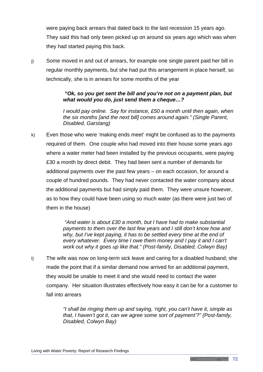were paying back arrears that dated back to the last recession 15 years ago. They said this had only been picked up on around six years ago which was when they had started paying this back.

j) Some moved in and out of arrears, for example one single parent paid her bill in regular monthly payments, but she had put this arrangement in place herself, so technically, she is in arrears for some months of the year

# *"Ok, so you get sent the bill and you're not on a payment plan, but what would you do, just send them a cheque…?*

*I* would pay online. Say for instance, £50 a month until then again, when *the six months [and the next bill] comes around again." (Single Parent, Disabled, Garstang)*

k) Even those who were 'making ends meet' might be confused as to the payments required of them. One couple who had moved into their house some years ago where a water meter had been installed by the previous occupants, were paying £30 a month by direct debit. They had been sent a number of demands for additional payments over the past few years – on each occasion, for around a couple of hundred pounds. They had never contacted the water company about the additional payments but had simply paid them. They were unsure however, as to how they could have been using so much water (as there were just two of them in the house)

> *"And water is about £30 a month, but I have had to make substantial payments to them over the last few years and I still don't know how and why, but I've kept paying, it has to be settled every time at the end of every whatever. Every time I owe them money and I pay it and I can't work out why it goes up like that." (Post-family, Disabled, Colwyn Bay)*

l) The wife was now on long-term sick leave and caring for a disabled husband; she made the point that if a similar demand now arrived for an additional payment, they would be unable to meet it and she would need to contact the water company. Her situation illustrates effectively how easy it can be for a customer to fall into arrears

> *"I shall be ringing them up and saying, 'right, you can't have it, simple as that, I haven't got it, can we agree some sort of payment'?" (Post-family, Disabled, Colwyn Bay)*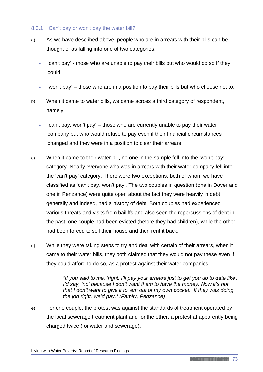# 8.3.1 'Can't pay or won't pay the water bill?

- a) As we have described above, people who are in arrears with their bills can be thought of as falling into one of two categories:
	- 'can't pay' those who are unable to pay their bills but who would do so if they could
	- 'won't pay' those who are in a position to pay their bills but who choose not to.
- b) When it came to water bills, we came across a third category of respondent, namely
	- 'can't pay, won't pay' those who are currently unable to pay their water company but who would refuse to pay even if their financial circumstances changed and they were in a position to clear their arrears.
- c) When it came to their water bill, no one in the sample fell into the 'won't pay' category. Nearly everyone who was in arrears with their water company fell into the 'can't pay' category. There were two exceptions, both of whom we have classified as 'can't pay, won't pay'. The two couples in question (one in Dover and one in Penzance) were quite open about the fact they were heavily in debt generally and indeed, had a history of debt. Both couples had experienced various threats and visits from bailiffs and also seen the repercussions of debt in the past; one couple had been evicted (before they had children), while the other had been forced to sell their house and then rent it back.
- d) While they were taking steps to try and deal with certain of their arrears, when it came to their water bills, they both claimed that they would not pay these even if they could afford to do so, as a protest against their water companies

*"If you said to me, 'right, I'll pay your arrears just to get you up to date like', I'd say, 'no' because I don't want them to have the money. Now it's not that I don't want to give it to 'em out of my own pocket. If they was doing the job right, we'd pay." (Family, Penzance)*

e) For one couple, the protest was against the standards of treatment operated by the local sewerage treatment plant and for the other, a protest at apparently being charged twice (for water and sewerage).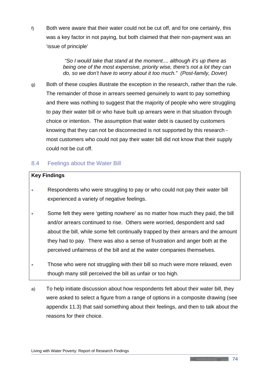f) Both were aware that their water could not be cut off, and for one certainly, this was a key factor in not paying, but both claimed that their non-payment was an 'issue of principle'

> *"So I would take that stand at the moment.... although it's up there as being one of the most expensive, priority wise, there's not a lot they can do, so we don't have to worry about it too much." (Post-family, Dover)*

g) Both of these couples illustrate the exception in the research, rather than the rule. The remainder of those in arrears seemed genuinely to want to pay something and there was nothing to suggest that the majority of people who were struggling to pay their water bill or who have built up arrears were in that situation through choice or intention. The assumption that water debt is caused by customers knowing that they can not be disconnected is not supported by this research most customers who could not pay their water bill did not know that their supply could not be cut off.

# 8.4 Feelings about the Water Bill

#### **Key Findings**

- Respondents who were struggling to pay or who could not pay their water bill experienced a variety of negative feelings.
- Some felt they were 'getting nowhere' as no matter how much they paid, the bill and/or arrears continued to rise. Others were worried, despondent and sad about the bill, while some felt continually trapped by their arrears and the amount they had to pay. There was also a sense of frustration and anger both at the perceived unfairness of the bill and at the water companies themselves.
- Those who were not struggling with their bill so much were more relaxed, even though many still perceived the bill as unfair or too high.
- a) To help initiate discussion about how respondents felt about their water bill, they were asked to select a figure from a range of options in a composite drawing (see appendix 11.3) that said something about their feelings, and then to talk about the reasons for their choice.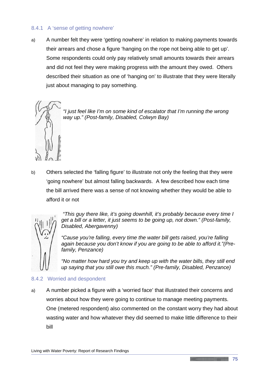# 8.4.1 A 'sense of getting nowhere'

a) A number felt they were 'getting nowhere' in relation to making payments towards their arrears and chose a figure 'hanging on the rope not being able to get up'. Some respondents could only pay relatively small amounts towards their arrears and did not feel they were making progress with the amount they owed. Others described their situation as one of 'hanging on' to illustrate that they were literally just about managing to pay something.



*"I just feel like I'm on some kind of escalator that I'm running the wrong way up." (Post-family, Disabled, Colwyn Bay)*

b) Others selected the 'falling figure' to illustrate not only the feeling that they were 'going nowhere' but almost falling backwards. A few described how each time the bill arrived there was a sense of not knowing whether they would be able to afford it or not



*"This guy there like, it's going downhill, it's probably because every time I get a bill or a letter, it just seems to be going up, not down." (Post-family, Disabled, Abergavenny)*

*"Cause you're falling, every time the water bill gets raised, you're falling again because you don't know if you are going to be able to afford it."(Prefamily, Penzance)*

*"No matter how hard you try and keep up with the water bills, they still end up saying that you still owe this much." (Pre-family, Disabled, Penzance)*

#### 8.4.2 Worried and despondent

a) A number picked a figure with a 'worried face' that illustrated their concerns and worries about how they were going to continue to manage meeting payments. One (metered respondent) also commented on the constant worry they had about wasting water and how whatever they did seemed to make little difference to their bill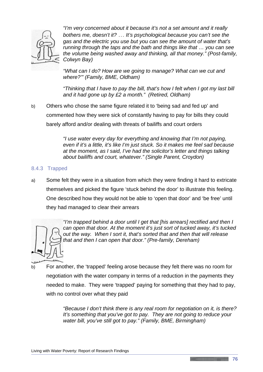

*"I'm very concerned about it because it's not a set amount and it really bothers me, doesn't it?* … *It's psychological because you can't see the gas and the electric you use but you can see the amount of water that's running through the taps and the bath and things like that … you can see the volume being washed away and thinking, all that money." (Post-family, Colwyn Bay)*

*"What can I do? How are we going to manage? What can we cut and where?'" (Family, BME, Oldham)*

*"Thinking that I have to pay the bill, that's how I felt when I got my last bill and it had gone up by £2 a month." (Retired, Oldham)*

b) Others who chose the same figure related it to 'being sad and fed up' and commented how they were sick of constantly having to pay for bills they could barely afford and/or dealing with threats of bailiffs and court orders

> *"I use water every day for everything and knowing that I'm not paying, even if it's a little, it's like I'm just stuck. So it makes me feel sad because at the moment, as I said, I've had the solicitor's letter and things talking about bailiffs and court, whatever." (Single Parent, Croydon)*

## 8.4.3 Trapped

a) Some felt they were in a situation from which they were finding it hard to extricate themselves and picked the figure 'stuck behind the door' to illustrate this feeling. One described how they would not be able to 'open that door' and 'be free' until they had managed to clear their arrears



*"I'm trapped behind a door until I get that [his arrears] rectified and then I can open that door. At the moment it's just sort of tucked away, it's tucked out the way. When I sort it, that's sorted that and then that will release that and then I can open that door." (Pre-family, Dereham)*

b) For another, the 'trapped' feeling arose because they felt there was no room for negotiation with the water company in terms of a reduction in the payments they needed to make. They were 'trapped' paying for something that they had to pay, with no control over what they paid

> *"Because I don't think there is any real room for negotiation on it, is there? It's something that you've got to pay. They are not going to reduce your water bill, you've still got to pay." (Family, BME, Birmingham)*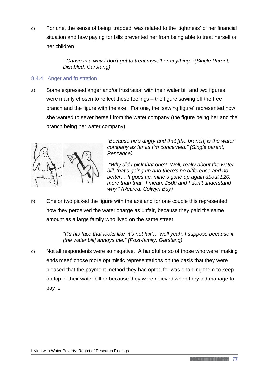c) For one, the sense of being 'trapped' was related to the 'tightness' of her financial situation and how paying for bills prevented her from being able to treat herself or her children

> *"Cause in a way I don't get to treat myself or anything." (Single Parent, Disabled, Garstang)*

# 8.4.4 Anger and frustration

a) Some expressed anger and/or frustration with their water bill and two figures were mainly chosen to reflect these feelings – the figure sawing off the tree branch and the figure with the axe. For one, the 'sawing figure' represented how she wanted to sever herself from the water company (the figure being her and the branch being her water company)



*"Because he's angry and that [the branch] is the water company as far as I'm concerned." (Single parent, Penzance)*

*"Why did I pick that one? Well, really about the water bill, that's going up and there's no difference and no better… It goes up, mine's gone up again about £20, more than that. I mean, £500 and I don't understand why." (Retired, Colwyn Bay)*

b) One or two picked the figure with the axe and for one couple this represented how they perceived the water charge as unfair, because they paid the same amount as a large family who lived on the same street

> *"It's his face that looks like 'it's not fair'… well yeah, I suppose because it [the water bill] annoys me." (Post-family, Garstang)*

c) Not all respondents were so negative. A handful or so of those who were 'making ends meet' chose more optimistic representations on the basis that they were pleased that the payment method they had opted for was enabling them to keep on top of their water bill or because they were relieved when they did manage to pay it.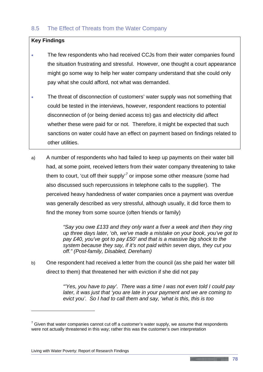#### **Key Findings**

- The few respondents who had received CCJs from their water companies found the situation frustrating and stressful. However, one thought a court appearance might go some way to help her water company understand that she could only pay what she could afford, not what was demanded.
- The threat of disconnection of customers' water supply was not something that could be tested in the interviews, however, respondent reactions to potential disconnection of (or being denied access to) gas and electricity did affect whether these were paid for or not. Therefore, it might be expected that such sanctions on water could have an effect on payment based on findings related to other utilities.
- a) A number of respondents who had failed to keep up payments on their water bill had, at some point, received letters from their water company threatening to take them to court, 'cut off their supply'<sup>[7](#page-82-0)</sup> or impose some other measure (some had also discussed such repercussions in telephone calls to the supplier). The perceived heavy handedness of water companies once a payment was overdue was generally described as very stressful, although usually, it did force them to find the money from some source (often friends or family)

*"Say you owe £133 and they only want a fiver a week and then they ring up three days later, 'oh, we've made a mistake on your book, you've got to pay £40, you've got to pay £50' and that is a massive big shock to the system because they say, if it's not paid within seven days, they cut you off." (Post-family, Disabled, Dereham)*

b) One respondent had received a letter from the council (as she paid her water bill direct to them) that threatened her with eviction if she did not pay

> *"'Yes, you have to pay'. There was a time I was not even told I could pay later, it was just that 'you are late in your payment and we are coming to evict you'. So I had to call them and say, 'what is this, this is too*

<u>.</u>

<span id="page-82-0"></span> $7$  Given that water companies cannot cut off a customer's water supply, we assume that respondents were not actually threatened in this way; rather this was the customer's own interpretation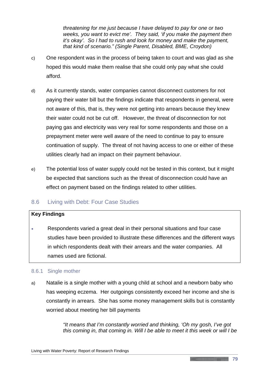*threatening for me just because I have delayed to pay for one or two weeks, you want to evict me'. They said, 'if you make the payment then it's okay'. So I had to rush and look for money and make the payment, that kind of scenario." (Single Parent, Disabled, BME, Croydon)* 

- c) One respondent was in the process of being taken to court and was glad as she hoped this would make them realise that she could only pay what she could afford.
- d) As it currently stands, water companies cannot disconnect customers for not paying their water bill but the findings indicate that respondents in general, were not aware of this, that is, they were not getting into arrears because they knew their water could not be cut off. However, the threat of disconnection for not paying gas and electricity was very real for some respondents and those on a prepayment meter were well aware of the need to continue to pay to ensure continuation of supply. The threat of not having access to one or either of these utilities clearly had an impact on their payment behaviour.
- e) The potential loss of water supply could not be tested in this context, but it might be expected that sanctions such as the threat of disconnection could have an effect on payment based on the findings related to other utilities.

# 8.6 Living with Debt: Four Case Studies

#### **Key Findings**

• Respondents varied a great deal in their personal situations and four case studies have been provided to illustrate these differences and the different ways in which respondents dealt with their arrears and the water companies. All names used are fictional.

# 8.6.1 Single mother

a) Natalie is a single mother with a young child at school and a newborn baby who has weeping eczema. Her outgoings consistently exceed her income and she is constantly in arrears. She has some money management skills but is constantly worried about meeting her bill payments

> *"It means that I'm constantly worried and thinking, 'Oh my gosh, I've got this coming in, that coming in. Will I be able to meet it this week or will I be*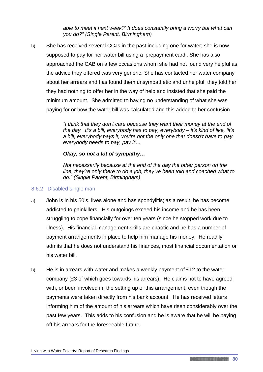*able to meet it next week?' It does constantly bring a worry but what can you do?" (Single Parent, Birmingham)* 

b) She has received several CCJs in the past including one for water; she is now supposed to pay for her water bill using a 'prepayment card'. She has also approached the CAB on a few occasions whom she had not found very helpful as the advice they offered was very generic. She has contacted her water company about her arrears and has found them unsympathetic and unhelpful; they told her they had nothing to offer her in the way of help and insisted that she paid the minimum amount. She admitted to having no understanding of what she was paying for or how the water bill was calculated and this added to her confusion

> *"I think that they don't care because they want their money at the end of the day. It's a bill, everybody has to pay, everybody – it's kind of like, 'it's a bill, everybody pays it, you're not the only one that doesn't have to pay, everybody needs to pay, pay it'...*

#### *Okay, so not a lot of sympathy…*

*Not necessarily because at the end of the day the other person on the line, they're only there to do a job, they've been told and coached what to do." (Single Parent, Birmingham)*

#### 8.6.2 Disabled single man

- a) John is in his 50's, lives alone and has spondylitis; as a result, he has become addicted to painkillers. His outgoings exceed his income and he has been struggling to cope financially for over ten years (since he stopped work due to illness). His financial management skills are chaotic and he has a number of payment arrangements in place to help him manage his money. He readily admits that he does not understand his finances, most financial documentation or his water bill.
- b) He is in arrears with water and makes a weekly payment of £12 to the water company (£3 of which goes towards his arrears). He claims not to have agreed with, or been involved in, the setting up of this arrangement, even though the payments were taken directly from his bank account. He has received letters informing him of the amount of his arrears which have risen considerably over the past few years. This adds to his confusion and he is aware that he will be paying off his arrears for the foreseeable future.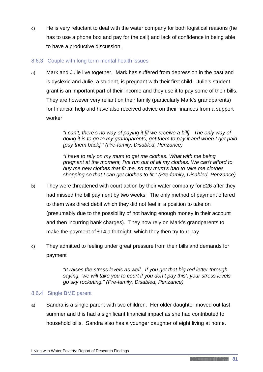c) He is very reluctant to deal with the water company for both logistical reasons (he has to use a phone box and pay for the call) and lack of confidence in being able to have a productive discussion.

# 8.6.3 Couple with long term mental health issues

a) Mark and Julie live together. Mark has suffered from depression in the past and is dyslexic and Julie, a student, is pregnant with their first child. Julie's student grant is an important part of their income and they use it to pay some of their bills. They are however very reliant on their family (particularly Mark's grandparents) for financial help and have also received advice on their finances from a support worker

> *"I can't, there's no way of paying it [if we receive a bill]. The only way of doing it is to go to my grandparents, get them to pay it and when I get paid [pay them back]." (Pre-family, Disabled, Penzance)*

> *"I have to rely on my mum to get me clothes. What with me being pregnant at the moment, I've run out of all my clothes. We can't afford to buy me new clothes that fit me, so my mum's had to take me clothes shopping so that I can get clothes to fit." (Pre-family, Disabled, Penzance)*

- b) They were threatened with court action by their water company for £26 after they had missed the bill payment by two weeks. The only method of payment offered to them was direct debit which they did not feel in a position to take on (presumably due to the possibility of not having enough money in their account and then incurring bank charges). They now rely on Mark's grandparents to make the payment of £14 a fortnight, which they then try to repay.
- c) They admitted to feeling under great pressure from their bills and demands for payment

*"It raises the stress levels as well. If you get that big red letter through saying, 'we will take you to court if you don't pay this', your stress levels go sky rocketing." (Pre-family, Disabled, Penzance)* 

#### 8.6.4 Single BME parent

a) Sandra is a single parent with two children. Her older daughter moved out last summer and this had a significant financial impact as she had contributed to household bills. Sandra also has a younger daughter of eight living at home.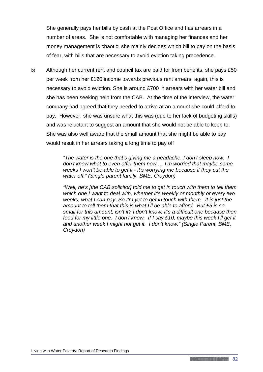She generally pays her bills by cash at the Post Office and has arrears in a number of areas. She is not comfortable with managing her finances and her money management is chaotic; she mainly decides which bill to pay on the basis of fear, with bills that are necessary to avoid eviction taking precedence.

b) Although her current rent and council tax are paid for from benefits, she pays £50 per week from her £120 income towards previous rent arrears; again, this is necessary to avoid eviction. She is around £700 in arrears with her water bill and she has been seeking help from the CAB. At the time of the interview, the water company had agreed that they needed to arrive at an amount she could afford to pay. However, she was unsure what this was (due to her lack of budgeting skills) and was reluctant to suggest an amount that she would not be able to keep to. She was also well aware that the small amount that she might be able to pay would result in her arrears taking a long time to pay off

> *"The water is the one that's giving me a headache, I don't sleep now. I don't know what to even offer them now … I'm worried that maybe some weeks I won't be able to get it - it's worrying me because if they cut the water off." (Single parent family, BME, Croydon)*

*"Well, he's [the CAB solicitor] told me to get in touch with them to tell them which one I want to deal with, whether it's weekly or monthly or every two weeks, what I can pay. So I'm yet to get in touch with them. It is just the amount to tell them that this is what I'll be able to afford. But £5 is so small for this amount, isn't it? I don't know, it's a difficult one because then food for my little one. I don't know. If I say £10, maybe this week I'll get it and another week I might not get it. I don't know." (Single Parent, BME, Croydon)*

**Continued in the Continued of the Continued State**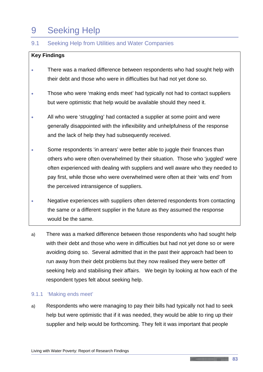# 9 Seeking Help

# 9.1 Seeking Help from Utilities and Water Companies

# **Key Findings**

- There was a marked difference between respondents who had sought help with their debt and those who were in difficulties but had not yet done so.
- Those who were 'making ends meet' had typically not had to contact suppliers but were optimistic that help would be available should they need it.
- All who were 'struggling' had contacted a supplier at some point and were generally disappointed with the inflexibility and unhelpfulness of the response and the lack of help they had subsequently received.
- Some respondents 'in arrears' were better able to juggle their finances than others who were often overwhelmed by their situation. Those who 'juggled' were often experienced with dealing with suppliers and well aware who they needed to pay first, while those who were overwhelmed were often at their 'wits end' from the perceived intransigence of suppliers.
- Negative experiences with suppliers often deterred respondents from contacting the same or a different supplier in the future as they assumed the response would be the same.
- a) There was a marked difference between those respondents who had sought help with their debt and those who were in difficulties but had not yet done so or were avoiding doing so. Several admitted that in the past their approach had been to run away from their debt problems but they now realised they were better off seeking help and stabilising their affairs. We begin by looking at how each of the respondent types felt about seeking help.

#### 9.1.1 'Making ends meet'

a) Respondents who were managing to pay their bills had typically not had to seek help but were optimistic that if it was needed, they would be able to ring up their supplier and help would be forthcoming. They felt it was important that people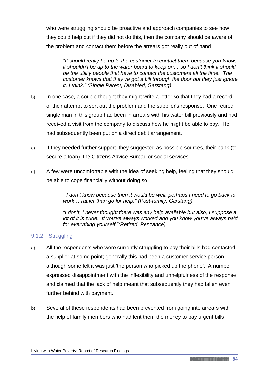who were struggling should be proactive and approach companies to see how they could help but if they did not do this, then the company should be aware of the problem and contact them before the arrears got really out of hand

*"It should really be up to the customer to contact them because you know, it shouldn't be up to the water board to keep on… so I don't think it should be the utility people that have to contact the customers all the time. The customer knows that they've got a bill through the door but they just ignore it, I think." (Single Parent, Disabled, Garstang)*

- b) In one case, a couple thought they might write a letter so that they had a record of their attempt to sort out the problem and the supplier's response. One retired single man in this group had been in arrears with his water bill previously and had received a visit from the company to discuss how he might be able to pay. He had subsequently been put on a direct debit arrangement.
- c) If they needed further support, they suggested as possible sources, their bank (to secure a loan), the Citizens Advice Bureau or social services.
- d) A few were uncomfortable with the idea of seeking help, feeling that they should be able to cope financially without doing so

*"I don't know because then it would be well, perhaps I need to go back to work… rather than go for help." (Post-family, Garstang)*

*"I don't, I never thought there was any help available but also, I suppose a lot of it is pride. If you've always worked and you know you've always paid for everything yourself."(Retired, Penzance)*

# 9.1.2 'Struggling'

- a) All the respondents who were currently struggling to pay their bills had contacted a supplier at some point; generally this had been a customer service person although some felt it was just 'the person who picked up the phone'. A number expressed disappointment with the inflexibility and unhelpfulness of the response and claimed that the lack of help meant that subsequently they had fallen even further behind with payment.
- b) Several of these respondents had been prevented from going into arrears with the help of family members who had lent them the money to pay urgent bills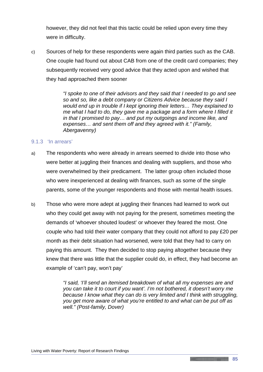however, they did not feel that this tactic could be relied upon every time they were in difficulty.

c) Sources of help for these respondents were again third parties such as the CAB. One couple had found out about CAB from one of the credit card companies; they subsequently received very good advice that they acted upon and wished that they had approached them sooner

> *"I spoke to one of their advisors and they said that I needed to go and see so and so, like a debt company or Citizens Advice because they said I would end up in trouble if I kept ignoring their letters… They explained to me what I had to do, they gave me a package and a form where I filled it in that I promised to pay… and put my outgoings and income like, and expenses… and sent them off and they agreed with it." (Family, Abergavenny)*

#### 9.1.3 'In arrears'

- a) The respondents who were already in arrears seemed to divide into those who were better at juggling their finances and dealing with suppliers, and those who were overwhelmed by their predicament. The latter group often included those who were inexperienced at dealing with finances, such as some of the single parents, some of the younger respondents and those with mental health issues.
- b) Those who were more adept at juggling their finances had learned to work out who they could get away with not paying for the present, sometimes meeting the demands of 'whoever shouted loudest' or whoever they feared the most. One couple who had told their water company that they could not afford to pay £20 per month as their debt situation had worsened, were told that they had to carry on paying this amount. They then decided to stop paying altogether because they knew that there was little that the supplier could do, in effect, they had become an example of 'can't pay, won't pay'

*"I said, 'I'll send an itemised breakdown of what all my expenses are and you can take it to court if you want'. I'm not bothered, it doesn't worry me because I know what they can do is very limited and I think with struggling, you get more aware of what you're entitled to and what can be put off as well." (Post-family, Dover)*

<u> 1989 - Andrea Station Andrew Maria (1989), prins and the contract of the contract of the contract of the contract of the contract of the contract of the contract of the contract of the contract of the contract of the con</u>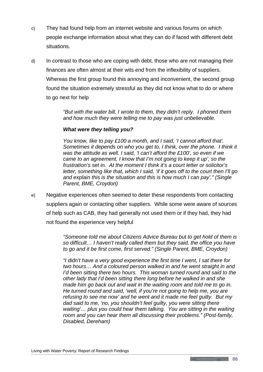- c) They had found help from an internet website and various forums on which people exchange information about what they can do if faced with different debt situations.
- d) In contrast to those who are coping with debt, those who are not managing their finances are often almost at their wits end from the inflexibility of suppliers. Whereas the first group found this annoying and inconvenient, the second group found the situation extremely stressful as they did not know what to do or where to go next for help

*"But with the water bill, I wrote to them, they didn't reply. I phoned them and how much they were telling me to pay was just unbelievable.*

## *What were they telling you?*

*You know, like to pay £100 a month, and I said, 'I cannot afford that'. Sometimes it depends on who you get to, I think, over the phone. I think it was the attitude as well. I said, 'I can't afford the £100', so even if we came to an agreement, I know that I'm not going to keep it up', so the frustration's set in. At the moment I think it's a court letter or solicitor's letter, something like that, which I said, 'if it goes off to the court then I'll go and explain this is the situation and this is how much I can pay'." (Single Parent, BME, Croydon)*

e) Negative experiences often seemed to deter these respondents from contacting suppliers again or contacting other suppliers. While some were aware of sources of help such as CAB, they had generally not used them or if they had, they had not found the experience very helpful

> *"Someone told me about Citizens Advice Bureau but to get hold of them is so difficult… I haven't really called them but they said, the office you have to go and it be first come, first served." (Single Parent, BME, Croydon)*

> *"I didn't have a very good experience the first time I went, I sat there for two hours… And a coloured person walked in and he went straight in and I'd been sitting there two hours. This woman turned round and said to the other lady that I'd been sitting there long before he walked in and she made him go back out and wait in the waiting room and told me to go in. He turned round and said, 'well, if you're not going to help me, you are refusing to see me now' and he went and it made me feel guilty. But my dad said to me, 'no, you shouldn't feel guilty, you were sitting there*  waiting'... plus you could hear them talking. You are sitting in the waiting *room and you can hear them all discussing their problems." (Post-family, Disabled, Dereham)*

**Continued in the Continued of the Continued State**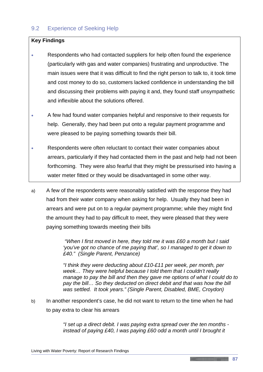# 9.2 Experience of Seeking Help

### **Key Findings**

- Respondents who had contacted suppliers for help often found the experience (particularly with gas and water companies) frustrating and unproductive. The main issues were that it was difficult to find the right person to talk to, it took time and cost money to do so, customers lacked confidence in understanding the bill and discussing their problems with paying it and, they found staff unsympathetic and inflexible about the solutions offered.
- A few had found water companies helpful and responsive to their requests for help. Generally, they had been put onto a regular payment programme and were pleased to be paying something towards their bill.
- Respondents were often reluctant to contact their water companies about arrears, particularly if they had contacted them in the past and help had not been forthcoming. They were also fearful that they might be pressurised into having a water meter fitted or they would be disadvantaged in some other way.
- a) A few of the respondents were reasonably satisfied with the response they had had from their water company when asking for help. Usually they had been in arrears and were put on to a regular payment programme; while they might find the amount they had to pay difficult to meet, they were pleased that they were paying something towards meeting their bills

*"When I first moved in here, they told me it was £60 a month but I said 'you've got no chance of me paying that', so I managed to get it down to £40." (Single Parent, Penzance)*

*"I think they were deducting about £10-£11 per week, per month, per week… They were helpful because I told them that I couldn't really manage to pay the bill and then they gave me options of what I could do to* pay the bill... So they deducted on direct debit and that was how the bill *was settled. It took years." (Single Parent, Disabled, BME, Croydon)*

b) In another respondent's case, he did not want to return to the time when he had to pay extra to clear his arrears

> *"I set up a direct debit. I was paying extra spread over the ten months instead of paying £40, I was paying £60 odd a month until I brought it*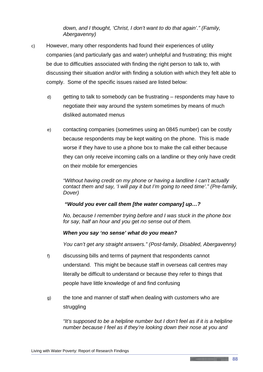*down, and I thought, 'Christ, I don't want to do that again'." (Family, Abergavenny)*

- c) However, many other respondents had found their experiences of utility companies (and particularly gas and water) unhelpful and frustrating; this might be due to difficulties associated with finding the right person to talk to, with discussing their situation and/or with finding a solution with which they felt able to comply. Some of the specific issues raised are listed below:
	- d) getting to talk to somebody can be frustrating respondents may have to negotiate their way around the system sometimes by means of much disliked automated menus
	- e) contacting companies (sometimes using an 0845 number) can be costly because respondents may be kept waiting on the phone. This is made worse if they have to use a phone box to make the call either because they can only receive incoming calls on a landline or they only have credit on their mobile for emergencies

*"Without having credit on my phone or having a landline I can't actually contact them and say, 'I will pay it but I'm going to need time'." (Pre-family, Dover)*

#### *"Would you ever call them [the water company] up…?*

*No, because I remember trying before and I was stuck in the phone box for say, half an hour and you get no sense out of them.*

#### *When you say 'no sense' what do you mean?*

*You can't get any straight answers." (Post-family, Disabled, Abergavenny)*

- f) discussing bills and terms of payment that respondents cannot understand. This might be because staff in overseas call centres may literally be difficult to understand or because they refer to things that people have little knowledge of and find confusing
- g) the tone and manner of staff when dealing with customers who are struggling

*"It's supposed to be a helpline number but I don't feel as if it is a helpline number because I feel as if they're looking down their nose at you and*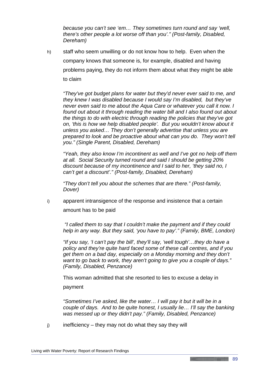*because you can't see 'em… They sometimes turn round and say 'well, there's other people a lot worse off than you'." (Post-family, Disabled, Dereham)*

h) staff who seem unwilling or do not know how to help. Even when the company knows that someone is, for example, disabled and having problems paying, they do not inform them about what they might be able to claim

*"They've got budget plans for water but they'd never ever said to me, and they knew I was disabled because I would say I'm disabled, but they've never even said to me about the Aqua Care or whatever you call it now. I found out about it through reading the water bill and I also found out about the things to do with electric through reading the policies that they've got on, 'this is how we help disabled people'. But you wouldn't know about it unless you asked… They don't generally advertise that unless you are prepared to look and be proactive about what can you do. They won't tell you." (Single Parent, Disabled, Dereham)*

*"Yeah, they also know I'm incontinent as well and I've got no help off them at all. Social Security turned round and said I should be getting 20% discount because of my incontinence and I said to her, 'they said no, I can't get a discount'." (Post-family, Disabled, Dereham)*

*"They don't tell you about the schemes that are there." (Post-family, Dover)*

i) apparent intransigence of the response and insistence that a certain amount has to be paid

*"I called them to say that I couldn't make the payment and if they could help in any way. But they said, 'you have to pay'." (Family, BME, London)*

*"If you say, 'I can't pay the bill', they'll say, 'well tough'…they do have a policy and they're quite hard faced some of these call centres, and if you get them on a bad day, especially on a Monday morning and they don't want to go back to work, they aren't going to give you a couple of days." (Family, Disabled, Penzance)*

This woman admitted that she resorted to lies to excuse a delay in

payment

*"Sometimes I've asked, like the water… I will pay it but it will be in a couple of days. And to be quite honest, I usually lie… I'll say the banking was messed up or they didn't pay." (Family, Disabled, Penzance)*

 $j$  inefficiency – they may not do what they say they will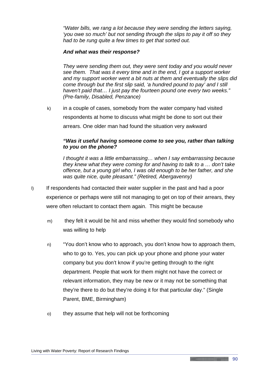*"Water bills, we rang a lot because they were sending the letters saying, 'you owe so much' but not sending through the slips to pay it off so they had to be rung quite a few times to get that sorted out.*

#### *And what was their response?*

*They were sending them out, they were sent today and you would never see them. That was it every time and in the end, I got a support worker and my support worker went a bit nuts at them and eventually the slips did come through but the first slip said, 'a hundred pound to pay' and I still haven't paid that… I just pay the fourteen pound one every two weeks." (Pre-family, Disabled, Penzance)*

k) in a couple of cases, somebody from the water company had visited respondents at home to discuss what might be done to sort out their arrears. One older man had found the situation very awkward

#### *"Was it useful having someone come to see you, rather than talking to you on the phone?*

*I thought it was a little embarrassing… when I say embarrassing because they knew what they were coming for and having to talk to a … don't take offence, but a young girl who, I was old enough to be her father, and she was quite nice, quite pleasant." (Retired, Abergavenny)*

- l) If respondents had contacted their water supplier in the past and had a poor experience or perhaps were still not managing to get on top of their arrears, they were often reluctant to contact them again. This might be because
	- m) they felt it would be hit and miss whether they would find somebody who was willing to help
	- n) "You don't know who to approach, you don't know how to approach them, who to go to. Yes, you can pick up your phone and phone your water company but you don't know if you're getting through to the right department. People that work for them might not have the correct or relevant information, they may be new or it may not be something that they're there to do but they're doing it for that particular day." (Single Parent, BME, Birmingham)
	- o) they assume that help will not be forthcoming

<u> 1989 - Jan Albert Stein, Stein am Francisco a Brasilian a Brasilian a Brasilian a Brasilian a Brasilian a Br</u>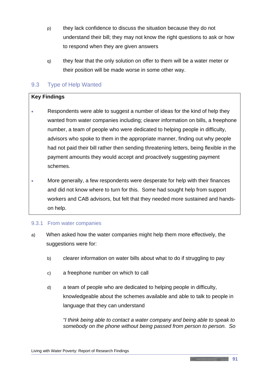- p) they lack confidence to discuss the situation because they do not understand their bill; they may not know the right questions to ask or how to respond when they are given answers
- q) they fear that the only solution on offer to them will be a water meter or their position will be made worse in some other way.

# 9.3 Type of Help Wanted

# **Key Findings**

- Respondents were able to suggest a number of ideas for the kind of help they wanted from water companies including; clearer information on bills, a freephone number, a team of people who were dedicated to helping people in difficulty, advisors who spoke to them in the appropriate manner, finding out why people had not paid their bill rather then sending threatening letters, being flexible in the payment amounts they would accept and proactively suggesting payment schemes.
- More generally, a few respondents were desperate for help with their finances and did not know where to turn for this. Some had sought help from support workers and CAB advisors, but felt that they needed more sustained and handson help.

#### 9.3.1 From water companies

- a) When asked how the water companies might help them more effectively, the suggestions were for:
	- b) clearer information on water bills about what to do if struggling to pay
	- c) a freephone number on which to call
	- d) a team of people who are dedicated to helping people in difficulty, knowledgeable about the schemes available and able to talk to people in language that they can understand

*"I think being able to contact a water company and being able to speak to somebody on the phone without being passed from person to person. So*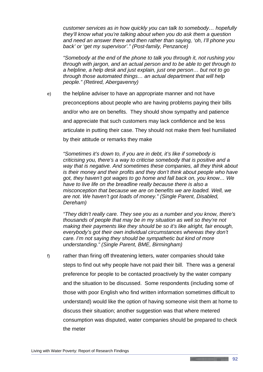*customer services as in how quickly you can talk to somebody… hopefully they'll know what you're talking about when you do ask them a question and need an answer there and then rather than saying, 'oh, I'll phone you back' or 'get my supervisor'." (Post-family, Penzance)*

*"Somebody at the end of the phone to talk you through it, not rushing you through with jargon, and an actual person and to be able to get through to a helpline, a help desk and just explain, just one person… but not to go through those automated things… an actual department that will help people." (Retired, Abergavenny)*

e) the helpline adviser to have an appropriate manner and not have preconceptions about people who are having problems paying their bills and/or who are on benefits. They should show sympathy and patience and appreciate that such customers may lack confidence and be less articulate in putting their case. They should not make them feel humiliated by their attitude or remarks they make

*"Sometimes it's down to, if you are in debt, it's like if somebody is criticising you, there's a way to criticise somebody that is positive and a way that is negative. And sometimes these companies, all they think about is their money and their profits and they don't think about people who have got, they haven't got wages to go home and fall back on, you know… We have to live life on the breadline really because there is also a misconception that because we are on benefits we are loaded. Well, we are not. We haven't got loads of money." (Single Parent, Disabled, Dereham)* 

*"They didn't really care. They see you as a number and you know, there's thousands of people that may be in my situation as well so they're not making their payments like they should be so it's like alright, fair enough, everybody's got their own individual circumstances whereas they don't care. I'm not saying they should be sympathetic but kind of more understanding." (Single Parent, BME, Birmingham)*

f) rather than firing off threatening letters, water companies should take steps to find out why people have not paid their bill. There was a general preference for people to be contacted proactively by the water company and the situation to be discussed. Some respondents (including some of those with poor English who find written information sometimes difficult to understand) would like the option of having someone visit them at home to discuss their situation; another suggestion was that where metered consumption was disputed, water companies should be prepared to check the meter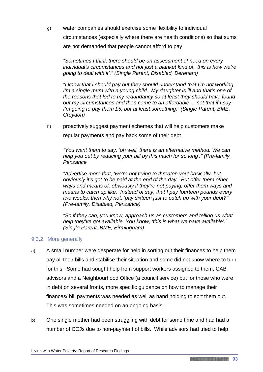g) water companies should exercise some flexibility to individual circumstances (especially where there are health conditions) so that sums are not demanded that people cannot afford to pay

*"Sometimes I think there should be an assessment of need on every individual's circumstances and not just a blanket kind of, 'this is how we're going to deal with it'." (Single Parent, Disabled, Dereham)*

*"I know that I should pay but they should understand that I'm not working. I'm a single mum with a young child. My daughter is ill and that's one of the reasons that led to my redundancy so at least they should have found out my circumstances and then come to an affordable ... not that if I say I'm going to pay them £5, but at least something." (Single Parent, BME, Croydon)*

h) proactively suggest payment schemes that will help customers make regular payments and pay back some of their debt

*"You want them to say, 'oh well, there is an alternative method. We can help you out by reducing your bill by this much for so long'." (Pre-family, Penzance*

*"Advertise more that, 'we're not trying to threaten you' basically, but obviously it's got to be paid at the end of the day. But offer them other ways and means of, obviously if they're not paying, offer them ways and means to catch up like. Instead of say, that I pay fourteen pounds every two weeks, then why not, 'pay sixteen just to catch up with your debt?'" (Pre-family, Disabled, Penzance)*

*"So if they can, you know, approach us as customers and telling us what help they've got available. You know, 'this is what we have available'." (Single Parent, BME, Birmingham)*

#### 9.3.2 More generally

- a) A small number were desperate for help in sorting out their finances to help them pay all their bills and stabilise their situation and some did not know where to turn for this. Some had sought help from support workers assigned to them, CAB advisors and a Neighbourhood Office (a council service) but for those who were in debt on several fronts, more specific guidance on how to manage their finances/ bill payments was needed as well as hand holding to sort them out. This was sometimes needed on an ongoing basis.
- b) One single mother had been struggling with debt for some time and had had a number of CCJs due to non-payment of bills. While advisors had tried to help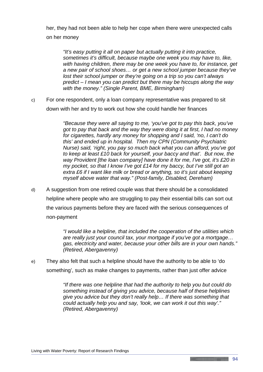her, they had not been able to help her cope when there were unexpected calls on her money

*"It's easy putting it all on paper but actually putting it into practice, sometimes it's difficult, because maybe one week you may have to, like, with having children, there may be one week you have to, for instance, get a new pair of school shoes… or get a new school jumper because they've lost their school jumper or they're going on a trip so you can't always predict – I mean you can predict but there may be hiccups along the way with the money." (Single Parent, BME, Birmingham)*

c) For one respondent, only a loan company representative was prepared to sit down with her and try to work out how she could handle her finances

> *"Because they were all saying to me, 'you've got to pay this back, you've got to pay that back and the way they were doing it at first, I had no money for cigarettes, hardly any money for shopping and I said, 'no, I can't do this' and ended up in hospital. Then my CPN (Community Psychiatric Nurse) said, 'right, you pay so much back what you can afford, you've got to keep at least £10 back for yourself, your baccy and that'. But now, the way Provident [the loan company] have done it for me, I've got, it's £20 in my pocket, so that I know I've got £14 for my baccy, but I've still got an extra £6 if I want like milk or bread or anything, so it's just about keeping myself above water that way." (Post-family, Disabled, Dereham)*

d) A suggestion from one retired couple was that there should be a consolidated helpline where people who are struggling to pay their essential bills can sort out the various payments before they are faced with the serious consequences of non-payment

> *"I would like a helpline, that included the cooperation of the utilities which are really just your council tax, your mortgage if you've got a mortgage… gas, electricity and water, because your other bills are in your own hands." (Retired, Abergavenny)*

e) They also felt that such a helpline should have the authority to be able to 'do something', such as make changes to payments, rather than just offer advice

> *"If there was one helpline that had the authority to help you but could do something instead of giving you advice, because half of these helplines give you advice but they don't really help… If there was something that could actually help you and say, 'look, we can work it out this way'." (Retired, Abergavenny)*

<u> 1989 - Jan Albert Stein, Stein am Francisco a Brasilian a Brasilian a Brasilian a Brasilian a Brasilian a Br</u>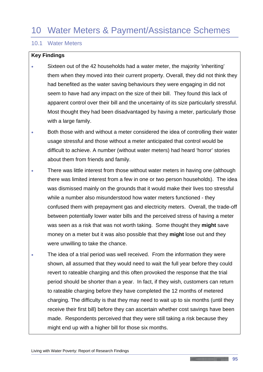# 10 Water Meters & Payment/Assistance Schemes

# 10.1 Water Meters

## **Key Findings**

- Sixteen out of the 42 households had a water meter, the majority 'inheriting' them when they moved into their current property. Overall, they did not think they had benefited as the water saving behaviours they were engaging in did not seem to have had any impact on the size of their bill. They found this lack of apparent control over their bill and the uncertainty of its size particularly stressful. Most thought they had been disadvantaged by having a meter, particularly those with a large family.
- Both those with and without a meter considered the idea of controlling their water usage stressful and those without a meter anticipated that control would be difficult to achieve. A number (without water meters) had heard 'horror' stories about them from friends and family.
- There was little interest from those without water meters in having one (although there was limited interest from a few in one or two person households). The idea was dismissed mainly on the grounds that it would make their lives too stressful while a number also misunderstood how water meters functioned - they confused them with prepayment gas and electricity meters. Overall, the trade-off between potentially lower water bills and the perceived stress of having a meter was seen as a risk that was not worth taking. Some thought they **might** save money on a meter but it was also possible that they **might** lose out and they were unwilling to take the chance.
- The idea of a trial period was well received. From the information they were shown, all assumed that they would need to wait the full year before they could revert to rateable charging and this often provoked the response that the trial period should be shorter than a year. In fact, if they wish, customers can return to rateable charging before they have completed the 12 months of metered charging. The difficulty is that they may need to wait up to six months (until they receive their first bill) before they can ascertain whether cost savings have been made. Respondents perceived that they were still taking a risk because they might end up with a higher bill for those six months.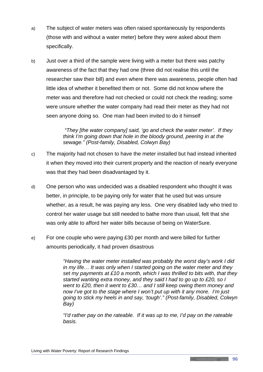- a) The subject of water meters was often raised spontaneously by respondents (those with and without a water meter) before they were asked about them specifically.
- b) Just over a third of the sample were living with a meter but there was patchy awareness of the fact that they had one (three did not realise this until the researcher saw their bill) and even where there was awareness, people often had little idea of whether it benefited them or not. Some did not know where the meter was and therefore had not checked or could not check the reading; some were unsure whether the water company had read their meter as they had not seen anyone doing so. One man had been invited to do it himself

*"They [the water company] said, 'go and check the water meter'. If they think I'm going down that hole in the bloody ground, peering in at the sewage." (Post-family, Disabled, Colwyn Bay)*

- c) The majority had not chosen to have the meter installed but had instead inherited it when they moved into their current property and the reaction of nearly everyone was that they had been disadvantaged by it.
- d) One person who was undecided was a disabled respondent who thought it was better, in principle, to be paying only for water that he used but was unsure whether, as a result, he was paying any less. One very disabled lady who tried to control her water usage but still needed to bathe more than usual, felt that she was only able to afford her water bills because of being on WaterSure.
- e) For one couple who were paying £30 per month and were billed for further amounts periodically, it had proven disastrous

*"Having the water meter installed was probably the worst day's work I did in my life… It was only when I started going on the water meter and they set my payments at £10 a month, which I was thrilled to bits with, that they started wanting extra money, and they said I had to go up to £20, so I went to £20, then it went to £30… and I still keep owing them money and now I've got to the stage where I won't put up with it any more. I'm just going to stick my heels in and say, 'tough'." (Post-family, Disabled, Colwyn Bay)*

*"I'd rather pay on the rateable. If it was up to me, I'd pay on the rateable basis.*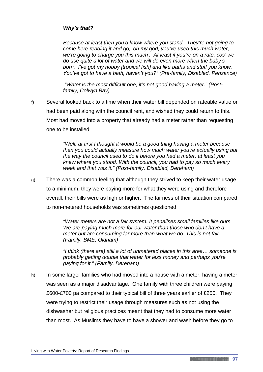# *Why's that?*

*Because at least then you'd know where you stand. They're not going to come here reading it and go, 'oh my god, you've used this much water, we're going to charge you this much'. At least if you're on a rate, cos' we do use quite a lot of water and we will do even more when the baby's born. I've got my hobby [tropical fish] and like baths and stuff you know. You've got to have a bath, haven't you?" (Pre-family, Disabled, Penzance)*

*"Water is the most difficult one, it's not good having a meter." (Postfamily, Colwyn Bay)*

f) Several looked back to a time when their water bill depended on rateable value or had been paid along with the council rent, and wished they could return to this. Most had moved into a property that already had a meter rather than requesting one to be installed

> *"Well, at first I thought it would be a good thing having a meter because then you could actually measure how much water you're actually using but the way the council used to do it before you had a meter, at least you knew where you stood. With the council, you had to pay so much every week and that was it." (Post-family, Disabled, Dereham)*

g) There was a common feeling that although they strived to keep their water usage to a minimum, they were paying more for what they were using and therefore overall, their bills were as high or higher. The fairness of their situation compared to non-metered households was sometimes questioned

> *"Water meters are not a fair system. It penalises small families like ours. We are paying much more for our water than those who don't have a meter but are consuming far more than what we do. This is not fair." (Family, BME, Oldham)*

*"I think (there are) still a lot of unmetered places in this area… someone is probably getting double that water for less money and perhaps you're paying for it." (Family, Dereham)*

h) In some larger families who had moved into a house with a meter, having a meter was seen as a major disadvantage. One family with three children were paying £600-£700 pa compared to their typical bill of three years earlier of £250. They were trying to restrict their usage through measures such as not using the dishwasher but religious practices meant that they had to consume more water than most. As Muslims they have to have a shower and wash before they go to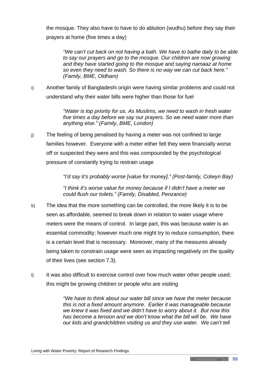the mosque. They also have to have to do ablution (wudhu) before they say their prayers at home (five times a day)

*"We can't cut back on not having a bath. We have to bathe daily to be able to say our prayers and go to the mosque. Our children are now growing and they have started going to the mosque and saying namaaz at home so even they need to wash. So there is no way we can cut back here." (Family, BME, Oldham)*

i) Another family of Bangladeshi origin were having similar problems and could not understand why their water bills were higher than those for fuel

> *"Water is top priority for us. As Muslims, we need to wash in fresh water five times a day before we say our prayers. So we need water more than anything else." (Family, BME, London)*

j) The feeling of being penalised by having a meter was not confined to large families however. Everyone with a meter either felt they were financially worse off or suspected they were and this was compounded by the psychological pressure of constantly trying to restrain usage

*"I'd say it's probably worse [value for money]." (Post-family, Colwyn Bay)*

*"I think it's worse value for money because if I didn't have a meter we could flush our toilets." (Family, Disabled, Penzance)*

- k) The idea that the more something can be controlled, the more likely it is to be seen as affordable, seemed to break down in relation to water usage where meters were the means of control. In large part, this was because water is an essential commodity; however much one might try to reduce consumption, there is a certain level that is necessary. Moreover, many of the measures already being taken to constrain usage were seen as impacting negatively on the quality of their lives (see section 7.3).
- I) It was also difficult to exercise control over how much water other people used; this might be growing children or people who are visiting

*"We have to think about our water bill since we have the meter because this is not a fixed amount anymore. Earlier it was manageable because we knew it was fixed and we didn't have to worry about it. But now this has become a tension and we don't know what the bill will be. We have our kids and grandchildren visiting us and they use water. We can't tell* 

<u> 1989 - Jan Albert Stein, Stein am Francisco a Brasilian a Brasilian a Brasilian a Brasilian a Brasilian a Br</u>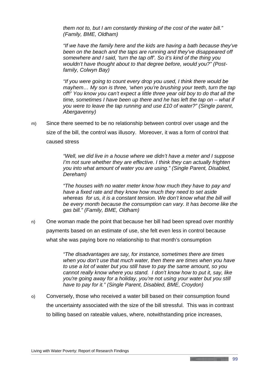*them not to, but I am constantly thinking of the cost of the water bill." (Family, BME, Oldham)*

*"If we have the family here and the kids are having a bath because they've been on the beach and the taps are running and they've disappeared off somewhere and I said, 'turn the tap off'. So it's kind of the thing you wouldn't have thought about to that degree before, would you?" (Postfamily, Colwyn Bay)*

*"If you were going to count every drop you used, I think there would be mayhem… My son is three, 'when you're brushing your teeth, turn the tap off!' You know you can't expect a little three year old boy to do that all the time, sometimes I have been up there and he has left the tap on – what if you were to leave the tap running and use £10 of water?" (Single parent, Abergavenny)*

m) Since there seemed to be no relationship between control over usage and the size of the bill, the control was illusory. Moreover, it was a form of control that caused stress

> *"Well, we did live in a house where we didn't have a meter and I suppose I'm not sure whether they are effective. I think they can actually frighten you into what amount of water you are using." (Single Parent, Disabled, Dereham)*

*"The houses with no water meter know how much they have to pay and have a fixed rate and they know how much they need to set aside whereas for us, it is a constant tension. We don't know what the bill will be every month because the consumption can vary. It has become like the gas bill." (Family, BME, Oldham)*

n) One woman made the point that because her bill had been spread over monthly payments based on an estimate of use, she felt even less in control because what she was paying bore no relationship to that month's consumption

> *"The disadvantages are say, for instance, sometimes there are times when you don't use that much water, then there are times when you have to use a lot of water but you still have to pay the same amount, so you cannot really know where you stand. I don't know how to put it, say, like you're going away for a holiday, you're not using your water but you still have to pay for it." (Single Parent, Disabled, BME, Croydon)*

o) Conversely, those who received a water bill based on their consumption found the uncertainty associated with the size of the bill stressful. This was in contrast to billing based on rateable values, where, notwithstanding price increases,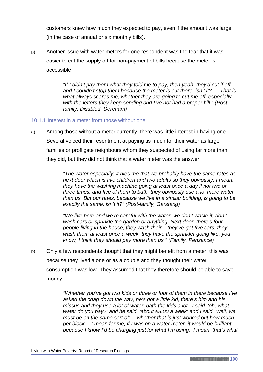customers knew how much they expected to pay, even if the amount was large (in the case of annual or six monthly bills).

p) Another issue with water meters for one respondent was the fear that it was easier to cut the supply off for non-payment of bills because the meter is accessible

> *"If I didn't pay them what they told me to pay, then yeah, they'd cut if off and I couldn't stop them because the meter is out there, isn't it? … That is what always scares me, whether they are going to cut me off, especially with the letters they keep sending and I've not had a proper bill." (Postfamily, Disabled, Dereham)*

#### 10.1.1 Interest in a meter from those without one

a) Among those without a meter currently, there was little interest in having one. Several voiced their resentment at paying as much for their water as large families or profligate neighbours whom they suspected of using far more than they did, but they did not think that a water meter was the answer

> *"The water especially, it riles me that we probably have the same rates as next door which is five children and two adults so they obviously, I mean, they have the washing machine going at least once a day if not two or three times, and five of them to bath, they obviously use a lot more water than us. But our rates, because we live in a similar building, is going to be exactly the same, isn't it?" (Post-family, Garstang)*

*"We live here and we're careful with the water, we don't waste it, don't wash cars or sprinkle the garden or anything. Next door, there's four people living in the house, they wash their – they've got five cars, they wash them at least once a week, they have the sprinkler going like, you know, I think they should pay more than us." (Family, Penzance)*

b) Only a few respondents thought that they might benefit from a meter; this was because they lived alone or as a couple and they thought their water consumption was low. They assumed that they therefore should be able to save money

> *"Whether you've got two kids or three or four of them in there because I've asked the chap down the way, he's got a little kid, there's him and his missus and they use a lot of water, bath the kids a lot. I said, 'oh, what water do you pay?' and he said, 'about £8.00 a week' and I said, 'well, we must be on the same sort of'… whether that is just worked out how much per block… I mean for me, if I was on a water meter, it would be brilliant because I know I'd be charging just for what I'm using. I mean, that's what*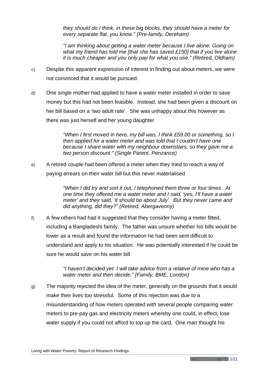*they should do I think, in these big blocks, they should have a meter for every separate flat, you know." (Pre-family, Dereham)*

*"I am thinking about getting a water meter because I live alone. Going on what my friend has told me [that she has saved £150] that if you live alone it is much cheaper and you only pay for what you use." (Retired, Oldham)*

- c) Despite this apparent expression of interest in finding out about meters, we were not convinced that it would be pursued.
- d) One single mother had applied to have a water meter installed in order to save money but this had not been feasible. Instead, she had been given a discount on her bill based on a 'two adult rate'. She was unhappy about this however as there was just herself and her young daughter

*"When I first moved in here, my bill was, I think £59.00 or something, so I then applied for a water meter and was told that I couldn't have one because I share water with my neighbour downstairs, so they gave me a two person discount." (Single Parent, Penzance)*

e) A retired couple had been offered a meter when they tried to reach a way of paying arrears on their water bill but this never materialised

> *"When I did try and sort it out, I telephoned them three or four times. At one time they offered me a water meter and I said, 'yes, I'll have a water meter' and they said, 'it should be about July'. But they never came and did anything, did they?" (Retired, Abergavenny)*

f) A few others had had it suggested that they consider having a meter fitted, including a Bangladeshi family. The father was unsure whether his bills would be lower as a result and found the information he had been sent difficult to understand and apply to his situation. He was potentially interested if he could be sure he would save on his water bill

> *"I haven't decided yet. I will take advice from a relative of mine who has a water meter and then decide." (Family, BME, London)*

g) The majority rejected the idea of the meter, generally on the grounds that it would make their lives too stressful. Some of this rejection was due to a misunderstanding of how meters operated with several people comparing water meters to pre-pay gas and electricity meters whereby one could, in effect, lose water supply if you could not afford to top up the card. One man thought his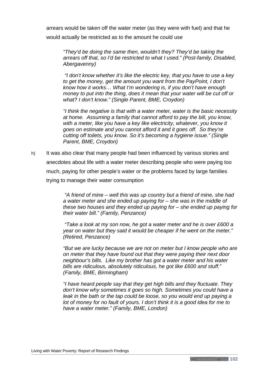arrears would be taken off the water meter (as they were with fuel) and that he would actually be restricted as to the amount he could use

*"They'd be doing the same then, wouldn't they? They'd be taking the arrears off that, so I'd be restricted to what I used." (Post-family, Disabled, Abergavenny)*

*"I don't know whether it's like the electric key, that you have to use a key to get the money, get the amount you want from the PayPoint, I don't know how it works… What I'm wondering is, if you don't have enough money to put into the thing, does it mean that your water will be cut off or what? I don't know." (Single Parent, BME, Croydon)*

*"I think the negative is that with a water meter, water is the basic necessity at home. Assuming a family that cannot afford to pay the bill, you know,*  with a meter, like you have a key like electricity, whatever, you know it *goes on estimate and you cannot afford it and it goes off. So they're cutting off toilets, you know. So it's becoming a hygiene issue." (Single Parent, BME, Croydon)*

h) It was also clear that many people had been influenced by various stories and anecdotes about life with a water meter describing people who were paying too much, paying for other people's water or the problems faced by large families trying to manage their water consumption

> *"A friend of mine – well this was up country but a friend of mine, she had a water meter and she ended up paying for – she was in the middle of these two houses and they ended up paying for – she ended up paying for their water bill." (Family, Penzance)*

*"Take a look at my son now, he got a water meter and he is over £600 a year on water but they said it would be cheaper if he went on the meter." (Retired, Penzance)*

*"But we are lucky because we are not on meter but I know people who are on meter that they have found out that they were paying their next door neighbour's bills. Like my brother has got a water meter and his water bills are ridiculous, absolutely ridiculous, he got like £600 and stuff." (Family, BME, Birmingham)*

*"I have heard people say that they get high bills and they fluctuate. They don't know why sometimes it goes so high. Sometimes you could have a*  leak in the bath or the tap could be loose, so you would end up paying a *lot of money for no fault of yours. I don't think it is a good idea for me to have a water meter." (Family, BME, London)*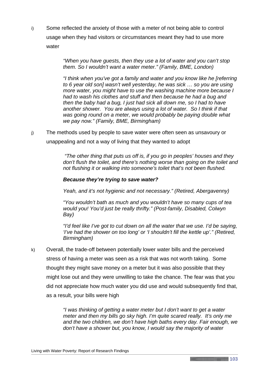i) Some reflected the anxiety of those with a meter of not being able to control usage when they had visitors or circumstances meant they had to use more water

> *"When you have guests, then they use a lot of water and you can't stop them. So I wouldn't want a water meter." (Family, BME, London)*

*"I think when you've got a family and water and you know like he [referring to 6 year old son] wasn't well yesterday, he was sick … so you are using more water, you might have to use the washing machine more because I had to wash his clothes and stuff and then because he had a bug and then the baby had a bug, I just had sick all down me, so I had to have another shower. You are always using a lot of water. So I think if that was going round on a meter, we would probably be paying double what we pay now." (Family, BME, Birmingham)*

j) The methods used by people to save water were often seen as unsavoury or unappealing and not a way of living that they wanted to adopt

> *"The other thing that puts us off is, if you go in peoples' houses and they don't flush the toilet, and there's nothing worse than going on the toilet and not flushing it or walking into someone's toilet that's not been flushed.*

## *Because they're trying to save water?*

*Yeah, and it's not hygienic and not necessary." (Retired, Abergavenny)*

*"You wouldn't bath as much and you wouldn't have so many cups of tea would you! You'd just be really thrifty." (Post-family, Disabled, Colwyn Bay)*

*"I'd feel like I've got to cut down on all the water that we use. I'd be saying, 'I've had the shower on too long' or 'I shouldn't fill the kettle up'." (Retired, Birmingham)*

k) Overall, the trade-off between potentially lower water bills and the perceived stress of having a meter was seen as a risk that was not worth taking. Some thought they might save money on a meter but it was also possible that they might lose out and they were unwilling to take the chance. The fear was that you did not appreciate how much water you did use and would subsequently find that, as a result, your bills were high

> *"I was thinking of getting a water meter but I don't want to get a water meter and then my bills go sky high. I'm quite scared really. It's only me and the two children, we don't have high baths every day. Fair enough, we don't have a shower but, you know, I would say the majority of water*

**103**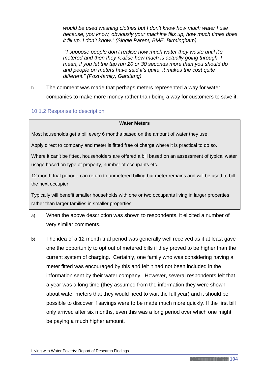*would be used washing clothes but I don't know how much water I use because, you know, obviously your machine fills up, how much times does it fill up, I don't know." (Single Parent, BME, Birmingham)*

*"I suppose people don't realise how much water they waste until it's metered and then they realise how much is actually going through. I mean, if you let the tap run 20 or 30 seconds more than you should do and people on meters have said it's quite, it makes the cost quite different." (Post-family, Garstang)*

l) The comment was made that perhaps meters represented a way for water companies to make more money rather than being a way for customers to save it.

### 10.1.2 Response to description

#### **Water Meters**

Most households get a bill every 6 months based on the amount of water they use.

Apply direct to company and meter is fitted free of charge where it is practical to do so.

Where it can't be fitted, householders are offered a bill based on an assessment of typical water usage based on type of property, number of occupants etc.

12 month trial period - can return to unmetered billing but meter remains and will be used to bill the next occupier.

Typically will benefit smaller households with one or two occupants living in larger properties rather than larger families in smaller properties.

- a) When the above description was shown to respondents, it elicited a number of very similar comments.
- b) The idea of a 12 month trial period was generally well received as it at least gave one the opportunity to opt out of metered bills if they proved to be higher than the current system of charging. Certainly, one family who was considering having a meter fitted was encouraged by this and felt it had not been included in the information sent by their water company. However, several respondents felt that a year was a long time (they assumed from the information they were shown about water meters that they would need to wait the full year) and it should be possible to discover if savings were to be made much more quickly. If the first bill only arrived after six months, even this was a long period over which one might be paying a much higher amount.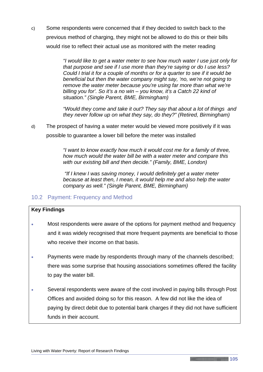c) Some respondents were concerned that if they decided to switch back to the previous method of charging, they might not be allowed to do this or their bills would rise to reflect their actual use as monitored with the meter reading

> *"I would like to get a water meter to see how much water I use just only for that purpose and see if I use more than they're saying or do I use less? Could I trial it for a couple of months or for a quarter to see if it would be beneficial but then the water company might say, 'no, we're not going to remove the water meter because you're using far more than what we're billing you for'. So it's a no win – you know, it's a Catch 22 kind of situation." (Single Parent, BME, Birmingham)*

> *"Would they come and take it out? They say that about a lot of things and they never follow up on what they say, do they?" (Retired, Birmingham)*

d) The prospect of having a water meter would be viewed more positively if it was possible to guarantee a lower bill before the meter was installed

> *"I want to know exactly how much it would cost me for a family of three, how much would the water bill be with a water meter and compare this with our existing bill and then decide." (Family, BME, London)*

> *"If I knew I was saving money, I would definitely get a water meter because at least then, I mean, it would help me and also help the water company as well." (Single Parent, BME, Birmingham)*

# 10.2 Payment: Frequency and Method

# **Key Findings**

- Most respondents were aware of the options for payment method and frequency and it was widely recognised that more frequent payments are beneficial to those who receive their income on that basis.
- Payments were made by respondents through many of the channels described; there was some surprise that housing associations sometimes offered the facility to pay the water bill.
- Several respondents were aware of the cost involved in paying bills through Post Offices and avoided doing so for this reason. A few did not like the idea of paying by direct debit due to potential bank charges if they did not have sufficient funds in their account.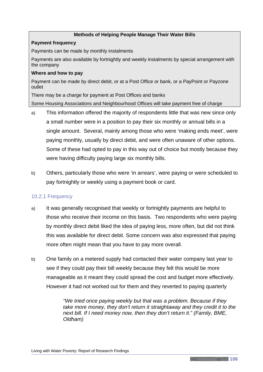### **Methods of Helping People Manage Their Water Bills**

#### **Payment frequency**

Payments can be made by monthly instalments

Payments are also available by fortnightly and weekly instalments by special arrangement with the company

#### **Where and how to pay**

Payment can be made by direct debit, or at a Post Office or bank, or a PayPoint or Payzone outlet

There may be a charge for payment at Post Offices and banks

Some Housing Associations and Neighbourhood Offices will take payment free of charge

- a) This information offered the majority of respondents little that was new since only a small number were in a position to pay their six monthly or annual bills in a single amount. Several, mainly among those who were 'making ends meet', were paying monthly, usually by direct debit, and were often unaware of other options. Some of these had opted to pay in this way out of choice but mostly because they were having difficulty paying large six monthly bills.
- b) Others, particularly those who were 'in arrears', were paying or were scheduled to pay fortnightly or weekly using a payment book or card.

### 10.2.1 Frequency

- a) It was generally recognised that weekly or fortnightly payments are helpful to those who receive their income on this basis. Two respondents who were paying by monthly direct debit liked the idea of paying less, more often, but did not think this was available for direct debit. Some concern was also expressed that paying more often might mean that you have to pay more overall.
- b) One family on a metered supply had contacted their water company last year to see if they could pay their bill weekly because they felt this would be more manageable as it meant they could spread the cost and budget more effectively. However it had not worked out for them and they reverted to paying quarterly

*"We tried once paying weekly but that was a problem. Because if they take more money, they don't return it straightaway and they credit it to the next bill. If I need money now, then they don't return it." (Family, BME, Oldham)*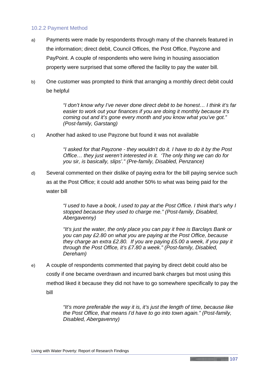### 10.2.2 Payment Method

- a) Payments were made by respondents through many of the channels featured in the information; direct debit, Council Offices, the Post Office, Payzone and PayPoint. A couple of respondents who were living in housing association property were surprised that some offered the facility to pay the water bill.
- b) One customer was prompted to think that arranging a monthly direct debit could be helpful

*"I don't know why I've never done direct debit to be honest… I think it's far easier to work out your finances if you are doing it monthly because it's coming out and it's gone every month and you know what you've got." (Post-family, Garstang)*

c) Another had asked to use Payzone but found it was not available

*"I asked for that Payzone - they wouldn't do it. I have to do it by the Post Office… they just weren't interested in it. 'The only thing we can do for you sir, is basically, slips'." (Pre-family, Disabled, Penzance)*

d) Several commented on their dislike of paying extra for the bill paying service such as at the Post Office; it could add another 50% to what was being paid for the water bill

> *"I used to have a book, I used to pay at the Post Office. I think that's why I stopped because they used to charge me." (Post-family, Disabled, Abergavenny)*

*"It's just the water, the only place you can pay it free is Barclays Bank or you can pay £2.80 on what you are paying at the Post Office, because they charge an extra £2.80. If you are paying £5.00 a week, if you pay it through the Post Office, it's £7.80 a week." (Post-family, Disabled, Dereham)*

e) A couple of respondents commented that paying by direct debit could also be costly if one became overdrawn and incurred bank charges but most using this method liked it because they did not have to go somewhere specifically to pay the bill

> *"It's more preferable the way it is, it's just the length of time, because like the Post Office, that means I'd have to go into town again." (Post-family, Disabled, Abergavenny)*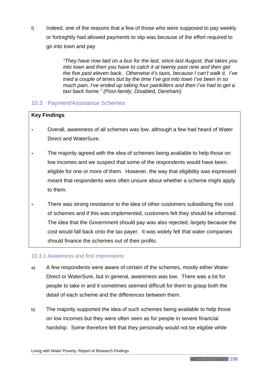f) Indeed, one of the reasons that a few of those who were supposed to pay weekly or fortnightly had allowed payments to slip was because of the effort required to go into town and pay

> *"They have now laid on a bus for the last, since last August, that takes you into town and then you have to catch it at twenty past nine and then get the five past eleven back. Otherwise it's taxis, because I can't walk it. I've tried a couple of times but by the time I've got into town I've been in so much pain, I've ended up taking four painkillers and then I've had to get a taxi back home." (Post-family, Disabled, Dereham)*

# 10.3 Payment/Assistance Schemes

# **Key Findings**

- Overall, awareness of all schemes was low, although a few had heard of Water Direct and WaterSure.
- The majority agreed with the idea of schemes being available to help those on low incomes and we suspect that some of the respondents would have been eligible for one or more of them. However, the way that eligibility was expressed meant that respondents were often unsure about whether a scheme might apply to them.
- There was strong resistance to the idea of other customers subsidising the cost of schemes and if this was implemented, customers felt they should be informed. The idea that the Government should pay was also rejected, largely because the cost would fall back onto the tax payer. It was widely felt that water companies should finance the schemes out of their profits.

# 10.3.1 Awareness and first impressions

- a) A few respondents were aware of certain of the schemes, mostly either Water Direct or WaterSure, but in general, awareness was low. There was a lot for people to take in and it sometimes seemed difficult for them to grasp both the detail of each scheme and the differences between them.
- b) The majority supported the idea of such schemes being available to help those on low incomes but they were often seen as for people in severe financial hardship. Some therefore felt that they personally would not be eligible while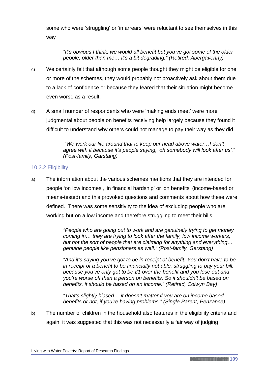some who were 'struggling' or 'in arrears' were reluctant to see themselves in this way

*"It's obvious I think, we would all benefit but you've got some of the older people, older than me… it's a bit degrading." (Retired, Abergavenny)*

- c) We certainly felt that although some people thought they might be eligible for one or more of the schemes, they would probably not proactively ask about them due to a lack of confidence or because they feared that their situation might become even worse as a result.
- d) A small number of respondents who were 'making ends meet' were more judgmental about people on benefits receiving help largely because they found it difficult to understand why others could not manage to pay their way as they did

*"We work our life around that to keep our head above water…I don't agree with it because it's people saying, 'oh somebody will look after us'." (Post-family, Garstang)*

### 10.3.2 Eligibility

a) The information about the various schemes mentions that they are intended for people 'on low incomes', 'in financial hardship' or 'on benefits' (income-based or means-tested) and this provoked questions and comments about how these were defined. There was some sensitivity to the idea of excluding people who are working but on a low income and therefore struggling to meet their bills

> *"People who are going out to work and are genuinely trying to get money coming in… they are trying to look after the family, low income workers, but not the sort of people that are claiming for anything and everything… genuine people like pensioners as well." (Post-family, Garstang)*

*"And it's saying you've got to be in receipt of benefit. You don't have to be in receipt of a benefit to be financially not able, struggling to pay your bill, because you've only got to be £1 over the benefit and you lose out and you're worse off than a person on benefits. So it shouldn't be based on benefits, it should be based on an income." (Retired, Colwyn Bay)*

*"That's slightly biased… it doesn't matter if you are on income based benefits or not, if you're having problems." (Single Parent, Penzance)*

b) The number of children in the household also features in the eligibility criteria and again, it was suggested that this was not necessarily a fair way of judging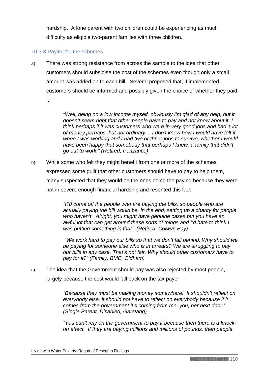hardship. A lone parent with two children could be experiencing as much difficulty as eligible two-parent families with three children.

## 10.3.3 Paying for the schemes

a) There was strong resistance from across the sample to the idea that other customers should subsidise the cost of the schemes even though only a small amount was added on to each bill. Several proposed that, if implemented, customers should be informed and possibly given the choice of whether they paid it

> *"Well, being on a low income myself, obviously I'm glad of any help, but it doesn't seem right that other people have to pay and not know about it. I think perhaps if it was customers who were in very good jobs and had a lot of money perhaps, but not ordinary… I don't know how I would have felt if when I was working and I had two or three jobs to survive, whether I would have been happy that somebody that perhaps I knew, a family that didn't go out to work." (Retired, Penzance)*

b) While some who felt they might benefit from one or more of the schemes expressed some guilt that other customers should have to pay to help them, many suspected that they would be the ones doing the paying because they were not in severe enough financial hardship and resented this fact

> *"It'd come off the people who are paying the bills, so people who are actually paying the bill would be, in the end, setting up a charity for people who haven't. Alright, you might have genuine cases but you have an awful lot that can get around these sorts of things and I'd hate to think I was putting something in that." (Retired, Colwyn Bay)*

> *"We work hard to pay our bills so that we don't fall behind. Why should we be paying for someone else who is in arrears? We are struggling to pay our bills in any case. That's not fair. Why should other customers have to pay for it?" (Family, BME, Oldham)*

c) The idea that the Government should pay was also rejected by most people, largely because the cost would fall back on the tax payer

> *"Because they must be making money somewhere! It shouldn't reflect on*  everybody else, it should not have to reflect on everybody because if it *comes from the government it's coming from me, you, her next door." (Single Parent, Disabled, Garstang)*

> *"You can't rely on the government to pay it because then there is a knockon effect. If they are paying millions and millions of pounds, then people*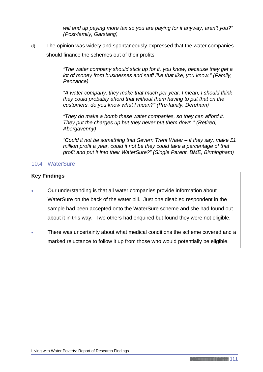*will end up paying more tax so you are paying for it anyway, aren't you?" (Post-family, Garstang)*

d) The opinion was widely and spontaneously expressed that the water companies should finance the schemes out of their profits

> *"The water company should stick up for it, you know, because they get a lot of money from businesses and stuff like that like, you know." (Family, Penzance)*

> *"A water company, they make that much per year. I mean, I should think they could probably afford that without them having to put that on the customers, do you know what I mean?" (Pre-family, Dereham)*

*"They do make a bomb these water companies, so they can afford it. They put the charges up but they never put them down." (Retired, Abergavenny)*

*"Could it not be something that Severn Trent Water – if they say, make £1 million profit a year, could it not be they could take a percentage of that profit and put it into their WaterSure?" (Single Parent, BME, Birmingham)*

# 10.4 WaterSure

### **Key Findings**

- Our understanding is that all water companies provide information about WaterSure on the back of the water bill. Just one disabled respondent in the sample had been accepted onto the WaterSure scheme and she had found out about it in this way. Two others had enquired but found they were not eligible.
- There was uncertainty about what medical conditions the scheme covered and a marked reluctance to follow it up from those who would potentially be eligible.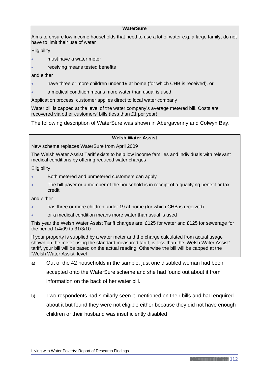#### **WaterSure**

Aims to ensure low income households that need to use a lot of water e.g. a large family, do not have to limit their use of water

**Eligibility** 

- must have a water meter
- receiving means tested benefits

and either

- have three or more children under 19 at home (for which CHB is received). or
- a medical condition means more water than usual is used

Application process: customer applies direct to local water company

Water bill is capped at the level of the water company's average metered bill. Costs are recovered via other customers' bills (less than £1 per year)

The following description of WaterSure was shown in Abergavenny and Colwyn Bay.

#### **Welsh Water Assist**

New scheme replaces WaterSure from April 2009

The Welsh Water Assist Tariff exists to help low income families and individuals with relevant medical conditions by offering reduced water charges

**Eligibility** 

- Both metered and unmetered customers can apply
- The bill payer or a member of the household is in receipt of a qualifying benefit or tax credit

and either

- has three or more children under 19 at home (for which CHB is received)
- or a medical condition means more water than usual is used

This year the Welsh Water Assist Tariff charges are: £125 for water and £125 for sewerage for the period 1/4/09 to 31/3/10

If your property is supplied by a water meter and the charge calculated from actual usage shown on the meter using the standard measured tariff, is less than the 'Welsh Water Assist' tariff, your bill will be based on the actual reading. Otherwise the bill will be capped at the 'Welsh Water Assist' level

- a) Out of the 42 households in the sample, just one disabled woman had been accepted onto the WaterSure scheme and she had found out about it from information on the back of her water bill.
- b) Two respondents had similarly seen it mentioned on their bills and had enquired about it but found they were not eligible either because they did not have enough children or their husband was insufficiently disabled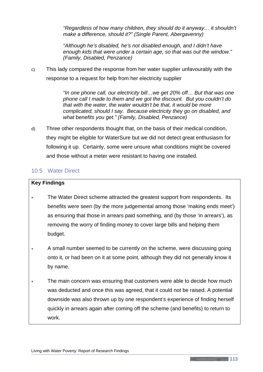*"Regardless of how many children, they should do it anyway… it shouldn't make a difference, should it?" (Single Parent, Abergavenny)*

*"Although he's disabled, he's not disabled enough, and I didn't have enough kids that were under a certain age, so that was out the window." (Family, Disabled, Penzance)*

c) This lady compared the response from her water supplier unfavourably with the response to a request for help from her electricity supplier

> *"In one phone call, our electricity bill…we get 20% off… But that was one phone call I made to them and we got the discount. But you couldn't do that with the water, the water wouldn't be that, it would be more complicated, should I say. Because electricity they go on disabled, and what benefits you get." (Family, Disabled, Penzance)*

d) Three other respondents thought that, on the basis of their medical condition, they might be eligible for WaterSure but we did not detect great enthusiasm for following it up. Certainly, some were unsure what conditions might be covered and those without a meter were resistant to having one installed.

# 10.5 Water Direct

### **Key Findings**

- The Water Direct scheme attracted the greatest support from respondents. Its benefits were seen (by the more judgemental among those 'making ends meet') as ensuring that those in arrears paid something, and (by those 'in arrears'), as removing the worry of finding money to cover large bills and helping them budget.
- A small number seemed to be currently on the scheme, were discussing going onto it, or had been on it at some point, although they did not generally know it by name.
- The main concern was ensuring that customers were able to decide how much was deducted and once this was agreed, that it could not be raised. A potential downside was also thrown up by one respondent's experience of finding herself quickly in arrears again after coming off the scheme (and benefits) to return to work.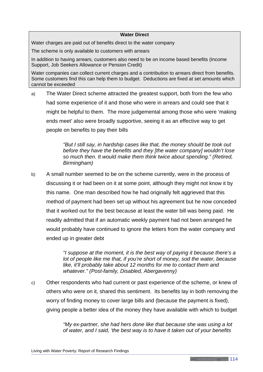#### **Water Direct**

Water charges are paid out of benefits direct to the water company

The scheme is only available to customers with arrears

In addition to having arrears, customers also need to be on income based benefits (Income Support, Job Seekers Allowance or Pension Credit)

Water companies can collect current charges and a contribution to arrears direct from benefits. Some customers find this can help them to budget. Deductions are fixed at set amounts which cannot be exceeded

a) The Water Direct scheme attracted the greatest support, both from the few who had some experience of it and those who were in arrears and could see that it might be helpful to them. The more judgemental among those who were 'making ends meet' also were broadly supportive, seeing it as an effective way to get people on benefits to pay their bills

> *"But I still say, in hardship cases like that, the money should be took out before they have the benefits and they [the water company] wouldn't lose so much then. It would make them think twice about spending." (Retired, Birmingham)*

b) A small number seemed to be on the scheme currently, were in the process of discussing it or had been on it at some point, although they might not know it by this name. One man described how he had originally felt aggrieved that this method of payment had been set up without his agreement but he now conceded that it worked out for the best because at least the water bill was being paid. He readily admitted that if an automatic weekly payment had not been arranged he would probably have continued to ignore the letters from the water company and ended up in greater debt

> *"I suppose at the moment, it is the best way of paying it because there's a lot of people like me that, if you're short of money, sod the water, because like, it'll probably take about 12 months for me to contact them and whatever." (Post-family, Disabled, Abergavenny)*

c) Other respondents who had current or past experience of the scheme, or knew of others who were on it, shared this sentiment. Its benefits lay in both removing the worry of finding money to cover large bills and (because the payment is fixed), giving people a better idea of the money they have available with which to budget

> *"My ex-partner, she had hers done like that because she was using a lot of water, and I said, 'the best way is to have it taken out of your benefits*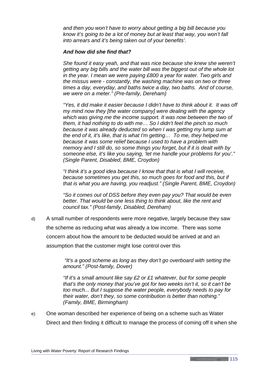*and then you won't have to worry about getting a big bill because you know it's going to be a lot of money but at least that way, you won't fall into arrears and it's being taken out of your benefits'.*

#### *And how did she find that?*

*She found it easy yeah, and that was nice because she knew she weren't getting any big bills and the water bill was the biggest out of the whole lot in the year. I mean we were paying £800 a year for water. Two girls and the missus were - constantly, the washing machine was on two or three times a day, everyday, and baths twice a day, two baths. And of course, we were on a meter." (Pre-family, Dereham)*

*"Yes, it did make it easier because I didn't have to think about it. It was off my mind now they [the water company] were dealing with the agency which was giving me the income support. It was now between the two of them, it had nothing to do with me… So I didn't feel the pinch so much because it was already deducted so when I was getting my lump sum at the end of it, it's like, that is what I'm getting… To me, they helped me because it was some relief because I used to have a problem with memory and I still do, so some things you forget, but if it is dealt with by someone else, it's like you saying, 'let me handle your problems for you'." (Single Parent, Disabled, BME, Croydon)*

*"I think it's a good idea because I know that that is what I will receive, because sometimes you get this, so much goes for food and this, but if that is what you are having, you readjust." (Single Parent, BME, Croydon)*

*"So it comes out of DSS before they even pay you? That would be even better. That would be one less thing to think about, like the rent and council tax." (Post-family, Disabled, Dereham)*

d) A small number of respondents were more negative, largely because they saw the scheme as reducing what was already a low income. There was some concern about how the amount to be deducted would be arrived at and an assumption that the customer might lose control over this

> *"It's a good scheme as long as they don't go overboard with setting the amount." (Post-family, Dover)*

> *"If it's a small amount like say £2 or £1 whatever, but for some people that's the only money that you've got for two weeks isn't it, so it can't be too much... But I suppose the water people, everybody needs to pay for their water, don't they, so some contribution is better than nothing." (Family, BME, Birmingham)*

e) One woman described her experience of being on a scheme such as Water Direct and then finding it difficult to manage the process of coming off it when she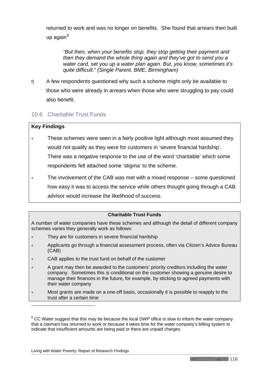returned to work and was no longer on benefits. She found that arrears then built up again $8$ 

*"But then, when your benefits stop, they stop getting their payment and then they demand the whole thing again and they've got to send you a water card, set you up a water plan again. But, you know, sometimes it's quite difficult." (Single Parent, BME, Birmingham)*

f) A few respondents questioned why such a scheme might only be available to those who were already in arrears when those who were struggling to pay could also benefit.

# 10.6 Charitable Trust Funds

### **Key Findings**

-

- These schemes were seen in a fairly positive light although most assumed they would not qualify as they were for customers in 'severe financial hardship'. There was a negative response to the use of the word 'charitable' which some respondents felt attached some 'stigma' to the scheme.
- The involvement of the CAB was met with a mixed response some questioned how easy it was to access the service while others thought going through a CAB advisor would increase the likelihood of success.

#### **Charitable Trust Funds**

A number of water companies have these schemes and although the detail of different company schemes varies they generally work as follows:

- They are for customers in severe financial hardship
- Applicants go through a financial assessment process, often via Citizen's Advice Bureau (CAB)
- CAB applies to the trust fund on behalf of the customer
- A grant may then be awarded to the customers' priority creditors including the water company. Sometimes this is conditional on the customer showing a genuine desire to manage their finances in the future, for example, by sticking to agreed payments with their water company
- Most grants are made on a one-off basis, occasionally it is possible to reapply to the trust after a certain time

<span id="page-120-0"></span> $8$  CC Water suggest that this may be because the local DWP office is slow to inform the water company that a claimant has returned to work or because it takes time for the water company's billing system to indicate that insufficient amounts are being paid or there are unpaid charges.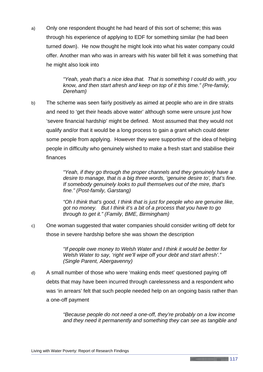a) Only one respondent thought he had heard of this sort of scheme; this was through his experience of applying to EDF for something similar (he had been turned down). He now thought he might look into what his water company could offer. Another man who was in arrears with his water bill felt it was something that he might also look into

> *"Yeah, yeah that's a nice idea that. That is something I could do with, you know, and then start afresh and keep on top of it this time." (Pre-family, Dereham)*

b) The scheme was seen fairly positively as aimed at people who are in dire straits and need to 'get their heads above water' although some were unsure just how 'severe financial hardship' might be defined. Most assumed that they would not qualify and/or that it would be a long process to gain a grant which could deter some people from applying. However they were supportive of the idea of helping people in difficulty who genuinely wished to make a fresh start and stabilise their finances

> *"Yeah, if they go through the proper channels and they genuinely have a desire to manage, that is a big three words, 'genuine desire to', that's fine. If somebody genuinely looks to pull themselves out of the mire, that's fine." (Post-family, Garstang)*

*"Oh I think that's good, I think that is just for people who are genuine like, got no money. But I think it's a bit of a process that you have to go through to get it." (Family, BME, Birmingham)*

c) One woman suggested that water companies should consider writing off debt for those in severe hardship before she was shown the description

> *"If people owe money to Welsh Water and I think it would be better for Welsh Water to say, 'right we'll wipe off your debt and start afresh'." (Single Parent, Abergavenny)*

d) A small number of those who were 'making ends meet' questioned paying off debts that may have been incurred through carelessness and a respondent who was 'in arrears' felt that such people needed help on an ongoing basis rather than a one-off payment

> *"Because people do not need a one-off, they're probably on a low income and they need it permanently and something they can see as tangible and*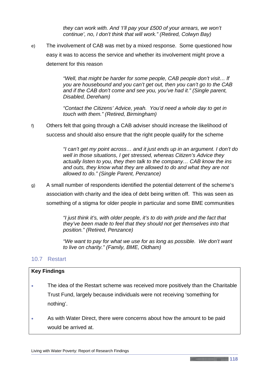*they can work with. And 'I'll pay your £500 of your arrears, we won't continue', no, I don't think that will work." (Retired, Colwyn Bay)*

e) The involvement of CAB was met by a mixed response. Some questioned how easy it was to access the service and whether its involvement might prove a deterrent for this reason

> *"Well, that might be harder for some people, CAB people don't visit… lf you are housebound and you can't get out, then you can't go to the CAB and if the CAB don't come and see you, you've had it." (Single parent, Disabled, Dereham)*

*"Contact the Citizens' Advice, yeah. You'd need a whole day to get in touch with them." (Retired, Birmingham)*

f) Others felt that going through a CAB adviser should increase the likelihood of success and should also ensure that the right people qualify for the scheme

> *"I can't get my point across… and it just ends up in an argument. I don't do well in those situations, I get stressed, whereas Citizen's Advice they actually listen to you, they then talk to the company… CAB know the ins and outs, they know what they are allowed to do and what they are not allowed to do." (Single Parent, Penzance)*

g) A small number of respondents identified the potential deterrent of the scheme's association with charity and the idea of debt being written off. This was seen as something of a stigma for older people in particular and some BME communities

> *"I just think it's, with older people, it's to do with pride and the fact that they've been made to feel that they should not get themselves into that position." (Retired, Penzance)*

*"We want to pay for what we use for as long as possible. We don't want to live on charity." (Family, BME, Oldham)*

# 10.7 Restart

### **Key Findings**

- The idea of the Restart scheme was received more positively than the Charitable Trust Fund, largely because individuals were not receiving 'something for nothing'.
- As with Water Direct, there were concerns about how the amount to be paid would be arrived at.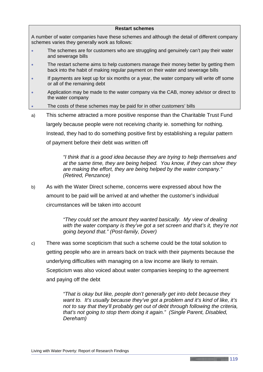#### **Restart schemes**

A number of water companies have these schemes and although the detail of different company schemes varies they generally work as follows:

- The schemes are for customers who are struggling and genuinely can't pay their water and sewerage bills
- The restart scheme aims to help customers manage their money better by getting them back into the habit of making regular payment on their water and sewerage bills
- If payments are kept up for six months or a year, the water company will write off some or all of the remaining debt
- Application may be made to the water company via the CAB, money advisor or direct to the water company
- The costs of these schemes may be paid for in other customers' bills
- a) This scheme attracted a more positive response than the Charitable Trust Fund largely because people were not receiving charity ie. something for nothing. Instead, they had to do something positive first by establishing a regular pattern

of payment before their debt was written off

*"I think that is a good idea because they are trying to help themselves and at the same time, they are being helped. You know, if they can show they are making the effort, they are being helped by the water company." (Retired, Penzance)*

b) As with the Water Direct scheme, concerns were expressed about how the amount to be paid will be arrived at and whether the customer's individual circumstances will be taken into account

> *"They could set the amount they wanted basically. My view of dealing with the water company is they've got a set screen and that's it, they're not going beyond that." (Post-family, Dover)*

c) There was some scepticism that such a scheme could be the total solution to getting people who are in arrears back on track with their payments because the underlying difficulties with managing on a low income are likely to remain. Scepticism was also voiced about water companies keeping to the agreement and paying off the debt

> *"That is okay but like, people don't generally get into debt because they want to. It's usually because they've got a problem and it's kind of like, it's not to say that they'll probably get out of debt through following the criteria, that's not going to stop them doing it again." (Single Parent, Disabled, Dereham)*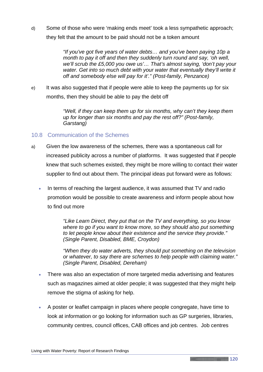d) Some of those who were 'making ends meet' took a less sympathetic approach; they felt that the amount to be paid should not be a token amount

> *"If you've got five years of water debts… and you've been paying 10p a month to pay it off and then they suddenly turn round and say, 'oh well, we'll scrub the £5,000 you owe us'… That's almost saying, 'don't pay your water. Get into so much debt with your water that eventually they'll write it off and somebody else will pay for it'." (Post-family, Penzance)*

e) It was also suggested that if people were able to keep the payments up for six months, then they should be able to pay the debt off

> *"Well, if they can keep them up for six months, why can't they keep them up for longer than six months and pay the rest off?" (Post-family, Garstang)*

# 10.8 Communication of the Schemes

- a) Given the low awareness of the schemes, there was a spontaneous call for increased publicity across a number of platforms. It was suggested that if people knew that such schemes existed, they might be more willing to contact their water supplier to find out about them. The principal ideas put forward were as follows:
	- In terms of reaching the largest audience, it was assumed that TV and radio promotion would be possible to create awareness and inform people about how to find out more

*"Like Learn Direct, they put that on the TV and everything, so you know where to go if you want to know more, so they should also put something to let people know about their existence and the service they provide." (Single Parent, Disabled, BME, Croydon)*

*"When they do water adverts, they should put something on the television or whatever, to say there are schemes to help people with claiming water." (Single Parent, Disabled, Dereham)*

- There was also an expectation of more targeted media advertising and features such as magazines aimed at older people; it was suggested that they might help remove the stigma of asking for help.
- A poster or leaflet campaign in places where people congregate, have time to look at information or go looking for information such as GP surgeries, libraries, community centres, council offices, CAB offices and job centres. Job centres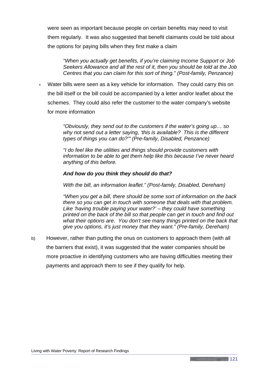were seen as important because people on certain benefits may need to visit them regularly. It was also suggested that benefit claimants could be told about the options for paying bills when they first make a claim

*"When you actually get benefits, if you're claiming Income Support or Job Seekers Allowance and all the rest of it, then you should be told at the Job Centres that you can claim for this sort of thing." (Post-family, Penzance)*

• Water bills were seen as a key vehicle for information. They could carry this on the bill itself or the bill could be accompanied by a letter and/or leaflet about the schemes. They could also refer the customer to the water company's website for more information

> *"Obviously, they send out to the customers if the water's going up… so why not send out a letter saying, 'this is available? This is the different types of things you can do?'" (Pre-family, Disabled, Penzance)*

*"I do feel like the utilities and things should provide customers with information to be able to get them help like this because I've never heard anything of this before.*

### *And how do you think they should do that?*

*With the bill, an information leaflet." (Post-family, Disabled, Dereham)*

*"When you get a bill, there should be some sort of information on the back there so you can get in touch with someone that deals with that problem. Like 'having trouble paying your water?' – they could have something printed on the back of the bill so that people can get in touch and find out what their options are. You don't see many things printed on the back that give you options, it's just money that they want." (Pre-family, Dereham)*

b) However, rather than putting the onus on customers to approach them (with all the barriers that exist), it was suggested that the water companies should be more proactive in identifying customers who are having difficulties meeting their payments and approach them to see if they qualify for help.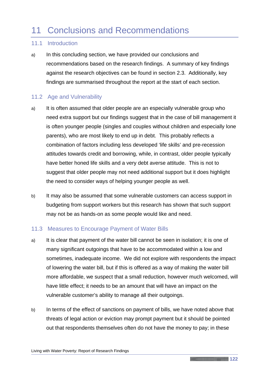# 11 Conclusions and Recommendations

# 11.1 Introduction

a) In this concluding section, we have provided our conclusions and recommendations based on the research findings. A summary of key findings against the research objectives can be found in section 2.3. Additionally, key findings are summarised throughout the report at the start of each section.

# 11.2 Age and Vulnerability

- a) It is often assumed that older people are an especially vulnerable group who need extra support but our findings suggest that in the case of bill management it is often younger people (singles and couples without children and especially lone parents), who are most likely to end up in debt. This probably reflects a combination of factors including less developed 'life skills' and pre-recession attitudes towards credit and borrowing, while, in contrast, older people typically have better honed life skills and a very debt averse attitude. This is not to suggest that older people may not need additional support but it does highlight the need to consider ways of helping younger people as well.
- b) It may also be assumed that some vulnerable customers can access support in budgeting from support workers but this research has shown that such support may not be as hands-on as some people would like and need.

# 11.3 Measures to Encourage Payment of Water Bills

- a) It is clear that payment of the water bill cannot be seen in isolation; it is one of many significant outgoings that have to be accommodated within a low and sometimes, inadequate income. We did not explore with respondents the impact of lowering the water bill, but if this is offered as a way of making the water bill more affordable, we suspect that a small reduction, however much welcomed, will have little effect; it needs to be an amount that will have an impact on the vulnerable customer's ability to manage all their outgoings.
- b) In terms of the effect of sanctions on payment of bills, we have noted above that threats of legal action or eviction may prompt payment but it should be pointed out that respondents themselves often do not have the money to pay; in these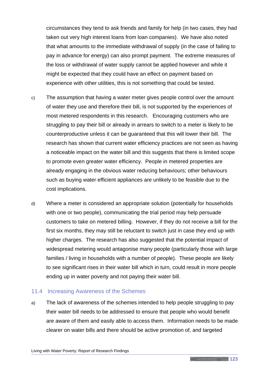circumstances they tend to ask friends and family for help (in two cases, they had taken out very high interest loans from loan companies). We have also noted that what amounts to the immediate withdrawal of supply (in the case of failing to pay in advance for energy) can also prompt payment. The extreme measures of the loss or withdrawal of water supply cannot be applied however and while it might be expected that they could have an effect on payment based on experience with other utilities, this is not something that could be tested.

- c) The assumption that having a water meter gives people control over the amount of water they use and therefore their bill, is not supported by the experiences of most metered respondents in this research. Encouraging customers who are struggling to pay their bill or already in arrears to switch to a meter is likely to be counterproductive unless it can be guaranteed that this will lower their bill. The research has shown that current water efficiency practices are not seen as having a noticeable impact on the water bill and this suggests that there is limited scope to promote even greater water efficiency. People in metered properties are already engaging in the obvious water reducing behaviours; other behaviours such as buying water efficient appliances are unlikely to be feasible due to the cost implications.
- d) Where a meter is considered an appropriate solution (potentially for households with one or two people), communicating the trial period may help persuade customers to take on metered billing. However, if they do not receive a bill for the first six months, they may still be reluctant to switch just in case they end up with higher charges. The research has also suggested that the potential impact of widespread metering would antagonise many people (particularly those with large families / living in households with a number of people). These people are likely to see significant rises in their water bill which in turn, could result in more people ending up in water poverty and not paying their water bill.

### 11.4 Increasing Awareness of the Schemes

a) The lack of awareness of the schemes intended to help people struggling to pay their water bill needs to be addressed to ensure that people who would benefit are aware of them and easily able to access them. Information needs to be made clearer on water bills and there should be active promotion of, and targeted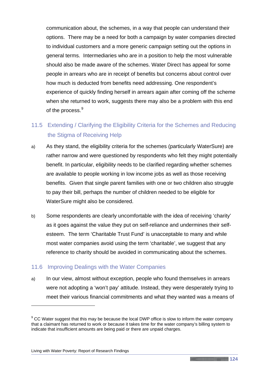communication about, the schemes, in a way that people can understand their options. There may be a need for both a campaign by water companies directed to individual customers and a more generic campaign setting out the options in general terms. Intermediaries who are in a position to help the most vulnerable should also be made aware of the schemes. Water Direct has appeal for some people in arrears who are in receipt of benefits but concerns about control over how much is deducted from benefits need addressing. One respondent's experience of quickly finding herself in arrears again after coming off the scheme when she returned to work, suggests there may also be a problem with this end of the process.<sup>[9](#page-128-0)</sup>

# 11.5 Extending / Clarifying the Eligibility Criteria for the Schemes and Reducing the Stigma of Receiving Help

- a) As they stand, the eligibility criteria for the schemes (particularly WaterSure) are rather narrow and were questioned by respondents who felt they might potentially benefit. In particular, eligibility needs to be clarified regarding whether schemes are available to people working in low income jobs as well as those receiving benefits. Given that single parent families with one or two children also struggle to pay their bill, perhaps the number of children needed to be eligible for WaterSure might also be considered.
- b) Some respondents are clearly uncomfortable with the idea of receiving 'charity' as it goes against the value they put on self-reliance and undermines their selfesteem. The term 'Charitable Trust Fund' is unacceptable to many and while most water companies avoid using the term 'charitable', we suggest that any reference to charity should be avoided in communicating about the schemes.

# 11.6 Improving Dealings with the Water Companies

a) In our view, almost without exception, people who found themselves in arrears were not adopting a 'won't pay' attitude. Instead, they were desperately trying to meet their various financial commitments and what they wanted was a means of

#### Living with Water Poverty: Report of Research Findings

-

<span id="page-128-0"></span> $9$  CC Water suggest that this may be because the local DWP office is slow to inform the water company that a claimant has returned to work or because it takes time for the water company's billing system to indicate that insufficient amounts are being paid or there are unpaid charges.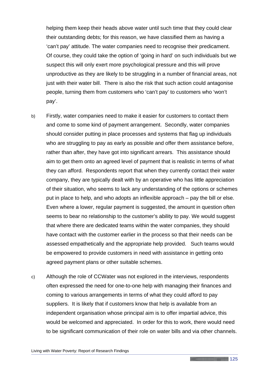helping them keep their heads above water until such time that they could clear their outstanding debts; for this reason, we have classified them as having a 'can't pay' attitude. The water companies need to recognise their predicament. Of course, they could take the option of 'going in hard' on such individuals but we suspect this will only exert more psychological pressure and this will prove unproductive as they are likely to be struggling in a number of financial areas, not just with their water bill. There is also the risk that such action could antagonise people, turning them from customers who 'can't pay' to customers who 'won't pay'.

- b) Firstly, water companies need to make it easier for customers to contact them and come to some kind of payment arrangement. Secondly, water companies should consider putting in place processes and systems that flag up individuals who are struggling to pay as early as possible and offer them assistance before, rather than after, they have got into significant arrears. This assistance should aim to get them onto an agreed level of payment that is realistic in terms of what they can afford. Respondents report that when they currently contact their water company, they are typically dealt with by an operative who has little appreciation of their situation, who seems to lack any understanding of the options or schemes put in place to help, and who adopts an inflexible approach – pay the bill or else. Even where a lower, regular payment is suggested, the amount in question often seems to bear no relationship to the customer's ability to pay. We would suggest that where there are dedicated teams within the water companies, they should have contact with the customer earlier in the process so that their needs can be assessed empathetically and the appropriate help provided. Such teams would be empowered to provide customers in need with assistance in getting onto agreed payment plans or other suitable schemes.
- c) Although the role of CCWater was not explored in the interviews, respondents often expressed the need for one-to-one help with managing their finances and coming to various arrangements in terms of what they could afford to pay suppliers. It is likely that if customers know that help is available from an independent organisation whose principal aim is to offer impartial advice, this would be welcomed and appreciated. In order for this to work, there would need to be significant communication of their role on water bills and via other channels.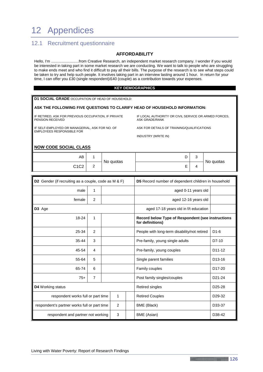# 12 Appendices

# 12.1 Recruitment questionnaire

#### **AFFORDABILITY**

Hello, I'm ..........................from Creative Research, an independent market research company. I wonder if you would be interested in taking part in some market research we are conducting. We want to talk to people who are struggling to make ends meet and who find it difficult to pay all their bills. The purpose of the research is to see what steps could be taken to try and help such people. It involves taking part in an interview lasting around 1 hour. In return for your time, I can offer you £30 (single respondent)/£40 (couple) as a contribution towards your expenses.

#### **KEY DEMOGRAPHICS**

**D1 SOCIAL GRADE** OCCUPATION OF HEAD OF HOUSEHOLD:

#### **ASK THE FOLLOWING FIVE QUESTIONS TO CLARIFY HEAD OF HOUSEHOLD INFORMATION:**

IF RETIRED, ASK FOR PREVIOUS OCCUPATION, IF PRIVATE PENSION RECEIVED

IF SELF-EMPLOYED OR MANAGERIAL, ASK FOR NO. OF EMPLOYEES RESPONSIBLE FOR

IF LOCAL AUTHORITY OR CIVIL SERVICE OR ARMED FORCES, ASK GRADE/RANK

ASK FOR DETAILS OF TRAINING/QUALIFICATIONS

INDUSTRY (WRITE IN)

#### **NOW CODE SOCIAL CLASS**

| АB   |                        | No quotas | ∽<br>◡        | $\sqrt{2}$<br>ັ |           |
|------|------------------------|-----------|---------------|-----------------|-----------|
| C1C2 | $\sqrt{2}$<br><u>_</u> |           | F<br><u>.</u> |                 | No quotas |

| D2 Gender (if recruiting as a couple, code as M & F) |                                                    |  | D5 Record number of dependent children in household |                                                                       |                                              |                     |
|------------------------------------------------------|----------------------------------------------------|--|-----------------------------------------------------|-----------------------------------------------------------------------|----------------------------------------------|---------------------|
| male                                                 | 1                                                  |  |                                                     |                                                                       | aged 0-11 years old                          |                     |
| female                                               | 2                                                  |  |                                                     |                                                                       | aged 12-16 years old                         |                     |
| D3 Age                                               |                                                    |  |                                                     |                                                                       | aged 17-18 years old in f/t education        |                     |
| $\mathbf{1}$<br>18-24                                |                                                    |  |                                                     | Record below Type of Respondent (see instructions<br>for definitions) |                                              |                     |
| 25-34                                                | 2                                                  |  |                                                     |                                                                       | People with long-term disability/not retired | $D1-6$              |
| $35 - 44$                                            | 3                                                  |  |                                                     |                                                                       | Pre-family, young single adults              | D7-10               |
| 45-54                                                | 4                                                  |  |                                                     |                                                                       | Pre-family, young couples                    | D <sub>11</sub> -12 |
| 55-64                                                | 5                                                  |  |                                                     |                                                                       | Single parent families                       | D <sub>13</sub> -16 |
| 65-74                                                | 6                                                  |  |                                                     |                                                                       | Family couples                               | D <sub>17</sub> -20 |
| $75+$                                                | 7                                                  |  |                                                     |                                                                       | Post family singles/couples                  | D <sub>21</sub> -24 |
| <b>D4</b> Working status                             |                                                    |  |                                                     |                                                                       | Retired singles                              | D <sub>25</sub> -28 |
|                                                      | $\mathbf{1}$<br>respondent works full or part time |  |                                                     | <b>Retired Couples</b>                                                | D <sub>29</sub> -32                          |                     |
| 2<br>respondent's partner works full or part time    |                                                    |  | BME (Black)                                         | D33-37                                                                |                                              |                     |
| 3<br>respondent and partner not working              |                                                    |  | BME (Asian)                                         | D38-42                                                                |                                              |                     |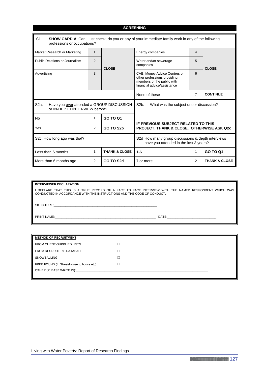| <b>SCREENING</b>                                                                                                                           |                |                                                    |                                                                                                                          |                                                                                         |                 |  |  |
|--------------------------------------------------------------------------------------------------------------------------------------------|----------------|----------------------------------------------------|--------------------------------------------------------------------------------------------------------------------------|-----------------------------------------------------------------------------------------|-----------------|--|--|
| $S1$ .<br>SHOW CARD A Can I just check, do you or any of your immediate family work in any of the following<br>professions or occupations? |                |                                                    |                                                                                                                          |                                                                                         |                 |  |  |
| Market Research or Marketing                                                                                                               | $\mathbf 1$    |                                                    | Energy companies                                                                                                         | 4                                                                                       | <b>CLOSE</b>    |  |  |
| Public Relations or Journalism                                                                                                             | 2              | <b>CLOSE</b>                                       | Water and/or sewerage<br>companies                                                                                       | 5                                                                                       |                 |  |  |
| Advertising                                                                                                                                | 3              |                                                    | CAB, Money Advice Centres or<br>other professions providing<br>members of the public with<br>financial advice/assistance | 6                                                                                       |                 |  |  |
|                                                                                                                                            |                | $\overline{7}$<br><b>CONTINUE</b><br>None of these |                                                                                                                          |                                                                                         |                 |  |  |
| Have you ever attended a GROUP DISCUSSION<br>S <sub>2a</sub> .<br>or IN-DEPTH INTERVIEW before?                                            |                |                                                    | S <sub>2</sub> b.<br>What was the subject under discussion?                                                              |                                                                                         |                 |  |  |
| <b>No</b>                                                                                                                                  | 1              | <b>GO TO Q1</b>                                    |                                                                                                                          |                                                                                         |                 |  |  |
| Yes                                                                                                                                        | 2<br>GO TO S2b |                                                    |                                                                                                                          | <b>IF PREVIOUS SUBJECT RELATED TO THIS</b><br>PROJECT, THANK & CLOSE. OTHERWISE ASK Q2c |                 |  |  |
| S2c. How long ago was that?                                                                                                                |                |                                                    | S2d How many group discussions & depth interviews<br>have you attended in the last 3 years?                              |                                                                                         |                 |  |  |
| Less than 6 months                                                                                                                         | 1              | <b>THANK &amp; CLOSE</b>                           | $1 - 6$                                                                                                                  | 1                                                                                       | <b>GO TO Q1</b> |  |  |
| More than 6 months ago                                                                                                                     | $\overline{2}$ | GO TO S2d                                          | 7 or more                                                                                                                | <b>THANK &amp; CLOSE</b>                                                                |                 |  |  |

| <b>INTERVIEWER DECLARATION</b>                                                                                                                                                 |       |
|--------------------------------------------------------------------------------------------------------------------------------------------------------------------------------|-------|
| I DECLARE THAT THIS IS A TRUE RECORD OF A FACE TO FACE INTERVIEW WITH THE NAMED RESPONDENT WHICH WAS<br>CONDUCTED IN ACCORDANCE WITH THE INSTRUCTIONS AND THE CODE OF CONDUCT. |       |
| SIGNATURE:                                                                                                                                                                     |       |
| <b>PRINT NAME:</b>                                                                                                                                                             | DATE: |

| <b>METHOD OF RECRUITMENT</b>                                                                                                                                                                                                   |  |
|--------------------------------------------------------------------------------------------------------------------------------------------------------------------------------------------------------------------------------|--|
| FROM CLIENT-SUPPLIED LISTS                                                                                                                                                                                                     |  |
| <b>FROM RECRUITER'S DATABASE</b>                                                                                                                                                                                               |  |
| SNOWBALLING                                                                                                                                                                                                                    |  |
| FREE FOUND (In Street/House to house etc)                                                                                                                                                                                      |  |
| OTHER (PLEASE WRITE IN): WE ARRIVE THE STATE OF THE STATE OF THE STATE OF THE STATE OF THE STATE OF THE STATE OF THE STATE OF THE STATE OF THE STATE OF THE STATE OF THE STATE OF THE STATE OF THE STATE OF THE STATE OF THE S |  |
|                                                                                                                                                                                                                                |  |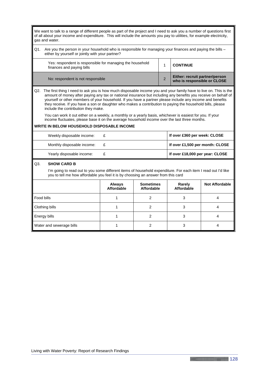We want to talk to a range of different people as part of the project and I need to ask you a number of questions first of all about your income and expenditure. This will include the amounts you pay to utilities, for example electricity, gas and water.

Q1. Are you the person in your household who is responsible for managing your finances and paying the bills – either by yourself or jointly with your partner?

| Yes: respondent is responsible for managing the household<br>finances and paying bills | <b>CONTINUE</b>                                               |
|----------------------------------------------------------------------------------------|---------------------------------------------------------------|
| No: respondent is not responsible                                                      | Either: recruit partner/person<br>who is responsible or CLOSE |

Q2. The first thing I need to ask you is how much disposable income you and your family have to live on. This is the amount of money after paying any tax or national insurance but including any benefits you receive on behalf of yourself or other members of your household. If you have a partner please include any income and benefits they receive. If you have a son or daughter who makes a contribution to paying the household bills, please include the contribution they make.

You can work it out either on a weekly, a monthly or a yearly basis, whichever is easiest for you. If your income fluctuates, please base it on the average household income over the last three months.

#### **WRITE IN BELOW HOUSEHOLD DISPOSABLE INCOME**

| Weekly disposable income:  | £ | If over £360 per week: CLOSE    |
|----------------------------|---|---------------------------------|
| Monthly disposable income: | £ | If over £1,500 per month: CLOSE |
| Yearly disposable income:  | ₽ | If over £18,000 per year: CLOSE |

#### Q3. **SHOW CARD B**

I'm going to read out to you some different items of household expenditure. For each item I read out I'd like you to tell me how affordable you feel it is by choosing an answer from this card

|                          | Always<br>Affordable | <b>Sometimes</b><br>Affordable | Rarely<br>Affordable | <b>Not Affordable</b> |
|--------------------------|----------------------|--------------------------------|----------------------|-----------------------|
| Food bills               |                      |                                |                      |                       |
| Clothing bills           |                      |                                |                      |                       |
| Energy bills             |                      |                                |                      |                       |
| Water and sewerage bills |                      |                                |                      |                       |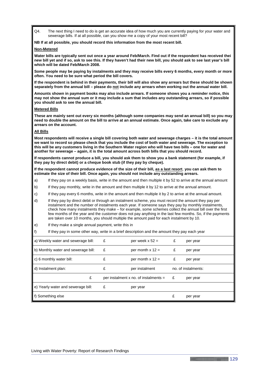Q4. The next thing I need to do is get an accurate idea of how much you are currently paying for your water and sewerage bills. If at all possible, can you show me a copy of your most recent bill?

**NB If at all possible, you should record this information from the most recent bill.** 

#### **Non-Metered**

**Water bills are typically sent out once a year around Feb/March. Find out if the respondent has received thei new bill yet and if so, ask to see this. If they haven't had their new bill, you should ask to see last year's bill which will be dated Feb/March 2008.**

**Some people may be paying by instalments and they may receive bills every 6 months, every month or more often. You need to be sure what period the bill covers.**

**If the respondent is behind in their payments, their bill will also show any arrears but these should be shown separately from the annual bill – please do not include any arrears when working out the annual water bill.**

**Amounts shown in payment books may also include arrears. If someone shows you a reminder notice, this may not show the annual sum or it may include a sum that includes any outstanding arrears, so if possible you should ask to see the annual bill.**

#### **Metered Bills**

**These are mainly sent out every six months (although some companies may send an annual bill) so you may need to double the amount on the bill to arrive at an annual estimate. Once again, take care to exclude any arrears on the account.**

#### **All Bills**

**Most respondents will receive a single bill covering both water and sewerage charges – it is the total amount we want to record so please check that you include the cost of both water and sewerage. The exception to this will be any customers living in the Southern Water region who will have two bills – one for water and another for sewerage – again, it is the total amount across both bills that you should record.**

**If respondents cannot produce a bill, you should ask them to show you a bank statement (for example, if they pay by direct debit) or a cheque book stub (if they pay by cheque).**

**If the respondent cannot produce evidence of the size of their bill, as a last resort**, **you can ask them to estimate the size of their bill. Once again, you should not include any outstanding arrears.**

- a) If they pay on a weekly basis, write in the amount and then multiple it by 52 to arrive at the annual amount
- b) If they pay monthly, write in the amount and then multiple it by 12 to arrive at the annual amount.
- c) If they pay every 6 months, write in the amount and then multiple it by 2 to arrive at the annual amount.
- d) If they pay by direct debit or through an instalment scheme, you must record the amount they pay per instalment and the number of instalments each year. If someone says they pay by monthly instalments, check how many instalments they make – for example, some schemes collect the annual bill over the first few months of the year and the customer does not pay anything in the last few months. So, if the payments are taken over 10 months, you should multiple the amount paid for each instalment by 10.
- e) If they make a single annual payment, write this in
- f) If they pay in some other way, write in a brief description and the amount they pay each year

| a) Weekly water and sewerage bill:  | £ | per week $x 52 =$                       | £ | per year            |
|-------------------------------------|---|-----------------------------------------|---|---------------------|
| b) Monthly water and sewerage bill: | £ | per month $x 12 =$                      | £ | per year            |
| c) 6 monthly water bill:            | £ | per month $x 12 =$                      | £ | per year            |
| d) Instalment plan:                 | £ | per instalment                          |   | no. of instalments: |
| £                                   |   | per instalment x no. of instalments $=$ | £ | per year            |
| e) Yearly water and sewerage bill:  | £ | per year                                |   |                     |
| f) Something else                   |   |                                         | £ | per year            |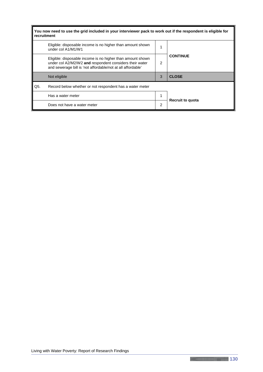| You now need to use the grid included in your interviewer pack to work out if the respondent is eligible for<br>recruitment |                                                                                                                                                                                      |   |                         |  |  |  |  |
|-----------------------------------------------------------------------------------------------------------------------------|--------------------------------------------------------------------------------------------------------------------------------------------------------------------------------------|---|-------------------------|--|--|--|--|
|                                                                                                                             | Eligible: disposable income is no higher than amount shown<br>under col A1/M1/W1                                                                                                     |   |                         |  |  |  |  |
|                                                                                                                             | Eligible: disposable income is no higher than amount shown<br>under col A2/M2/W2 and respondent considers their water<br>and sewerage bill is 'not affordable/not at all affordable' | 2 | <b>CONTINUE</b>         |  |  |  |  |
|                                                                                                                             | Not eligible                                                                                                                                                                         | 3 | <b>CLOSE</b>            |  |  |  |  |
| Q5.                                                                                                                         | Record below whether or not respondent has a water meter                                                                                                                             |   |                         |  |  |  |  |
|                                                                                                                             | Has a water meter                                                                                                                                                                    |   | <b>Recruit to quota</b> |  |  |  |  |
|                                                                                                                             | Does not have a water meter                                                                                                                                                          | 2 |                         |  |  |  |  |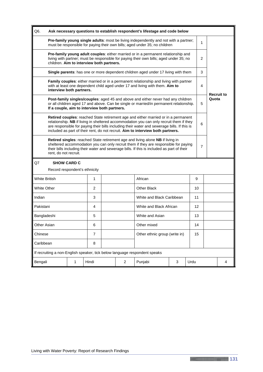| Q6.                                                                        | Ask necessary questions to establish respondent's lifestage and code below                                                                                                                                                                                                                                                                                      |                                                                                   |  |                |                                                                                                                                                                             |   |                |                   |       |                   |
|----------------------------------------------------------------------------|-----------------------------------------------------------------------------------------------------------------------------------------------------------------------------------------------------------------------------------------------------------------------------------------------------------------------------------------------------------------|-----------------------------------------------------------------------------------|--|----------------|-----------------------------------------------------------------------------------------------------------------------------------------------------------------------------|---|----------------|-------------------|-------|-------------------|
|                                                                            |                                                                                                                                                                                                                                                                                                                                                                 |                                                                                   |  |                | Pre-family young single adults: most be living independently and not with a partner;<br>must be responsible for paying their own bills; aged under 35; no children          |   |                | 1                 |       |                   |
| children. Aim to interview both partners.                                  |                                                                                                                                                                                                                                                                                                                                                                 |                                                                                   |  |                | Pre-family young adult couples: either married or in a permanent relationship and<br>living with partner; must be responsible for paying their own bills; aged under 35; no |   |                | 2                 |       |                   |
|                                                                            |                                                                                                                                                                                                                                                                                                                                                                 | Single parents: has one or more dependent children aged under 17 living with them |  |                |                                                                                                                                                                             |   |                |                   |       |                   |
|                                                                            | Family couples: either married or in a permanent relationship and living with partner<br>with at least one dependent child aged under 17 and living with them. Aim to<br>interview both partners.                                                                                                                                                               |                                                                                   |  |                |                                                                                                                                                                             |   |                | 4                 |       | <b>Recruit to</b> |
|                                                                            | Post-family singles/couples: aged 45 and above and either never had any children<br>or all children aged 17 and above. Can be single or married/in permanent relationship.<br>If a couple, aim to interview both partners.                                                                                                                                      |                                                                                   |  |                |                                                                                                                                                                             |   |                | 5                 | Quota |                   |
|                                                                            | Retired couples: reached State retirement age and either married or in a permanent<br>relationship. NB if living in sheltered accommodation you can only recruit them if they<br>are responsible for paying their bills including their water and sewerage bills. If this is<br>included as part of their rent, do not recruit. Aim to interview both partners. |                                                                                   |  |                |                                                                                                                                                                             |   |                | 6                 |       |                   |
|                                                                            | Retired singles: reached State retirement age and living alone NB if living in<br>sheltered accommodation you can only recruit them if they are responsible for paying<br>their bills including their water and sewerage bills. If this is included as part of their<br>rent, do not recruit.                                                                   |                                                                                   |  |                |                                                                                                                                                                             |   | $\overline{7}$ |                   |       |                   |
| Q7                                                                         | <b>SHOW CARD C</b>                                                                                                                                                                                                                                                                                                                                              |                                                                                   |  |                |                                                                                                                                                                             |   |                |                   |       |                   |
| Record respondent's ethnicity                                              |                                                                                                                                                                                                                                                                                                                                                                 |                                                                                   |  |                |                                                                                                                                                                             |   |                |                   |       |                   |
| <b>White British</b>                                                       |                                                                                                                                                                                                                                                                                                                                                                 | 1                                                                                 |  |                | African                                                                                                                                                                     |   |                | 9                 |       |                   |
| <b>White Other</b>                                                         |                                                                                                                                                                                                                                                                                                                                                                 | $\overline{c}$                                                                    |  |                | Other Black                                                                                                                                                                 |   |                | 10                |       |                   |
| Indian                                                                     |                                                                                                                                                                                                                                                                                                                                                                 | 3                                                                                 |  |                | White and Black Caribbean                                                                                                                                                   |   |                | 11                |       |                   |
| Pakistani                                                                  |                                                                                                                                                                                                                                                                                                                                                                 | 4                                                                                 |  |                | White and Black African                                                                                                                                                     |   |                | $12 \overline{ }$ |       |                   |
| Bangladeshi                                                                |                                                                                                                                                                                                                                                                                                                                                                 | 5                                                                                 |  |                | White and Asian                                                                                                                                                             |   |                | 13                |       |                   |
| Other Asian<br>6<br>Other mixed                                            |                                                                                                                                                                                                                                                                                                                                                                 |                                                                                   |  | 14             |                                                                                                                                                                             |   |                |                   |       |                   |
| Chinese                                                                    |                                                                                                                                                                                                                                                                                                                                                                 | $\overline{7}$                                                                    |  |                | Other ethnic group (write in)                                                                                                                                               |   |                | 15                |       |                   |
| 8<br>Caribbean                                                             |                                                                                                                                                                                                                                                                                                                                                                 |                                                                                   |  |                |                                                                                                                                                                             |   |                |                   |       |                   |
| If recruiting a non-English speaker, tick below language respondent speaks |                                                                                                                                                                                                                                                                                                                                                                 |                                                                                   |  |                |                                                                                                                                                                             |   |                |                   |       |                   |
| Bengali                                                                    | $\mathbf 1$                                                                                                                                                                                                                                                                                                                                                     | Hindi                                                                             |  | $\overline{2}$ | Punjabi                                                                                                                                                                     | 3 | Urdu           |                   |       | 4                 |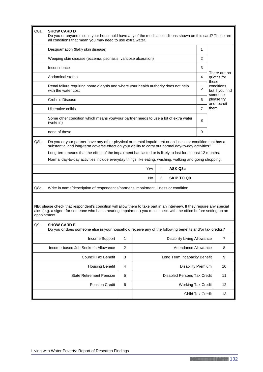| Q8a.         | <b>SHOW CARD D</b><br>Do you or anyone else in your household have any of the medical conditions shown on this card? These are<br>all conditions that mean you may need to use extra water.                                                 |                |                                    |                                          |                                    |                         |                           |  |
|--------------|---------------------------------------------------------------------------------------------------------------------------------------------------------------------------------------------------------------------------------------------|----------------|------------------------------------|------------------------------------------|------------------------------------|-------------------------|---------------------------|--|
|              | Desquamation (flaky skin disease)                                                                                                                                                                                                           |                |                                    |                                          |                                    | 1                       |                           |  |
|              | Weeping skin disease (eczema, psoriasis, varicose ulceration)                                                                                                                                                                               |                |                                    |                                          |                                    | 2                       |                           |  |
|              | Incontinence                                                                                                                                                                                                                                |                |                                    |                                          |                                    | 3                       |                           |  |
|              | Abdominal stoma                                                                                                                                                                                                                             |                | 4                                  | There are no<br>quotas for<br>these      |                                    |                         |                           |  |
|              | Renal failure requiring home dialysis and where your health authority does not help<br>with the water cost                                                                                                                                  |                | 5                                  | conditions<br>but if you find<br>someone |                                    |                         |                           |  |
|              | Crohn's Disease                                                                                                                                                                                                                             |                |                                    |                                          |                                    | 6                       | please try<br>and recruit |  |
|              | Ulcerative colitis                                                                                                                                                                                                                          |                |                                    |                                          |                                    | $\overline{7}$          | them                      |  |
|              | Some other condition which means you/your partner needs to use a lot of extra water<br>(write in)                                                                                                                                           |                |                                    |                                          |                                    | 8                       |                           |  |
|              | none of these                                                                                                                                                                                                                               |                |                                    |                                          |                                    | 9                       |                           |  |
| Q8b.         | Do you or your partner have any other physical or mental impairment or an illness or condition that has a<br>substantial and long-term adverse effect on your ability to carry out normal day-to-day activities?                            |                |                                    |                                          |                                    |                         |                           |  |
|              | Long-term means that the effect of the impairment has lasted or is likely to last for at least 12 months.                                                                                                                                   |                |                                    |                                          |                                    |                         |                           |  |
|              | Normal day-to-day activities include everyday things like eating, washing, walking and going shopping.                                                                                                                                      |                |                                    |                                          |                                    |                         |                           |  |
|              |                                                                                                                                                                                                                                             |                | Yes                                | 1                                        | <b>ASK Q8c</b>                     |                         |                           |  |
|              |                                                                                                                                                                                                                                             |                | No                                 | $\overline{2}$                           | <b>SKIP TO Q9</b>                  |                         |                           |  |
| Q8c.         | Write in name/description of respondent's/partner's impairment, illness or condition                                                                                                                                                        |                |                                    |                                          |                                    |                         |                           |  |
|              |                                                                                                                                                                                                                                             |                |                                    |                                          |                                    |                         |                           |  |
| appointment. | NB: please check that respondent's condition will allow them to take part in an interview. If they require any special<br>aids (e.g. a signer for someone who has a hearing impairment) you must check with the office before setting up an |                |                                    |                                          |                                    |                         |                           |  |
| Q9.          | SHOW CARD F<br>Do you or does someone else in your household receive any of the following benefits and/or tax credits?                                                                                                                      |                |                                    |                                          |                                    |                         |                           |  |
|              | Income Support                                                                                                                                                                                                                              | $\mathbf{1}$   |                                    |                                          | <b>Disability Living Allowance</b> |                         | $\overline{7}$            |  |
|              | Income-based Job Seeker's Allowance                                                                                                                                                                                                         | $\overline{2}$ |                                    |                                          | Attendance Allowance               |                         | 8                         |  |
|              | <b>Council Tax Benefit</b>                                                                                                                                                                                                                  | 3              |                                    |                                          | Long Term Incapacity Benefit       |                         | 9                         |  |
|              | <b>Housing Benefit</b>                                                                                                                                                                                                                      | 4              | <b>Disability Premium</b>          |                                          |                                    |                         | 10                        |  |
|              | <b>State Retirement Pension</b>                                                                                                                                                                                                             | 5              | <b>Disabled Persons Tax Credit</b> |                                          |                                    |                         | 11                        |  |
|              | <b>Pension Credit</b>                                                                                                                                                                                                                       | 6              |                                    |                                          | <b>Working Tax Credit</b>          |                         | 12                        |  |
|              |                                                                                                                                                                                                                                             |                |                                    |                                          |                                    | <b>Child Tax Credit</b> | 13                        |  |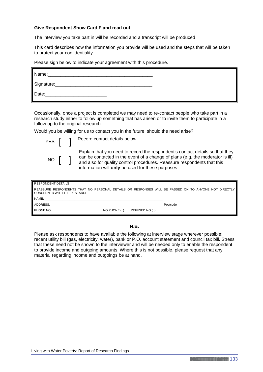#### **Give Respondent Show Card F and read out**

The interview you take part in will be recorded and a transcript will be produced

This card describes how the information you provide will be used and the steps that will be taken to protect your confidentiality.

Please sign below to indicate your agreement with this procedure.

| Name:      |  |  |
|------------|--|--|
| Signature: |  |  |
| Date:      |  |  |

Occasionally, once a project is completed we may need to re-contact people who take part in a research study either to follow up something that has arisen or to invite them to participate in a follow-up to the original research

Would you be willing for us to contact you in the future, should the need arise?



YES **[ ]** Record contact details below

Explain that you need to record the respondent's contact details so that they can be contacted in the event of a change of plans (e.g. the moderator is ill) and also for quality control procedures. Reassure respondents that this information will **only** be used for these purposes.

| <b>RESPONDENT DETAILS</b>                                                                                                           |             |               |          |  |  |
|-------------------------------------------------------------------------------------------------------------------------------------|-------------|---------------|----------|--|--|
| REASSURE RESPONDENTS THAT NO PERSONAL DETAILS OR RESPONSES WILL BE PASSED ON TO ANYONE NOT DIRECTLY<br>CONCERNED WITH THE RESEARCH. |             |               |          |  |  |
| NAME:                                                                                                                               |             |               |          |  |  |
| ADDRESS:                                                                                                                            |             |               | Postcode |  |  |
| PHONE NO:                                                                                                                           | NO PHONE () | REFUSED NO () |          |  |  |

#### **N.B.**

Please ask respondents to have available the following at interview stage wherever possible: recent utility bill (gas, electricity, water), bank or P.O. account statement and council tax bill. Stress that these need not be shown to the interviewer and will be needed only to enable the respondent to provide income and outgoing amounts. Where this is not possible, please request that any material regarding income and outgoings be at hand.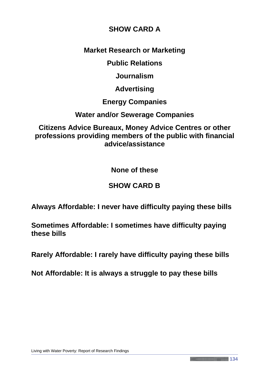# **SHOW CARD A**

# **Market Research or Marketing**

**Public Relations**

**Journalism**

**Advertising**

**Energy Companies**

**Water and/or Sewerage Companies**

**Citizens Advice Bureaux, Money Advice Centres or other professions providing members of the public with financial advice/assistance**

**None of these**

# **SHOW CARD B**

**Always Affordable: I never have difficulty paying these bills**

**Sometimes Affordable: I sometimes have difficulty paying these bills**

**Rarely Affordable: I rarely have difficulty paying these bills**

**Not Affordable: It is always a struggle to pay these bills**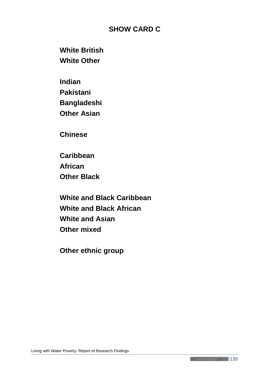# **SHOW CARD C**

**White British White Other**

**Indian Pakistani Bangladeshi Other Asian**

**Chinese**

**Caribbean African Other Black**

**White and Black Caribbean White and Black African White and Asian Other mixed**

**Other ethnic group**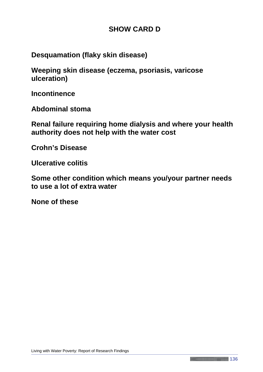# **SHOW CARD D**

**Desquamation (flaky skin disease)**

**Weeping skin disease (eczema, psoriasis, varicose ulceration)**

**Incontinence**

**Abdominal stoma**

**Renal failure requiring home dialysis and where your health authority does not help with the water cost**

**Crohn's Disease**

**Ulcerative colitis**

**Some other condition which means you/your partner needs to use a lot of extra water**

**None of these**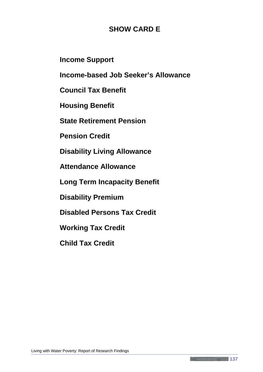# **SHOW CARD E**

**Income Support**

**Income-based Job Seeker's Allowance**

**Council Tax Benefit**

**Housing Benefit**

**State Retirement Pension**

**Pension Credit**

**Disability Living Allowance**

**Attendance Allowance**

**Long Term Incapacity Benefit**

**Disability Premium**

**Disabled Persons Tax Credit**

**Working Tax Credit**

**Child Tax Credit**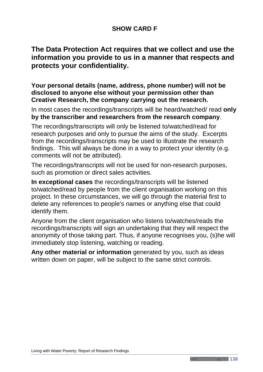# **SHOW CARD F**

# **The Data Protection Act requires that we collect and use the information you provide to us in a manner that respects and protects your confidentiality.**

# **Your personal details (name, address, phone number) will not be disclosed to anyone else without your permission other than Creative Research, the company carrying out the research.**

In most cases the recordings/transcripts will be heard/watched/ read **only by the transcriber and researchers from the research company**.

The recordings/transcripts will only be listened to/watched/read for research purposes and only to pursue the aims of the study. Excerpts from the recordings/transcripts may be used to illustrate the research findings. This will always be done in a way to protect your identity (e.g. comments will not be attributed).

The recordings/transcripts will not be used for non-research purposes, such as promotion or direct sales activities.

**In exceptional cases** the recordings/transcripts will be listened to/watched/read by people from the client organisation working on this project. In these circumstances, we will go through the material first to delete any references to people's names or anything else that could identify them.

Anyone from the client organisation who listens to/watches/reads the recordings/transcripts will sign an undertaking that they will respect the anonymity of those taking part. Thus, if anyone recognises you, (s)he will immediately stop listening, watching or reading.

**Any other material or information** generated by you, such as ideas written down on paper, will be subject to the same strict controls.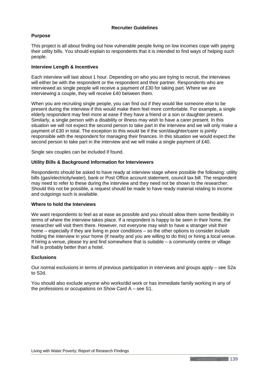#### **Recruiter Guidelines**

#### **Purpose**

This project is all about finding out how vulnerable people living on low incomes cope with paying their utility bills. You should explain to respondents that it is intended to find ways of helping such people.

#### **Interview Length & Incentives**

Each interview will last about 1 hour. Depending on who you are trying to recruit, the interviews will either be with the respondent or the respondent and their partner. Respondents who are interviewed as single people will receive a payment of £30 for taking part. Where we are interviewing a couple, they will receive £40 between them.

When you are recruiting single people, you can find out if they would like someone else to be present during the interview if this would make them feel more comfortable. For example, a single elderly respondent may feel more at ease if they have a friend or a son or daughter present. Similarly, a single person with a disability or illness may wish to have a carer present. In this situation we will not expect the second person to take part in the interview and we will only make a payment of £30 in total. The exception to this would be if the son/daughter/carer is jointly responsible with the respondent for managing their finances. In this situation we would expect the second person to take part in the interview and we will make a single payment of £40.

Single sex couples can be included if found.

#### **Utility Bills & Background Information for Interviewers**

Respondents should be asked to have ready at interview stage where possible the following: utility bills (gas/electricity/water), bank or Post Office account statement, council tax bill. The respondent may need to refer to these during the interview and they need not be shown to the researcher. Should this not be possible, a request should be made to have ready material relating to income and outgoings such is available.

#### **Where to hold the Interviews**

We want respondents to feel as at ease as possible and you should allow them some flexibility in terms of where the interview takes place. If a respondent is happy to be seen in their home, the researcher will visit them there. However, not everyone may wish to have a stranger visit their home – especially if they are living in poor conditions – so the other options to consider include holding the interview in your home (if nearby and you are willing to do this) or hiring a local venue. If hiring a venue, please try and find somewhere that is suitable – a community centre or village hall is probably better than a hotel.

#### **Exclusions**

Our normal exclusions in terms of previous participation in interviews and groups apply – see S2a to S2d.

You should also exclude anyone who works/did work or has immediate family working in any of the professions or occupations on Show Card A – see S1.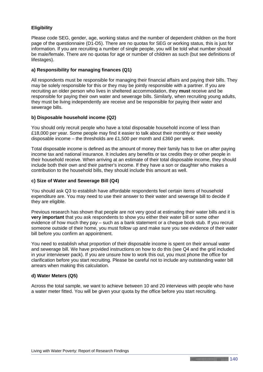### **Eligibility**

Please code SEG, gender, age, working status and the number of dependent children on the front page of the questionnaire (D1-D5). There are no quotas for SEG or working status, this is just for information. If you are recruiting a number of single people, you will be told what number should be male/female. There are no quotas for age or number of children as such (but see definitions of lifestages).

### **a) Responsibility for managing finances (Q1)**

All respondents must be responsible for managing their financial affairs and paying their bills. They may be solely responsible for this or they may be jointly responsible with a partner. If you are recruiting an older person who lives in sheltered accommodation, they **must** receive and be responsible for paying their own water and sewerage bills. Similarly, when recruiting young adults, they must be living independently are receive and be responsible for paying their water and sewerage bills.

### **b) Disposable household income (Q2)**

You should only recruit people who have a total disposable household income of less than £18,000 per year. Some people may find it easier to talk about their monthly or their weekly disposable income – the thresholds are £1,500 per month and £360 per week.

Total disposable income is defined as the amount of money their family has to live on after paying income tax and national insurance. It includes any benefits or tax credits they or other people in their household receive. When arriving at an estimate of their total disposable income, they should include both their own and their partner's income. If they have a son or daughter who makes a contribution to the household bills, they should include this amount as well.

### **c) Size of Water and Sewerage Bill (Q4)**

You should ask Q3 to establish have affordable respondents feel certain items of household expenditure are. You may need to use their answer to their water and sewerage bill to decide if they are eligible.

Previous research has shown that people are not very good at estimating their water bills and it is **very important** that you ask respondents to show you either their water bill or some other evidence of how much they pay – such as a bank statement or a cheque book stub. If you recruit someone outside of their home, you must follow up and make sure you see evidence of their water bill before you confirm an appointment.

You need to establish what proportion of their disposable income is spent on their annual water and sewerage bill. We have provided instructions on how to do this (see Q4 and the grid included in your interviewer pack). If you are unsure how to work this out, you must phone the office for clarification before you start recruiting. Please be careful not to include any outstanding water bill arrears when making this calculation.

### **d) Water Meters (Q5)**

Across the total sample, we want to achieve between 10 and 20 interviews with people who have a water meter fitted. You will be given your quota by the office before you start recruiting.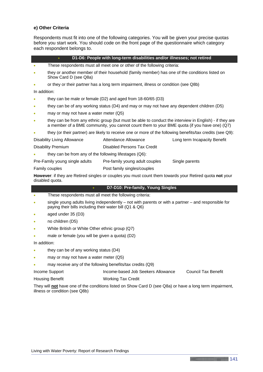#### **e) Other Criteria**

Respondents must fit into one of the following categories. You will be given your precise quotas before you start work. You should code on the front page of the questionnaire which category each respondent belongs to.

| D1-D6: People with long-term disabilities and/or illnesses; not retired<br>$\bullet$                                       |                                                                                                                                                                                                       |                                                                         |                              |
|----------------------------------------------------------------------------------------------------------------------------|-------------------------------------------------------------------------------------------------------------------------------------------------------------------------------------------------------|-------------------------------------------------------------------------|------------------------------|
| $\bullet$                                                                                                                  |                                                                                                                                                                                                       | These respondents must all meet one or other of the following criteria: |                              |
|                                                                                                                            | they or another member of their household (family member) has one of the conditions listed on<br>Show Card D (see Q8a)                                                                                |                                                                         |                              |
|                                                                                                                            | or they or their partner has a long term impairment, illness or condition (see Q8b)                                                                                                                   |                                                                         |                              |
| In addition:                                                                                                               |                                                                                                                                                                                                       |                                                                         |                              |
|                                                                                                                            | they can be male or female (D2) and aged from 18-60/65 (D3)                                                                                                                                           |                                                                         |                              |
|                                                                                                                            | they can be of any working status (D4) and may or may not have any dependent children (D5)                                                                                                            |                                                                         |                              |
|                                                                                                                            | may or may not have a water meter (Q5)                                                                                                                                                                |                                                                         |                              |
|                                                                                                                            | they can be from any ethnic group (but must be able to conduct the interview in English) - if they are<br>a member of a BME community, you cannot count them to your BME quota (if you have one) (Q7) |                                                                         |                              |
|                                                                                                                            | they (or their partner) are likely to receive one or more of the following benefits/tax credits (see Q9):                                                                                             |                                                                         |                              |
|                                                                                                                            | Disability Living Allowance                                                                                                                                                                           | Attendance Allowance                                                    | Long term Incapacity Benefit |
| <b>Disability Premium</b>                                                                                                  |                                                                                                                                                                                                       | Disabled Persons Tax Credit                                             |                              |
|                                                                                                                            | they can be from any of the following lifestages (Q6):                                                                                                                                                |                                                                         |                              |
|                                                                                                                            | Pre-Family young single adults                                                                                                                                                                        | Pre-family young adult couples                                          | Single parents               |
| Family couples                                                                                                             |                                                                                                                                                                                                       | Post family singles/couples                                             |                              |
| However: if they are Retired singles or couples you must count them towards your Retired quota not your<br>disabled quota. |                                                                                                                                                                                                       |                                                                         |                              |

#### • **D7-D10: Pre-family, Young Singles**

- These respondents must all meet the following criteria:
- single young adults living independently not with parents or with a partner and responsible for paying their bills including their water bill (Q1 & Q6)
- aged under 35 (D3)
- no children (D5)
- White British or White Other ethnic group (Q7)
- male or female (you will be given a quota) (D2)

In addition:

- they can be of any working status (D4)
- may or may not have a water meter  $(Q5)$
- may receive any of the following benefits/tax credits (Q9)
- Income Support **Income-based Job Seekers Allowance** Council Tax Benefit

Housing Benefit Working Tax Credit

They will **not** have one of the conditions listed on Show Card D (see Q8a) or have a long term impairment, illness or condition (see Q8b)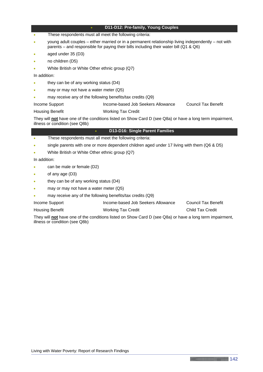#### • **D11-D12: Pre-family, Young Couples**

- These respondents must all meet the following criteria:
- young adult couples either married or in a permanent relationship living independently not with parents – and responsible for paying their bills including their water bill (Q1 & Q6)
- aged under 35 (D3)
- no children (D5)
- White British or White Other ethnic group (Q7)

In addition:

- they can be of any working status (D4)
- may or may not have a water meter (Q5)
- may receive any of the following benefits/tax credits (Q9)

Income Support Income-based Job Seekers Allowance Council Tax Benefit Housing Benefit Working Tax Credit

They will **not** have one of the conditions listed on Show Card D (see Q8a) or have a long term impairment, illness or condition (see Q8b)

#### • **D13-D16: Single Parent Families**

- These respondents must all meet the following criteria:
- single parents with one or more dependent children aged under 17 living with them (Q6 & D5)
- White British or White Other ethnic group (Q7)

In addition:

- can be male or female (D2)
- of any age (D3)
- they can be of any working status (D4)
- may or may not have a water meter (Q5)
- may receive any of the following benefits/tax credits (Q9)
- Income Support Income-based Job Seekers Allowance Council Tax Benefit
- Housing Benefit **Working Tax Credit** Child Tax Credit

They will **not** have one of the conditions listed on Show Card D (see Q8a) or have a long term impairment, illness or condition (see Q8b)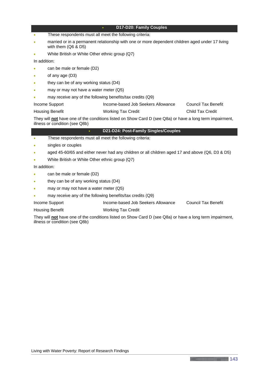#### • **D17-D20: Family Couples**

- These respondents must all meet the following criteria:
- married or in a permanent relationship with one or more dependent children aged under 17 living with them (Q6 & D5)
- White British or White Other ethnic group (Q7)

In addition:

- can be male or female (D2)
- of any age (D3)
- they can be of any working status (D4)
- may or may not have a water meter (Q5)
- may receive any of the following benefits/tax credits (Q9)

| Income Support         | Income-based Job Seekers Allowance | Council Tax Benefit |
|------------------------|------------------------------------|---------------------|
| <b>Housing Benefit</b> | <b>Working Tax Credit</b>          | Child Tax Credit    |

They will **not** have one of the conditions listed on Show Card D (see Q8a) or have a long term impairment, illness or condition (see Q8b)

#### • **D21-D24: Post-Family Singles/Couples**

- These respondents must all meet the following criteria:
- singles or couples
- aged 45-60/65 and either never had any children or all children aged 17 and above (Q6, D3 & D5)
- White British or White Other ethnic group (Q7)

In addition:

- can be male or female (D2)
- they can be of any working status (D4)
- may or may not have a water meter (Q5)
- may receive any of the following benefits/tax credits (Q9)
- Income Support Income-based Job Seekers Allowance Council Tax Benefit
- Housing Benefit Working Tax Credit

They will **not** have one of the conditions listed on Show Card D (see Q8a) or have a long term impairment, illness or condition (see Q8b)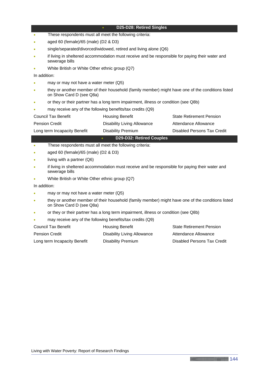#### • **D25-D28: Retired Singles**

- These respondents must all meet the following criteria:
- aged 60 (female)/65 (male) (D2 & D3)
- single/separated/divorced/widowed, retired and living alone (Q6)
- if living in sheltered accommodation must receive and be responsible for paying their water and sewerage bills
- White British or White Other ethnic group (Q7)

In addition:

- may or may not have a water meter (Q5)
- they or another member of their household (family member) might have one of the conditions listed on Show Card D (see Q8a)
- or they or their partner has a long term impairment, illness or condition (see Q8b)
- may receive any of the following benefits/tax credits (Q9)

| Council Tax Benefit          | <b>Housing Benefit</b>      | <b>State Retirement Pension</b> |
|------------------------------|-----------------------------|---------------------------------|
| <b>Pension Credit</b>        | Disability Living Allowance | Attendance Allowance            |
| Long term Incapacity Benefit | Disability Premium          | Disabled Persons Tax Credit     |

### • **D29-D32: Retired Couples**

- These respondents must all meet the following criteria:
- aged 60 (female)/65 (male) (D2 & D3)
- living with a partner (Q6)
- if living in sheltered accommodation must receive and be responsible for paying their water and sewerage bills
- White British or White Other ethnic group (Q7)

In addition:

- may or may not have a water meter (Q5)
- they or another member of their household (family member) might have one of the conditions listed on Show Card D (see Q8a)
- or they or their partner has a long term impairment, illness or condition (see Q8b)
- may receive any of the following benefits/tax credits (Q9)

| Council Tax Benefit          | <b>Housing Benefit</b>      | <b>State Retirement Pension</b> |
|------------------------------|-----------------------------|---------------------------------|
| <b>Pension Credit</b>        | Disability Living Allowance | Attendance Allowance            |
| Long term Incapacity Benefit | Disability Premium          | Disabled Persons Tax Credit     |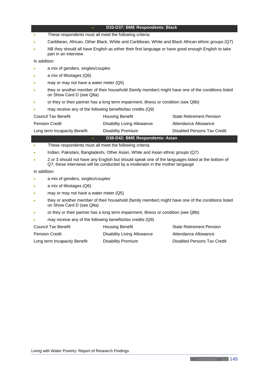#### • **D33-D37: BME Respondents: Black**

- These respondents must all meet the following criteria:
- Caribbean, African, Other Black, White and Caribbean, White and Black African ethnic groups (Q7)
- NB they should all have English as either their first language or have good enough English to take part in an interview

In addition:

- a mix of genders, singles/couples
- a mix of lifestages (Q6)
- may or may not have a water meter (Q5)
- they or another member of their household (family member) might have one of the conditions listed on Show Card D (see Q8a)
- or they or their partner has a long term impairment, illness or condition (see Q8b)
- may receive any of the following benefits/tax credits (Q9)

|                              | D38-D42: BME Respondents: Asian    |                                 |
|------------------------------|------------------------------------|---------------------------------|
| Long term Incapacity Benefit | Disability Premium                 | Disabled Persons Tax Credit     |
| <b>Pension Credit</b>        | <b>Disability Living Allowance</b> | Attendance Allowance            |
| Council Tax Benefit          | <b>Housing Benefit</b>             | <b>State Retirement Pension</b> |

- These respondents must all meet the following criteria:
- Indian, Pakistani, Bangladeshi, Other Asian, White and Asian ethnic groups (Q7)
- 2 or 3 should not have any English but should speak one of the languages listed at the bottom of Q7; these interviews will be conducted by a moderator in the mother langauge

In addition:

- a mix of genders, singles/couples
- a mix of lifestages (Q6)
- may or may not have a water meter (Q5)
- they or another member of their household (family member) might have one of the conditions listed on Show Card D (see Q8a)
- or they or their partner has a long term impairment, illness or condition (see Q8b)
- may receive any of the following benefits/tax credits (Q9)

| Council Tax Benefit          | Housing Benefit             | <b>State Retirement Pension</b> |
|------------------------------|-----------------------------|---------------------------------|
| <b>Pension Credit</b>        | Disability Living Allowance | Attendance Allowance            |
| Long term Incapacity Benefit | Disability Premium          | Disabled Persons Tax Credit     |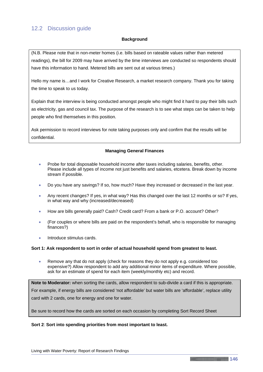## 12.2 Discussion guide

#### **Background**

(N.B. Please note that in non-meter homes (i.e. bills based on rateable values rather than metered readings), the bill for 2009 may have arrived by the time interviews are conducted so respondents should have this information to hand. Metered bills are sent out at various times.)

Hello my name is…and I work for Creative Research, a market research company. Thank you for taking the time to speak to us today.

Explain that the interview is being conducted amongst people who might find it hard to pay their bills such as electricity, gas and council tax. The purpose of the research is to see what steps can be taken to help people who find themselves in this position.

Ask permission to record interviews for note taking purposes only and confirm that the results will be confidential.

### **Managing General Finances**

- Probe for total disposable household income after taxes including salaries, benefits, other. Please include all types of income not just benefits and salaries, etcetera. Break down by income stream if possible.
- Do you have any savings? If so, how much? Have they increased or decreased in the last year.
- Any recent changes? If yes, in what way? Has this changed over the last 12 months or so? If yes, in what way and why (increased/decreased)
- How are bills generally paid? Cash? Credit card? From a bank or P.O. account? Other?
- (For couples or where bills are paid on the respondent's behalf, who is responsible for managing finances?)
- Introduce stimulus cards.

#### **Sort 1: Ask respondent to sort in order of actual household spend from greatest to least.**

• Remove any that do not apply (check for reasons they do not apply e.g. considered too expensive?) Allow respondent to add any additional minor items of expenditure. Where possible, ask for an estimate of spend for each item (weekly/monthly etc) and record.

**Note to Moderator:** when sorting the cards, allow respondent to sub-divide a card if this is appropriate. For example, if energy bills are considered 'not affordable' but water bills are 'affordable', replace utility card with 2 cards, one for energy and one for water.

Be sure to record how the cards are sorted on each occasion by completing Sort Record Sheet

#### **Sort 2**: **Sort into spending priorities from most important to least.**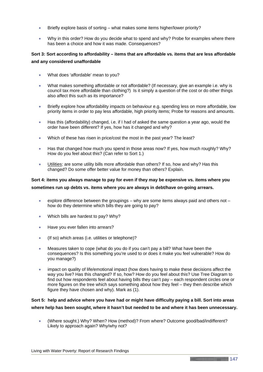- Briefly explore basis of sorting what makes some items higher/lower priority?
- Why in this order? How do you decide what to spend and why? Probe for examples where there has been a choice and how it was made. Consequences?

### **Sort 3: Sort according to affordability – items that are affordable vs. items that are less affordable and any considered unaffordable**

- What does 'affordable' mean to you?
- What makes something affordable or not affordable? (If necessary, give an example i.e. why is council tax more affordable than clothing?) Is it simply a question of the cost or do other things also affect this such as its importance?
- Briefly explore how affordability impacts on behaviour e.g. spending less on more affordable, low priority items in order to pay less affordable, high priority items; Probe for reasons and amounts.
- Has this (affordability) changed, i.e. if I had of asked the same question a year ago, would the order have been different? If yes, how has it changed and why?
- Which of these has risen in price/cost the most in the past year? The least?
- Has that changed how much you spend in those areas now? If yes, how much roughly? Why? How do you feel about this? (Can refer to Sort 1.)
- Utilities: are some utility bills more affordable than others? If so, how and why? Has this changed? Do some offer better value for money than others? Explain.

### **Sort 4: items you always manage to pay for even if they may be expensive vs. items where you sometimes run up debts vs. items where you are always in debt/have on-going arrears.**

- explore difference between the groupings why are some items always paid and others not how do they determine which bills they are going to pay?
- Which bills are hardest to pay? Why?
- Have you ever fallen into arrears?
- (If so) which areas (i.e. utilities or telephone)?
- Measures taken to cope (what do you do if you can't pay a bill? What have been the consequences? Is this something you're used to or does it make you feel vulnerable? How do you manage?)
- impact on quality of life/emotional impact (how does having to make these decisions affect the way you live? Has this changed? If so, how? How do you feel about this? Use Tree Diagram to find out how respondents feel about having bills they can't pay – each respondent circles one or more figures on the tree which says something about how they feel – they then describe which figure they have chosen and why). Mark as (1).

### **Sort 5: help and advice where you have had or might have difficulty paying a bill. Sort into areas where help has been sought, where it hasn't but needed to be and where it has been unnecessary.**

• (Where sought.) Why? When? How (method)? From where? Outcome good/bad/indifferent? Likely to approach again? Why/why not?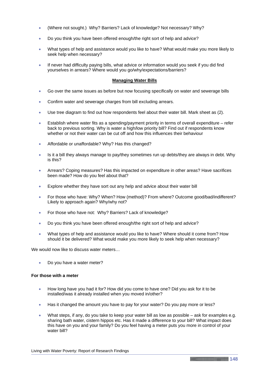- (Where not sought.) Why? Barriers? Lack of knowledge? Not necessary? Why?
- Do you think you have been offered enough/the right sort of help and advice?
- What types of help and assistance would you like to have? What would make you more likely to seek help when necessary?
- If never had difficulty paying bills, what advice or information would you seek if you did find yourselves in arrears? Where would you go/why/expectations/barriers?

#### **Managing Water Bills**

- Go over the same issues as before but now focusing specifically on water and sewerage bills
- Confirm water and sewerage charges from bill excluding arrears.
- Use tree diagram to find out how respondents feel about their water bill. Mark sheet as (2).
- Establish where water fits as a spending/payment priority in terms of overall expenditure refer back to previous sorting. Why is water a high/low priority bill? Find out if respondents know whether or not their water can be cut off and how this influences their behaviour
- Affordable or unaffordable? Why? Has this changed?
- Is it a bill they always manage to pay/they sometimes run up debts/they are always in debt. Why is this?
- Arrears? Coping measures? Has this impacted on expenditure in other areas? Have sacrifices been made? How do you feel about that?
- Explore whether they have sort out any help and advice about their water bill
- For those who have: Why? When? How (method)? From where? Outcome good/bad/indifferent? Likely to approach again? Why/why not?
- For those who have not: Why? Barriers? Lack of knowledge?
- Do you think you have been offered enough/the right sort of help and advice?
- What types of help and assistance would you like to have? Where should it come from? How should it be delivered? What would make you more likely to seek help when necessary?

We would now like to discuss water meters...

• Do you have a water meter?

#### **For those with a meter**

- How long have you had it for? How did you come to have one? Did you ask for it to be installed/was it already installed when you moved in/other?
- Has it changed the amount you have to pay for your water? Do you pay more or less?
- What steps, if any, do you take to keep your water bill as low as possible ask for examples e.g. sharing bath water, cistern hippos etc. Has it made a difference to your bill? What impact does this have on you and your family? Do you feel having a meter puts you more in control of your water bill?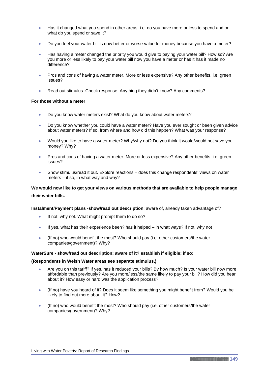- Has it changed what you spend in other areas, i.e. do you have more or less to spend and on what do you spend or save it?
- Do you feel your water bill is now better or worse value for money because you have a meter?
- Has having a meter changed the priority you would give to paying your water bill? How so? Are you more or less likely to pay your water bill now you have a meter or has it has it made no difference?
- Pros and cons of having a water meter. More or less expensive? Any other benefits, i.e. green issues?
- Read out stimulus. Check response. Anything they didn't know? Any comments?

#### **For those without a meter**

- Do you know water meters exist? What do you know about water meters?
- Do you know whether you could have a water meter? Have you ever sought or been given advice about water meters? If so, from where and how did this happen? What was your response?
- Would you like to have a water meter? Why/why not? Do you think it would/would not save you money? Why?
- Pros and cons of having a water meter. More or less expensive? Any other benefits, i.e. green issues?
- Show stimulus/read it out. Explore reactions does this change respondents' views on water meters – if so, in what way and why?

### **We would now like to get your views on various methods that are available to help people manage their water bills.**

#### **Instalment/Payment plans -show/read out description**: aware of, already taken advantage of?

- If not, why not. What might prompt them to do so?
- If yes, what has their experience been? has it helped in what ways? If not, why not
- (If no) who would benefit the most? Who should pay (i.e. other customers/the water companies/government)? Why?

#### **WaterSure - show/read out description: aware of it? establish if eligible; if so:**

#### **(Respondents in Welsh Water areas see separate stimulus.)**

- Are you on this tariff? If yes, has it reduced your bills? By how much? Is your water bill now more affordable than previously? Are you more/less/the same likely to pay your bill? How did you hear about it? How easy or hard was the application process?
- (If no) have you heard of it? Does it seem like something you might benefit from? Would you be likely to find out more about it? How?
- (If no) who would benefit the most? Who should pay (i.e. other customers/the water companies/government)? Why?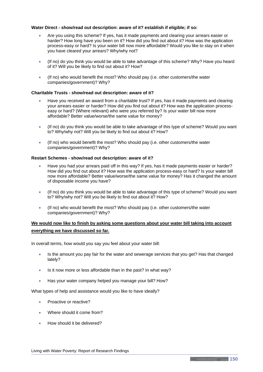#### **Water Direct - show/read out description: aware of it? establish if eligible; if so:**

- Are you using this scheme? If yes, has it made payments and clearing your arrears easier or harder? How long have you been on it? How did you find out about it? How was the application process-easy or hard? Is your water bill now more affordable? Would you like to stay on it when you have cleared your arrears? Why/why not?
- (If no) do you think you would be able to take advantage of this scheme? Why? Have you heard of it? Will you be likely to find out about it? How?
- (If no) who would benefit the most? Who should pay (i.e. other customers/the water companies/government)? Why?

#### **Charitable Trusts - show/read out description: aware of it?**

- Have you received an award from a charitable trust? If yes, has it made payments and clearing your arrears easier or harder? How did you find out about it? How was the application processeasy or hard? (Where relevant) who were you referred by? Is your water bill now more affordable? Better value/worse/the same value for money?
- (If no) do you think you would be able to take advantage of this type of scheme? Would you want to? Why/why not? Will you be likely to find out about it? How?
- (If no) who would benefit the most? Who should pay (i.e. other customers/the water companies/government)? Why?

#### **Restart Schemes - show/read out description: aware of it?**

- Have you had your arrears paid off in this way? If yes, has it made payments easier or harder? How did you find out about it? How was the application process-easy or hard? Is your water bill now more affordable? Better value/worse/the same value for money? Has it changed the amount of disposable income you have?
- (If no) do you think you would be able to take advantage of this type of scheme? Would you want to? Why/why not? Will you be likely to find out about it? How?
- (If no) who would benefit the most? Who should pay (i.e. other customers/the water companies/government)? Why?

### **We would now like to finish by asking some questions about your water bill taking into account everything we have discussed so far.**

In overall terms, how would you say you feel about your water bill:

- Is the amount you pay fair for the water and sewerage services that you get? Has that changed lately?
- Is it now more or less affordable than in the past? In what way?
- Has your water company helped you manage your bill? How?

What types of help and assistance would you like to have ideally?

- Proactive or reactive?
- Where should it come from?
- How should it be delivered?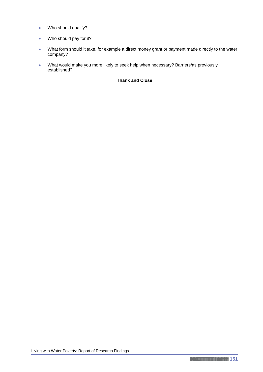- Who should qualify?
- Who should pay for it?
- What form should it take, for example a direct money grant or payment made directly to the water company?
- What would make you more likely to seek help when necessary? Barriers/as previously established?

### **Thank and Close**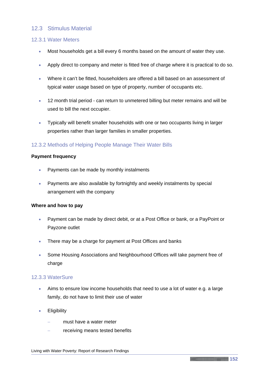### 12.3 Stimulus Material

### 12.3.1 Water Meters

- Most households get a bill every 6 months based on the amount of water they use.
- Apply direct to company and meter is fitted free of charge where it is practical to do so.
- Where it can't be fitted, householders are offered a bill based on an assessment of typical water usage based on type of property, number of occupants etc.
- 12 month trial period can return to unmetered billing but meter remains and will be used to bill the next occupier.
- Typically will benefit smaller households with one or two occupants living in larger properties rather than larger families in smaller properties.

### 12.3.2 Methods of Helping People Manage Their Water Bills

### **Payment frequency**

- Payments can be made by monthly instalments
- Payments are also available by fortnightly and weekly instalments by special arrangement with the company

### **Where and how to pay**

- Payment can be made by direct debit, or at a Post Office or bank, or a PayPoint or Payzone outlet
- There may be a charge for payment at Post Offices and banks
- Some Housing Associations and Neighbourhood Offices will take payment free of charge

### 12.3.3 WaterSure

- Aims to ensure low income households that need to use a lot of water e.g. a large family, do not have to limit their use of water
- Eligibility
	- must have a water meter
	- receiving means tested benefits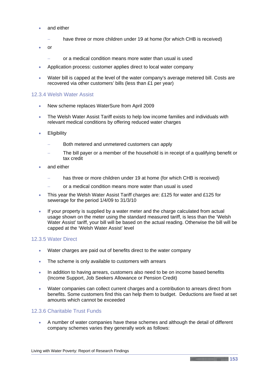- and either
	- have three or more children under 19 at home (for which CHB is received)
- or
	- − or a medical condition means more water than usual is used
- Application process: customer applies direct to local water company
- Water bill is capped at the level of the water company's average metered bill. Costs are recovered via other customers' bills (less than £1 per year)

### 12.3.4 Welsh Water Assist

- New scheme replaces WaterSure from April 2009
- The Welsh Water Assist Tariff exists to help low income families and individuals with relevant medical conditions by offering reduced water charges
- Eligibility
	- Both metered and unmetered customers can apply
	- The bill payer or a member of the household is in receipt of a qualifying benefit or tax credit
- and either
	- has three or more children under 19 at home (for which CHB is received)
	- − or a medical condition means more water than usual is used
- This year the Welsh Water Assist Tariff charges are: £125 for water and £125 for sewerage for the period 1/4/09 to 31/3/10
- If your property is supplied by a water meter and the charge calculated from actual usage shown on the meter using the standard measured tariff, is less than the 'Welsh Water Assist' tariff, your bill will be based on the actual reading. Otherwise the bill will be capped at the 'Welsh Water Assist' level

#### 12.3.5 Water Direct

- Water charges are paid out of benefits direct to the water company
- The scheme is only available to customers with arrears
- In addition to having arrears, customers also need to be on income based benefits (Income Support, Job Seekers Allowance or Pension Credit)
- Water companies can collect current charges and a contribution to arrears direct from benefits. Some customers find this can help them to budget. Deductions are fixed at set amounts which cannot be exceeded

### 12.3.6 Charitable Trust Funds

• A number of water companies have these schemes and although the detail of different company schemes varies they generally work as follows: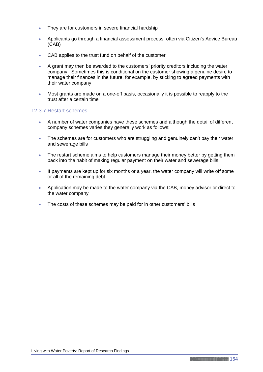- They are for customers in severe financial hardship
- Applicants go through a financial assessment process, often via Citizen's Advice Bureau (CAB)
- CAB applies to the trust fund on behalf of the customer
- A grant may then be awarded to the customers' priority creditors including the water company. Sometimes this is conditional on the customer showing a genuine desire to manage their finances in the future, for example, by sticking to agreed payments with their water company
- Most grants are made on a one-off basis, occasionally it is possible to reapply to the trust after a certain time

### 12.3.7 Restart schemes

- A number of water companies have these schemes and although the detail of different company schemes varies they generally work as follows:
- The schemes are for customers who are struggling and genuinely can't pay their water and sewerage bills
- The restart scheme aims to help customers manage their money better by getting them back into the habit of making regular payment on their water and sewerage bills
- If payments are kept up for six months or a year, the water company will write off some or all of the remaining debt
- Application may be made to the water company via the CAB, money advisor or direct to the water company
- The costs of these schemes may be paid for in other customers' bills